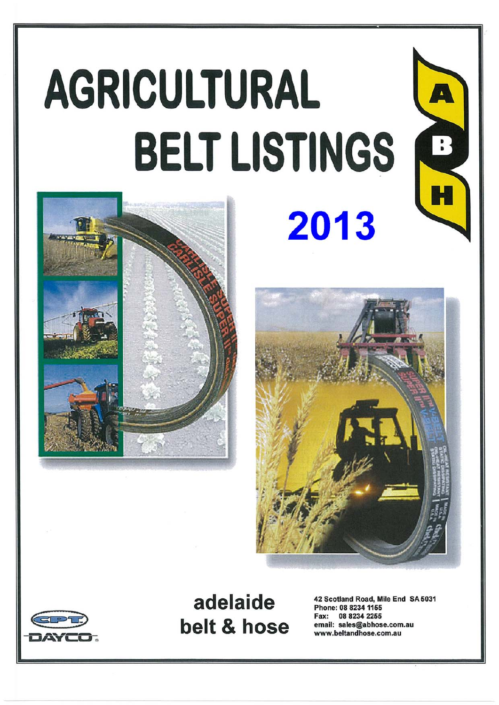# AGRICULTURAL **BELT LISTINGS** 2013









adelaide belt & hose

42 Scotland Road, Mile End SA 5031 Phone: 08 8234 1155 Fax: 08 8234 2255 email: sales@abhose.com.au www.beltandhose.com.au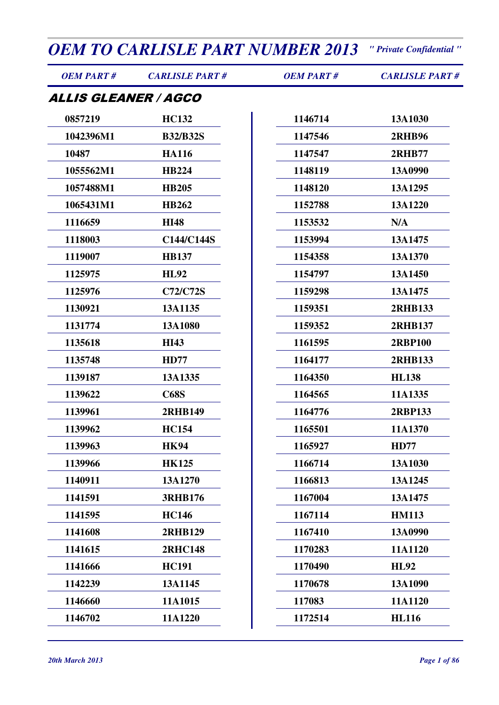| <b>OEM PART#</b>            | <b>CARLISLE PART#</b> | <b>OEM PART#</b> | <b>CARLISLE PART#</b> |
|-----------------------------|-----------------------|------------------|-----------------------|
| <i>ALLIS GLEANER / AGCO</i> |                       |                  |                       |
| 0857219                     | <b>HC132</b>          | 1146714          | 13A1030               |
| 1042396M1                   | <b>B32/B32S</b>       | 1147546          | <b>2RHB96</b>         |
| 10487                       | <b>HA116</b>          | 1147547          | <b>2RHB77</b>         |
| 1055562M1                   | <b>HB224</b>          | 1148119          | 13A0990               |
| 1057488M1                   | <b>HB205</b>          | 1148120          | 13A1295               |
| 1065431M1                   | <b>HB262</b>          | 1152788          | 13A1220               |
| 1116659                     | <b>HI48</b>           | 1153532          | N/A                   |
| 1118003                     | C144/C144S            | 1153994          | 13A1475               |
| 1119007                     | <b>HB137</b>          | 1154358          | 13A1370               |
| 1125975                     | <b>HL92</b>           | 1154797          | 13A1450               |
| 1125976                     | <b>C72/C72S</b>       | 1159298          | 13A1475               |
| 1130921                     | 13A1135               | 1159351          | <b>2RHB133</b>        |
| 1131774                     | 13A1080               | 1159352          | <b>2RHB137</b>        |
| 1135618                     | <b>HI43</b>           | 1161595          | <b>2RBP100</b>        |
| 1135748                     | <b>HD77</b>           | 1164177          | <b>2RHB133</b>        |
| 1139187                     | 13A1335               | 1164350          | <b>HL138</b>          |
| 1139622                     | <b>C68S</b>           | 1164565          | 11A1335               |
| 1139961                     | <b>2RHB149</b>        | 1164776          | 2RBP133               |
| 1139962                     | <b>HC154</b>          | 1165501          | 11A1370               |
| 1139963                     | <b>HK94</b>           | 1165927          | <b>HD77</b>           |
| 1139966                     | <b>HK125</b>          | 1166714          | 13A1030               |
| 1140911                     | 13A1270               | 1166813          | 13A1245               |
| 1141591                     | <b>3RHB176</b>        | 1167004          | 13A1475               |
| 1141595                     | <b>HC146</b>          | 1167114          | <b>HM113</b>          |
| 1141608                     | <b>2RHB129</b>        | 1167410          | 13A0990               |
| 1141615                     | <b>2RHC148</b>        | 1170283          | 11A1120               |
| 1141666                     | <b>HC191</b>          | 1170490          | <b>HL92</b>           |
| 1142239                     | 13A1145               | 1170678          | 13A1090               |
| 1146660                     | 11A1015               | 117083           | 11A1120               |

**11A1220**

**HL116**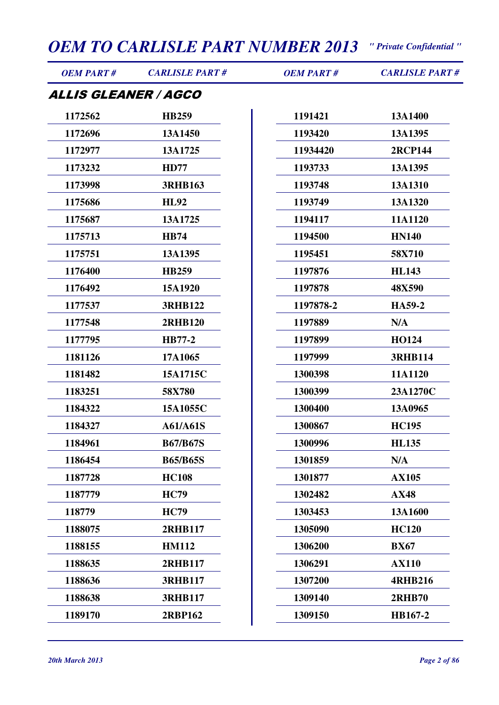| <b>OEM PART#</b>     | <b>CARLISLE PART#</b> | <b>OEM PART#</b> | <b>CARLISLE PART#</b> |
|----------------------|-----------------------|------------------|-----------------------|
| ALLIS GLEANER / AGCO |                       |                  |                       |
| 1172562              | <b>HB259</b>          | 1191421          | 13A1400               |
| 1172696              | 13A1450               | 1193420          | 13A1395               |
| 1172977              | 13A1725               | 11934420         | <b>2RCP144</b>        |
| 1173232              | <b>HD77</b>           | 1193733          | 13A1395               |
| 1173998              | <b>3RHB163</b>        | 1193748          | 13A1310               |
| 1175686              | <b>HL92</b>           | 1193749          | 13A1320               |
| 1175687              | 13A1725               | 1194117          | 11A1120               |
| 1175713              | <b>HB74</b>           | 1194500          | <b>HN140</b>          |
| 1175751              | 13A1395               | 1195451          | 58X710                |
| 1176400              | <b>HB259</b>          | 1197876          | <b>HL143</b>          |
| 1176492              | 15A1920               | 1197878          | 48X590                |
| 1177537              | <b>3RHB122</b>        | 1197878-2        | HA59-2                |
| 1177548              | <b>2RHB120</b>        | 1197889          | N/A                   |
| 1177795              | <b>HB77-2</b>         | 1197899          | <b>HO124</b>          |
| 1181126              | 17A1065               | 1197999          | <b>3RHB114</b>        |
| 1181482              | 15A1715C              | 1300398          | 11A1120               |
| 1183251              | 58X780                | 1300399          | 23A1270C              |
| 1184322              | 15A1055C              | 1300400          | 13A0965               |
| 1184327              | <b>A61/A61S</b>       | 1300867          | <b>HC195</b>          |
| 1184961              | <b>B67/B67S</b>       | 1300996          | <b>HL135</b>          |
| 1186454              | <b>B65/B65S</b>       | 1301859          | N/A                   |
| 1187728              | <b>HC108</b>          | 1301877          | <b>AX105</b>          |
| 1187779              | <b>HC79</b>           | 1302482          | <b>AX48</b>           |
| 118779               | <b>HC79</b>           | 1303453          | 13A1600               |
| 1188075              | 2RHB117               | 1305090          | <b>HC120</b>          |
| 1188155              | <b>HM112</b>          | 1306200          | <b>BX67</b>           |
| 1188635              | 2RHB117               | 1306291          | <b>AX110</b>          |
| 1188636              | <b>3RHB117</b>        | 1307200          | <b>4RHB216</b>        |
| 1188638              | <b>3RHB117</b>        | 1309140          | <b>2RHB70</b>         |
| 1189170              | 2RBP162               | 1309150          | HB167-2               |
|                      |                       |                  |                       |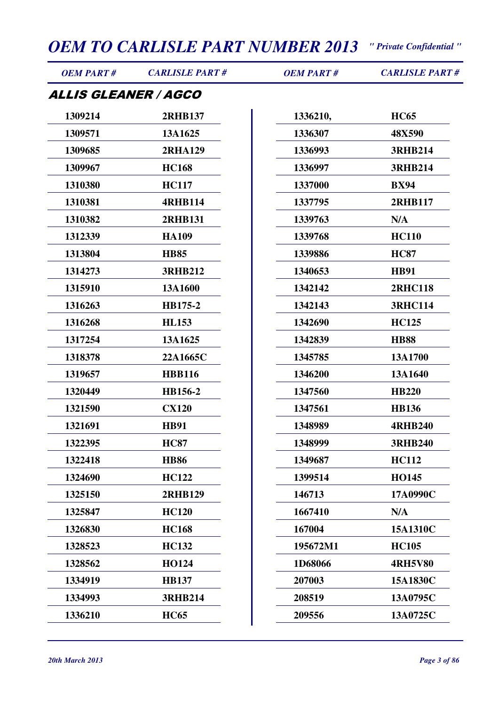| <b>OEM PART#</b>            | <b>CARLISLE PART#</b> | <b>OEM PART#</b> | <b>CARLISLE PART#</b> |
|-----------------------------|-----------------------|------------------|-----------------------|
| <i>ALLIS GLEANER / AGCO</i> |                       |                  |                       |
| 1309214                     | <b>2RHB137</b>        | 1336210,         | <b>HC65</b>           |
| 1309571                     | 13A1625               | 1336307          | 48X590                |
| 1309685                     | <b>2RHA129</b>        | 1336993          | <b>3RHB214</b>        |
| 1309967                     | <b>HC168</b>          | 1336997          | <b>3RHB214</b>        |
| 1310380                     | <b>HC117</b>          | 1337000          | <b>BX94</b>           |
| 1310381                     | <b>4RHB114</b>        | 1337795          | 2RHB117               |
| 1310382                     | <b>2RHB131</b>        | 1339763          | N/A                   |
| 1312339                     | <b>HA109</b>          | 1339768          | <b>HC110</b>          |
| 1313804                     | <b>HB85</b>           | 1339886          | <b>HC87</b>           |
| 1314273                     | <b>3RHB212</b>        | 1340653          | <b>HB91</b>           |
| 1315910                     | 13A1600               | 1342142          | <b>2RHC118</b>        |
| 1316263                     | HB175-2               | 1342143          | <b>3RHC114</b>        |
| 1316268                     | <b>HL153</b>          | 1342690          | <b>HC125</b>          |
| 1317254                     | 13A1625               | 1342839          | <b>HB88</b>           |
| 1318378                     | 22A1665C              | 1345785          | 13A1700               |
| 1319657                     | <b>HBB116</b>         | 1346200          | 13A1640               |
| 1320449                     | HB156-2               | 1347560          | <b>HB220</b>          |
| 1321590                     | <b>CX120</b>          | 1347561          | <b>HB136</b>          |
| 1321691                     | <b>HB91</b>           | 1348989          | <b>4RHB240</b>        |
| 1322395                     | <b>HC87</b>           | 1348999          | <b>3RHB240</b>        |
| 1322418                     | <b>HB86</b>           | 1349687          | <b>HC112</b>          |
| 1324690                     | <b>HC122</b>          | 1399514          | HO145                 |
| 1325150                     | <b>2RHB129</b>        | 146713           | 17A0990C              |
| 1325847                     | <b>HC120</b>          | 1667410          | N/A                   |
| 1326830                     | <b>HC168</b>          | 167004           | 15A1310C              |
| 1328523                     | <b>HC132</b>          | 195672M1         | <b>HC105</b>          |
| 1328562                     | <b>HO124</b>          | 1D68066          | <b>4RH5V80</b>        |
| 1334919                     | <b>HB137</b>          | 207003           | 15A1830C              |
| 1334993                     | <b>3RHB214</b>        | 208519           | 13A0795C              |
| 1336210                     | <b>HC65</b>           | 209556           | 13A0725C              |
|                             |                       |                  |                       |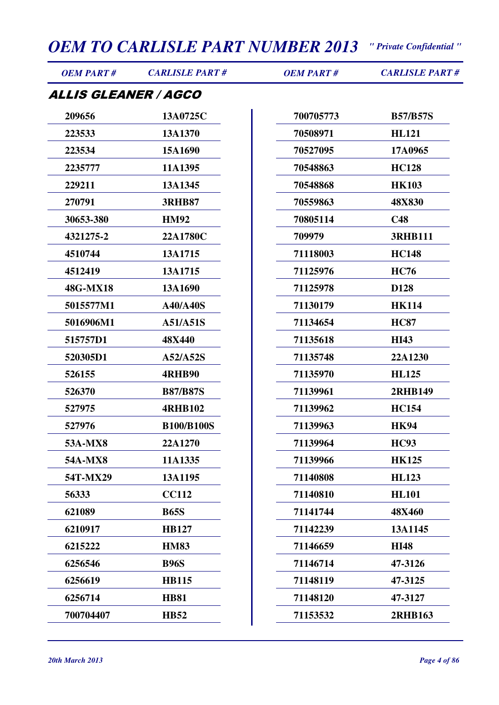| <b>OEM PART#</b>                   | <b>CARLISLE PART#</b> | <b>OEM PART#</b> | <b>CARLISLE PART#</b> |
|------------------------------------|-----------------------|------------------|-----------------------|
| <i><b>ALLIS GLEANER / AGCO</b></i> |                       |                  |                       |
| 209656                             | 13A0725C              | 700705773        | <b>B57/B57S</b>       |
| 223533                             | 13A1370               | 70508971         | <b>HL121</b>          |
| 223534                             | 15A1690               | 70527095         | 17A0965               |
| 2235777                            | 11A1395               | 70548863         | <b>HC128</b>          |
| 229211                             | 13A1345               | 70548868         | <b>HK103</b>          |
| 270791                             | <b>3RHB87</b>         | 70559863         | 48X830                |
| 30653-380                          | <b>HM92</b>           | 70805114         | C48                   |
| 4321275-2                          | 22A1780C              | 709979           | <b>3RHB111</b>        |
| 4510744                            | 13A1715               | 71118003         | <b>HC148</b>          |
| 4512419                            | 13A1715               | 71125976         | <b>HC76</b>           |
| 48G-MX18                           | 13A1690               | 71125978         | D128                  |
| 5015577M1                          | <b>A40/A40S</b>       | 71130179         | <b>HK114</b>          |
| 5016906M1                          | A51/A51S              | 71134654         | <b>HC87</b>           |
| 515757D1                           | 48X440                | 71135618         | <b>HI43</b>           |
| 520305D1                           | A52/A52S              | 71135748         | 22A1230               |
| 526155                             | <b>4RHB90</b>         | 71135970         | <b>HL125</b>          |
| 526370                             | <b>B87/B87S</b>       | 71139961         | <b>2RHB149</b>        |
| 527975                             | <b>4RHB102</b>        | 71139962         | <b>HC154</b>          |
| 527976                             | <b>B100/B100S</b>     | 71139963         | <b>HK94</b>           |
| 53A-MX8                            | 22A1270               | 71139964         | <b>HC93</b>           |
| <b>54A-MX8</b>                     | 11A1335               | 71139966         | <b>HK125</b>          |
| 54T-MX29                           | 13A1195               | 71140808         | <b>HL123</b>          |
| 56333                              | <b>CC112</b>          | 71140810         | <b>HL101</b>          |
| 621089                             | <b>B65S</b>           | 71141744         | 48X460                |
| 6210917                            | <b>HB127</b>          | 71142239         | 13A1145               |
| 6215222                            | <b>HM83</b>           | 71146659         | <b>HI48</b>           |
| 6256546                            | <b>B96S</b>           | 71146714         | 47-3126               |
| 6256619                            | <b>HB115</b>          | 71148119         | 47-3125               |
| 6256714                            | <b>HB81</b>           | 71148120         | 47-3127               |
| 700704407                          | <b>HB52</b>           | 71153532         | <b>2RHB163</b>        |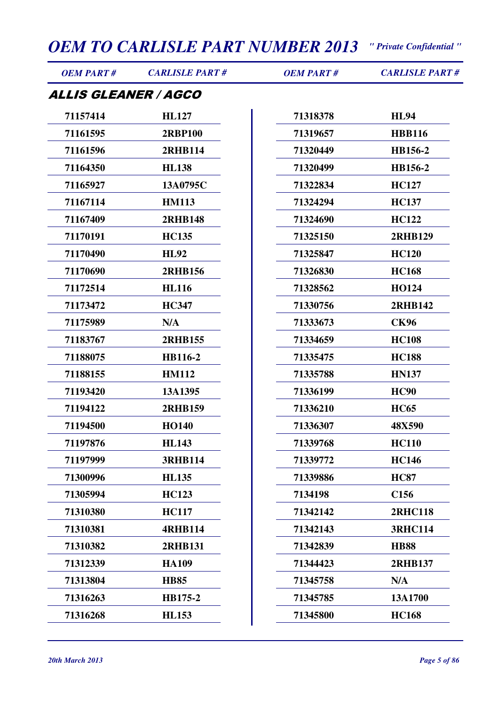| <b>OEM PART#</b>            | <b>CARLISLE PART#</b> | <b>OEM PART#</b> | <b>CARLISLE PART#</b> |
|-----------------------------|-----------------------|------------------|-----------------------|
| <i>ALLIS GLEANER / AGCO</i> |                       |                  |                       |
| 71157414                    | <b>HL127</b>          | 71318378         | <b>HL94</b>           |
| 71161595                    | <b>2RBP100</b>        | 71319657         | <b>HBB116</b>         |
| 71161596                    | 2RHB114               | 71320449         | HB156-2               |
| 71164350                    | <b>HL138</b>          | 71320499         | HB156-2               |
| 71165927                    | 13A0795C              | 71322834         | <b>HC127</b>          |
| 71167114                    | <b>HM113</b>          | 71324294         | <b>HC137</b>          |
| 71167409                    | <b>2RHB148</b>        | 71324690         | <b>HC122</b>          |
| 71170191                    | <b>HC135</b>          | 71325150         | <b>2RHB129</b>        |
| 71170490                    | <b>HL92</b>           | 71325847         | <b>HC120</b>          |
| 71170690                    | <b>2RHB156</b>        | 71326830         | <b>HC168</b>          |
| 71172514                    | <b>HL116</b>          | 71328562         | <b>HO124</b>          |
| 71173472                    | <b>HC347</b>          | 71330756         | 2RHB142               |
| 71175989                    | N/A                   | 71333673         | <b>CK96</b>           |
| 71183767                    | <b>2RHB155</b>        | 71334659         | <b>HC108</b>          |
| 71188075                    | HB116-2               | 71335475         | <b>HC188</b>          |
| 71188155                    | <b>HM112</b>          | 71335788         | <b>HN137</b>          |
| 71193420                    | 13A1395               | 71336199         | <b>HC90</b>           |
| 71194122                    | <b>2RHB159</b>        | 71336210         | <b>HC65</b>           |
| 71194500                    | <b>HO140</b>          | 71336307         | 48X590                |
| 71197876                    | <b>HL143</b>          | 71339768         | <b>HC110</b>          |
| 71197999                    | <b>3RHB114</b>        | 71339772         | <b>HC146</b>          |
| 71300996                    | <b>HL135</b>          | 71339886         | <b>HC87</b>           |
| 71305994                    | <b>HC123</b>          | 7134198          | C <sub>156</sub>      |
| 71310380                    | <b>HC117</b>          | 71342142         | <b>2RHC118</b>        |
| 71310381                    | <b>4RHB114</b>        | 71342143         | <b>3RHC114</b>        |
| 71310382                    | <b>2RHB131</b>        | 71342839         | <b>HB88</b>           |
| 71312339                    | <b>HA109</b>          | 71344423         | 2RHB137               |
| 71313804                    | <b>HB85</b>           | 71345758         | N/A                   |
| 71316263                    | HB175-2               | 71345785         | 13A1700               |
| 71316268                    | <b>HL153</b>          | 71345800         | <b>HC168</b>          |
|                             |                       |                  |                       |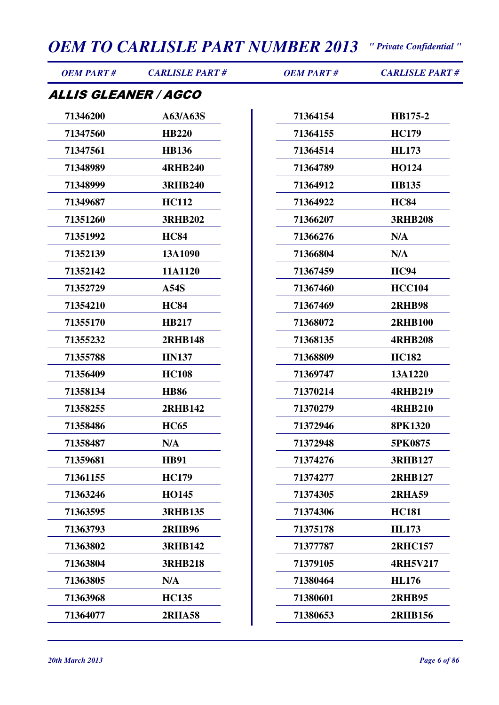| <b>OEM PART#</b>     | <b>CARLISLE PART#</b> | <b>OEM PART#</b> | <b>CARLISLE PART#</b> |
|----------------------|-----------------------|------------------|-----------------------|
| ALLIS GLEANER / AGCO |                       |                  |                       |
| 71346200             | A63/A63S              | 71364154         | HB175-2               |
| 71347560             | <b>HB220</b>          | 71364155         | <b>HC179</b>          |
| 71347561             | <b>HB136</b>          | 71364514         | <b>HL173</b>          |
| 71348989             | <b>4RHB240</b>        | 71364789         | <b>HO124</b>          |
| 71348999             | <b>3RHB240</b>        | 71364912         | <b>HB135</b>          |
| 71349687             | <b>HC112</b>          | 71364922         | <b>HC84</b>           |
| 71351260             | <b>3RHB202</b>        | 71366207         | <b>3RHB208</b>        |
| 71351992             | <b>HC84</b>           | 71366276         | N/A                   |
| 71352139             | 13A1090               | 71366804         | N/A                   |
| 71352142             | 11A1120               | 71367459         | <b>HC94</b>           |
| 71352729             | A54S                  | 71367460         | <b>HCC104</b>         |
| 71354210             | <b>HC84</b>           | 71367469         | <b>2RHB98</b>         |
| 71355170             | <b>HB217</b>          | 71368072         | <b>2RHB100</b>        |
| 71355232             | <b>2RHB148</b>        | 71368135         | <b>4RHB208</b>        |
| 71355788             | <b>HN137</b>          | 71368809         | <b>HC182</b>          |
| 71356409             | <b>HC108</b>          | 71369747         | 13A1220               |
| 71358134             | <b>HB86</b>           | 71370214         | <b>4RHB219</b>        |
| 71358255             | 2RHB142               | 71370279         | <b>4RHB210</b>        |
| 71358486             | <b>HC65</b>           | 71372946         | <b>8PK1320</b>        |
| 71358487             | N/A                   | 71372948         | 5PK0875               |
| 71359681             | <b>HB91</b>           | 71374276         | <b>3RHB127</b>        |
| 71361155             | <b>HC179</b>          | 71374277         | 2RHB127               |
| 71363246             | <b>HO145</b>          | 71374305         | <b>2RHA59</b>         |
| 71363595             | <b>3RHB135</b>        | 71374306         | <b>HC181</b>          |
| 71363793             | <b>2RHB96</b>         | 71375178         | <b>HL173</b>          |
| 71363802             | <b>3RHB142</b>        | 71377787         | <b>2RHC157</b>        |
| 71363804             | <b>3RHB218</b>        | 71379105         | <b>4RH5V217</b>       |
| 71363805             | N/A                   | 71380464         | <b>HL176</b>          |
| 71363968             | <b>HC135</b>          | 71380601         | <b>2RHB95</b>         |
| 71364077             | <b>2RHA58</b>         | 71380653         | <b>2RHB156</b>        |
|                      |                       |                  |                       |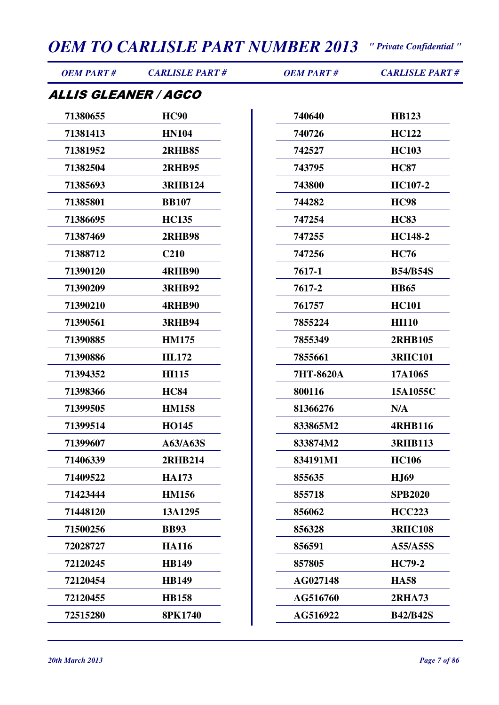| <b>OEM PART#</b>            | <b>CARLISLE PART#</b> | <b>OEM PART#</b> | <b>CARLISLE PART#</b> |
|-----------------------------|-----------------------|------------------|-----------------------|
| <i>ALLIS GLEANER / AGCO</i> |                       |                  |                       |
| 71380655                    | <b>HC90</b>           | 740640           | <b>HB123</b>          |
| 71381413                    | <b>HN104</b>          | 740726           | <b>HC122</b>          |
| 71381952                    | <b>2RHB85</b>         | 742527           | <b>HC103</b>          |
| 71382504                    | <b>2RHB95</b>         | 743795           | <b>HC87</b>           |
| 71385693                    | <b>3RHB124</b>        | 743800           | HC107-2               |
| 71385801                    | <b>BB107</b>          | 744282           | <b>HC98</b>           |
| 71386695                    | <b>HC135</b>          | 747254           | <b>HC83</b>           |
| 71387469                    | <b>2RHB98</b>         | 747255           | HC148-2               |
| 71388712                    | <b>C210</b>           | 747256           | <b>HC76</b>           |
| 71390120                    | <b>4RHB90</b>         | 7617-1           | <b>B54/B54S</b>       |
| 71390209                    | <b>3RHB92</b>         | 7617-2           | <b>HB65</b>           |
| 71390210                    | <b>4RHB90</b>         | 761757           | <b>HC101</b>          |
| 71390561                    | <b>3RHB94</b>         | 7855224          | <b>HI110</b>          |
| 71390885                    | <b>HM175</b>          | 7855349          | <b>2RHB105</b>        |
| 71390886                    | <b>HL172</b>          | 7855661          | <b>3RHC101</b>        |
| 71394352                    | <b>HI115</b>          | 7HT-8620A        | 17A1065               |
| 71398366                    | <b>HC84</b>           | 800116           | 15A1055C              |
| 71399505                    | <b>HM158</b>          | 81366276         | N/A                   |
| 71399514                    | <b>HO145</b>          | 833865M2         | <b>4RHB116</b>        |
| 71399607                    | A63/A63S              | 833874M2         | <b>3RHB113</b>        |
| 71406339                    | <b>2RHB214</b>        | 834191M1         | <b>HC106</b>          |
| 71409522                    | <b>HA173</b>          | 855635           | <b>HJ69</b>           |
| 71423444                    | <b>HM156</b>          | 855718           | <b>SPB2020</b>        |
| 71448120                    | 13A1295               | 856062           | <b>HCC223</b>         |
| 71500256                    | <b>BB93</b>           | 856328           | <b>3RHC108</b>        |
| 72028727                    | <b>HA116</b>          | 856591           | A55/A55S              |
| 72120245                    | <b>HB149</b>          | 857805           | <b>HC79-2</b>         |
| 72120454                    | <b>HB149</b>          | AG027148         | <b>HA58</b>           |
| 72120455                    | <b>HB158</b>          | AG516760         | <b>2RHA73</b>         |
| 72515280                    | <b>8PK1740</b>        | AG516922         | <b>B42/B42S</b>       |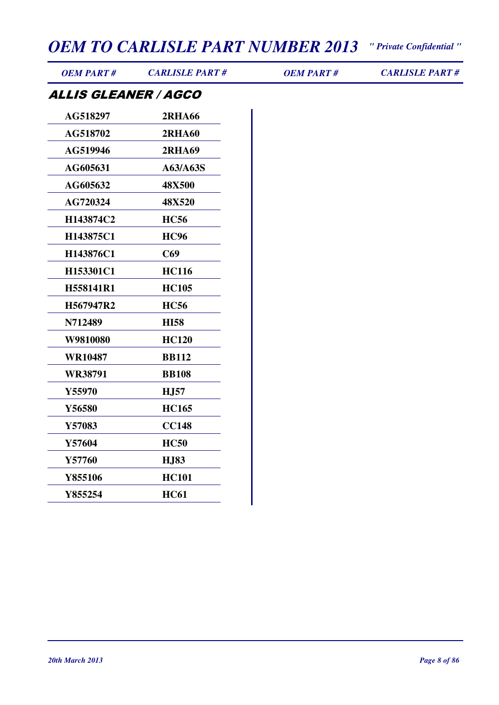| <b>OEM PART#</b>            | <b>CARLISLE PART#</b> | <b>OEM PART#</b> | <b>CARLISLE PART#</b> |
|-----------------------------|-----------------------|------------------|-----------------------|
| <b>ALLIS GLEANER / AGCO</b> |                       |                  |                       |
| AG518297                    | <b>2RHA66</b>         |                  |                       |
| AG518702                    | <b>2RHA60</b>         |                  |                       |
| AG519946                    | <b>2RHA69</b>         |                  |                       |
| AG605631                    | A63/A63S              |                  |                       |
| AG605632                    | <b>48X500</b>         |                  |                       |
| AG720324                    | 48X520                |                  |                       |
| H143874C2                   | <b>HC56</b>           |                  |                       |
| H143875C1                   | <b>HC96</b>           |                  |                       |
| H143876C1                   | C69                   |                  |                       |
| H153301C1                   | <b>HC116</b>          |                  |                       |
| H558141R1                   | <b>HC105</b>          |                  |                       |
| H567947R2                   | <b>HC56</b>           |                  |                       |
| N712489                     | <b>HI58</b>           |                  |                       |
| W9810080                    | <b>HC120</b>          |                  |                       |
| <b>WR10487</b>              | <b>BB112</b>          |                  |                       |
| <b>WR38791</b>              | <b>BB108</b>          |                  |                       |
| Y55970                      | <b>HJ57</b>           |                  |                       |
| Y56580                      | <b>HC165</b>          |                  |                       |
| Y57083                      | <b>CC148</b>          |                  |                       |
| Y57604                      | <b>HC50</b>           |                  |                       |
| Y57760                      | <b>HJ83</b>           |                  |                       |
| Y855106                     | <b>HC101</b>          |                  |                       |
| Y855254                     | <b>HC61</b>           |                  |                       |
|                             |                       |                  |                       |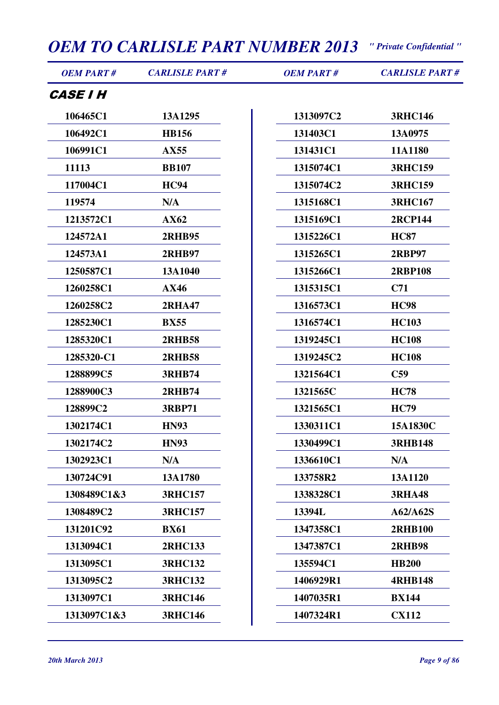| <b>OEM PART#</b>       | <b>CARLISLE PART#</b> | <b>OEM PART#</b> | <b>CARLISLE PART#</b> |
|------------------------|-----------------------|------------------|-----------------------|
| <i><b>CASE I H</b></i> |                       |                  |                       |
| 106465C1               | 13A1295               | 1313097C2        | <b>3RHC146</b>        |
| 106492C1               | <b>HB156</b>          | 131403C1         | 13A0975               |
| 106991C1               | AX55                  | 131431C1         | 11A1180               |
| 11113                  | <b>BB107</b>          | 1315074C1        | <b>3RHC159</b>        |
| 117004C1               | <b>HC94</b>           | 1315074C2        | <b>3RHC159</b>        |
| 119574                 | N/A                   | 1315168C1        | <b>3RHC167</b>        |
| 1213572C1              | AX62                  | 1315169C1        | <b>2RCP144</b>        |
| 124572A1               | <b>2RHB95</b>         | 1315226C1        | <b>HC87</b>           |
| 124573A1               | <b>2RHB97</b>         | 1315265C1        | <b>2RBP97</b>         |
| 1250587C1              | 13A1040               | 1315266C1        | <b>2RBP108</b>        |
| 1260258C1              | <b>AX46</b>           | 1315315C1        | C <sub>71</sub>       |
| 1260258C2              | <b>2RHA47</b>         | 1316573C1        | <b>HC98</b>           |
| 1285230C1              | <b>BX55</b>           | 1316574C1        | <b>HC103</b>          |
| 1285320C1              | <b>2RHB58</b>         | 1319245C1        | <b>HC108</b>          |
| 1285320-C1             | <b>2RHB58</b>         | 1319245C2        | <b>HC108</b>          |
| 1288899C5              | <b>3RHB74</b>         | 1321564C1        | C <sub>59</sub>       |
| 1288900C3              | <b>2RHB74</b>         | 1321565C         | <b>HC78</b>           |
| 128899C2               | <b>3RBP71</b>         | 1321565C1        | <b>HC79</b>           |
| 1302174C1              | <b>HN93</b>           | 1330311C1        | 15A1830C              |
| 1302174C2              | <b>HN93</b>           | 1330499C1        | <b>3RHB148</b>        |
| 1302923C1              | N/A                   | 1336610C1        | N/A                   |
| 130724C91              | 13A1780               | 133758R2         | 13A1120               |
| 1308489C1&3            | <b>3RHC157</b>        | 1338328C1        | <b>3RHA48</b>         |
| 1308489C2              | <b>3RHC157</b>        | 13394L           | A62/A62S              |
| 131201C92              | <b>BX61</b>           | 1347358C1        | <b>2RHB100</b>        |
| 1313094C1              | <b>2RHC133</b>        | 1347387C1        | <b>2RHB98</b>         |
| 1313095C1              | <b>3RHC132</b>        | 135594C1         | <b>HB200</b>          |
| 1313095C2              | <b>3RHC132</b>        | 1406929R1        | <b>4RHB148</b>        |
| 1313097C1              | <b>3RHC146</b>        | 1407035R1        | <b>BX144</b>          |
| 1313097C1&3            | <b>3RHC146</b>        | 1407324R1        | <b>CX112</b>          |
|                        |                       |                  |                       |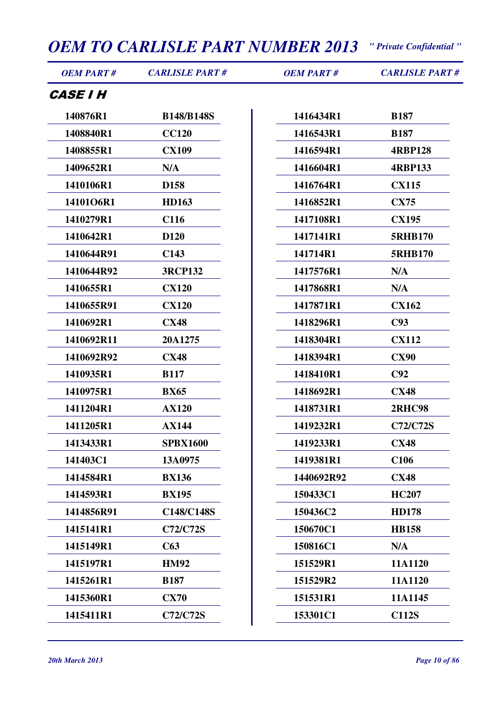| <b>OEM PART#</b>       | <b>CARLISLE PART#</b> | <b>OEM PART#</b> | <b>CARLISLE PART#</b> |
|------------------------|-----------------------|------------------|-----------------------|
| <i><b>CASE I H</b></i> |                       |                  |                       |
| 140876R1               | <b>B148/B148S</b>     | 1416434R1        | <b>B187</b>           |
| 1408840R1              | <b>CC120</b>          | 1416543R1        | <b>B187</b>           |
| 1408855R1              | <b>CX109</b>          | 1416594R1        | <b>4RBP128</b>        |
| 1409652R1              | N/A                   | 1416604R1        | <b>4RBP133</b>        |
| 1410106R1              | D <sub>158</sub>      | 1416764R1        | <b>CX115</b>          |
| 14101O6R1              | <b>HD163</b>          | 1416852R1        | <b>CX75</b>           |
| 1410279R1              | C <sub>116</sub>      | 1417108R1        | <b>CX195</b>          |
| 1410642R1              | D <sub>120</sub>      | 1417141R1        | <b>5RHB170</b>        |
| 1410644R91             | C <sub>143</sub>      | 141714R1         | <b>5RHB170</b>        |
| 1410644R92             | <b>3RCP132</b>        | 1417576R1        | N/A                   |
| 1410655R1              | <b>CX120</b>          | 1417868R1        | N/A                   |
| 1410655R91             | <b>CX120</b>          | 1417871R1        | <b>CX162</b>          |
| 1410692R1              | <b>CX48</b>           | 1418296R1        | C93                   |
| 1410692R11             | 20A1275               | 1418304R1        | <b>CX112</b>          |
| 1410692R92             | <b>CX48</b>           | 1418394R1        | <b>CX90</b>           |
| 1410935R1              | <b>B117</b>           | 1418410R1        | C92                   |
| 1410975R1              | <b>BX65</b>           | 1418692R1        | <b>CX48</b>           |
| 1411204R1              | <b>AX120</b>          | 1418731R1        | <b>2RHC98</b>         |
| 1411205R1              | <b>AX144</b>          | 1419232R1        | <b>C72/C72S</b>       |
| 1413433R1              | <b>SPBX1600</b>       | 1419233R1        | <b>CX48</b>           |
| 141403C1               | 13A0975               | 1419381R1        | C <sub>106</sub>      |
| 1414584R1              | <b>BX136</b>          | 1440692R92       | <b>CX48</b>           |
| 1414593R1              | <b>BX195</b>          | 150433C1         | <b>HC207</b>          |
| 1414856R91             | C148/C148S            | 150436C2         | <b>HD178</b>          |
| 1415141R1              | C72/C72S              | 150670C1         | <b>HB158</b>          |
| 1415149R1              | C63                   | 150816C1         | N/A                   |
| 1415197R1              | <b>HM92</b>           | 151529R1         | 11A1120               |
| 1415261R1              | <b>B187</b>           | 151529R2         | 11A1120               |
| 1415360R1              | <b>CX70</b>           | 151531R1         | 11A1145               |
| 1415411R1              | <b>C72/C72S</b>       | 153301C1         | <b>C112S</b>          |
|                        |                       |                  |                       |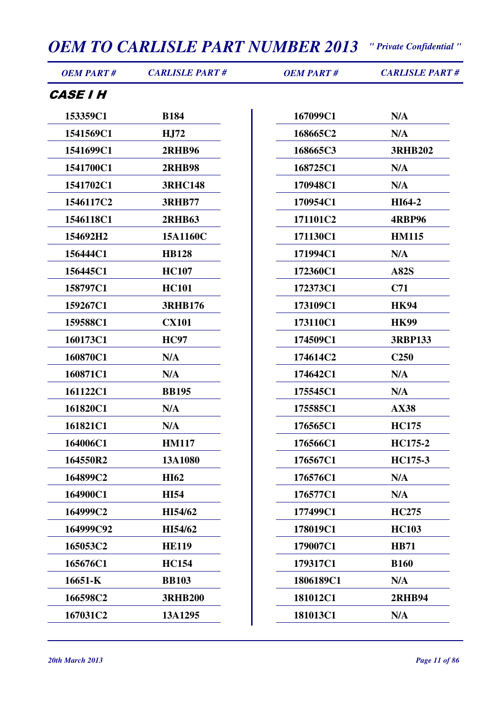| <b>OEM PART#</b>       | <b>CARLISLE PART#</b> | <b>OEM PART#</b> | <b>CARLISLE PART#</b> |
|------------------------|-----------------------|------------------|-----------------------|
| <i><b>CASE I H</b></i> |                       |                  |                       |
| 153359C1               | <b>B184</b>           | 167099C1         | N/A                   |
| 1541569C1              | <b>HJ72</b>           | 168665C2         | N/A                   |
| 1541699C1              | <b>2RHB96</b>         | 168665C3         | <b>3RHB202</b>        |
| 1541700C1              | <b>2RHB98</b>         | 168725C1         | N/A                   |
| 1541702C1              | <b>3RHC148</b>        | 170948C1         | N/A                   |
| 1546117C2              | <b>3RHB77</b>         | 170954C1         | HI64-2                |
| 1546118C1              | <b>2RHB63</b>         | 171101C2         | <b>4RBP96</b>         |
| 154692H2               | 15A1160C              | 171130C1         | <b>HM115</b>          |
| 156444C1               | <b>HB128</b>          | 171994C1         | N/A                   |
| 156445C1               | <b>HC107</b>          | 172360C1         | <b>A82S</b>           |
| 158797C1               | <b>HC101</b>          | 172373C1         | C <sub>71</sub>       |
| 159267C1               | <b>3RHB176</b>        | 173109C1         | <b>HK94</b>           |
| 159588C1               | <b>CX101</b>          | 173110C1         | <b>HK99</b>           |
| 160173C1               | <b>HC97</b>           | 174509C1         | <b>3RBP133</b>        |
| 160870C1               | N/A                   | 174614C2         | C <sub>250</sub>      |
| 160871C1               | N/A                   | 174642C1         | N/A                   |
| 161122C1               | <b>BB195</b>          | 175545C1         | N/A                   |
| 161820C1               | N/A                   | 175585C1         | <b>AX38</b>           |
| 161821C1               | N/A                   | 176565C1         | <b>HC175</b>          |
| 164006C1               | <b>HM117</b>          | 176566C1         | HC175-2               |
| 164550R2               | 13A1080               | 176567C1         | <b>HC175-3</b>        |
| 164899C2               | <b>HI62</b>           | 176576C1         | N/A                   |
| 164900C1               | <b>HI54</b>           | 176577C1         | N/A                   |
| 164999C2               | HI54/62               | 177499C1         | <b>HC275</b>          |
| 164999C92              | HI54/62               | 178019C1         | <b>HC103</b>          |
| 165053C2               | <b>HE119</b>          | 179007C1         | <b>HB71</b>           |
| 165676C1               | <b>HC154</b>          | 179317C1         | <b>B160</b>           |
| 16651-K                | <b>BB103</b>          | 1806189C1        | N/A                   |
| 166598C2               | <b>3RHB200</b>        | 181012C1         | <b>2RHB94</b>         |
| 167031C2               | 13A1295               | 181013C1         | N/A                   |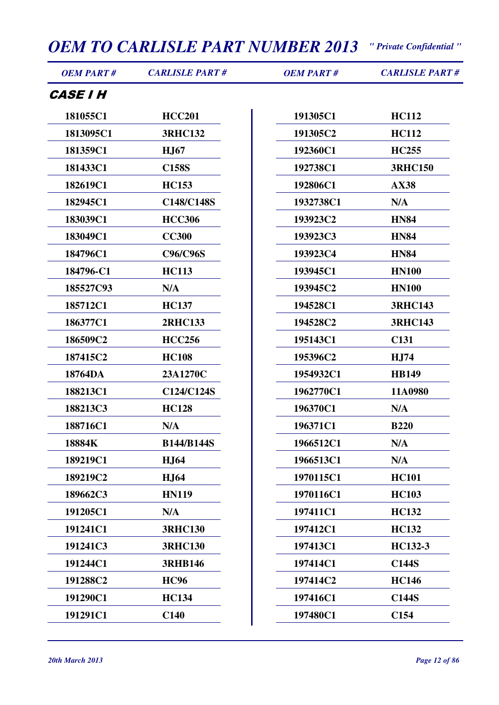| <b>OEM PART#</b>       | <b>CARLISLE PART#</b> | <b>OEM PART#</b> | <b>CARLISLE PART#</b> |
|------------------------|-----------------------|------------------|-----------------------|
| <i><b>CASE I H</b></i> |                       |                  |                       |
| 181055C1               | <b>HCC201</b>         | 191305C1         | <b>HC112</b>          |
| 1813095C1              | <b>3RHC132</b>        | 191305C2         | <b>HC112</b>          |
| 181359C1               | <b>HJ67</b>           | 192360C1         | <b>HC255</b>          |
| 181433C1               | <b>C158S</b>          | 192738C1         | <b>3RHC150</b>        |
| 182619C1               | <b>HC153</b>          | 192806C1         | <b>AX38</b>           |
| 182945C1               | C148/C148S            | 1932738C1        | N/A                   |
| 183039C1               | <b>HCC306</b>         | 193923C2         | <b>HN84</b>           |
| 183049C1               | <b>CC300</b>          | 193923C3         | <b>HN84</b>           |
| 184796C1               | <b>C96/C96S</b>       | 193923C4         | <b>HN84</b>           |
| 184796-C1              | <b>HC113</b>          | 193945C1         | <b>HN100</b>          |
| 185527C93              | N/A                   | 193945C2         | <b>HN100</b>          |
| 185712C1               | <b>HC137</b>          | 194528C1         | <b>3RHC143</b>        |
| 186377C1               | <b>2RHC133</b>        | 194528C2         | <b>3RHC143</b>        |
| 186509C2               | <b>HCC256</b>         | 195143C1         | C <sub>131</sub>      |
| 187415C2               | <b>HC108</b>          | 195396C2         | HJ74                  |
| 18764DA                | 23A1270C              | 1954932C1        | <b>HB149</b>          |
| 188213C1               | C124/C124S            | 1962770C1        | 11A0980               |
| 188213C3               | <b>HC128</b>          | 196370C1         | N/A                   |
| 188716C1               | N/A                   | 196371C1         | <b>B220</b>           |
| 18884K                 | <b>B144/B144S</b>     | 1966512C1        | N/A                   |
| 189219C1               | <b>HJ64</b>           | 1966513C1        | N/A                   |
| 189219C2               | <b>HJ64</b>           | 1970115C1        | <b>HC101</b>          |
| 189662C3               | <b>HN119</b>          | 1970116C1        | <b>HC103</b>          |
| 191205C1               | N/A                   | 197411C1         | <b>HC132</b>          |
| 191241C1               | <b>3RHC130</b>        | 197412C1         | <b>HC132</b>          |
| 191241C3               | <b>3RHC130</b>        | 197413C1         | HC132-3               |
| 191244C1               | <b>3RHB146</b>        | 197414C1         | <b>C144S</b>          |
| 191288C2               | <b>HC96</b>           | 197414C2         | <b>HC146</b>          |

**191290C1 HC134**

**191291C1 C140**

**197416C1 C144S 197480C1 C154**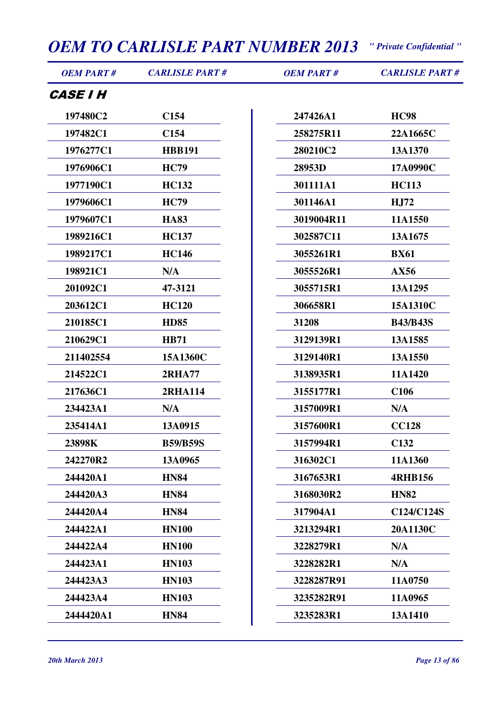| 197480C2<br>C <sub>154</sub><br>247426A1<br><b>HC98</b><br>197482C1<br>C <sub>154</sub><br>22A1665C<br>258275R11<br>1976277C1<br><b>HBB191</b><br>280210C2<br>13A1370<br>1976906C1<br><b>HC79</b><br>28953D<br>17A0990C<br><b>HC132</b><br>301111A1<br><b>HC113</b><br>1977190C1<br>1979606C1<br><b>HC79</b><br>301146A1<br>HJ72<br>1979607C1<br><b>HA83</b><br>3019004R11<br>11A1550<br>1989216C1<br><b>HC137</b><br>302587C11<br>13A1675<br>1989217C1<br><b>HC146</b><br>3055261R1<br><b>BX61</b><br>198921C1<br>3055526R1<br>N/A<br>AX56<br>201092C1<br>47-3121<br>3055715R1<br>13A1295<br>203612C1<br><b>HC120</b><br>306658R1<br>15A1310C<br>210185C1<br><b>HD85</b><br><b>B43/B43S</b><br>31208<br>210629C1<br>3129139R1<br>13A1585<br><b>HB71</b><br>211402554<br>15A1360C<br>3129140R1<br>13A1550<br>11A1420<br>214522C1<br><b>2RHA77</b><br>3138935R1<br>217636C1<br>3155177R1<br><b>C106</b><br><b>2RHA114</b><br>234423A1<br>N/A<br>3157009R1<br>N/A<br>235414A1<br>13A0915<br>3157600R1<br><b>CC128</b><br>C <sub>132</sub><br>23898K<br><b>B59/B59S</b><br>3157994R1<br>11A1360<br>242270R2<br>13A0965<br>316302C1<br>244420A1<br><b>HN84</b><br>3167653R1<br><b>4RHB156</b><br>3168030R2<br>244420A3<br><b>HN84</b><br><b>HN82</b><br>244420A4<br><b>HN84</b><br>317904A1<br>20A1130C<br>244422A1<br><b>HN100</b><br>3213294R1<br>244422A4<br><b>HN100</b><br>3228279R1<br>N/A<br>244423A1<br><b>HN103</b><br>3228282R1<br>N/A<br>244423A3<br><b>HN103</b><br>3228287R91<br>11A0750<br>244423A4<br><b>HN103</b><br>3235282R91<br>11A0965<br>2444420A1<br><b>HN84</b><br>3235283R1<br>13A1410 | <b>OEM PART#</b>       | <b>CARLISLE PART#</b> | <b>OEM PART#</b> | <b>CARLISLE PART#</b> |
|------------------------------------------------------------------------------------------------------------------------------------------------------------------------------------------------------------------------------------------------------------------------------------------------------------------------------------------------------------------------------------------------------------------------------------------------------------------------------------------------------------------------------------------------------------------------------------------------------------------------------------------------------------------------------------------------------------------------------------------------------------------------------------------------------------------------------------------------------------------------------------------------------------------------------------------------------------------------------------------------------------------------------------------------------------------------------------------------------------------------------------------------------------------------------------------------------------------------------------------------------------------------------------------------------------------------------------------------------------------------------------------------------------------------------------------------------------------------------------------------------------------------------------------------------------------------------------------------------------|------------------------|-----------------------|------------------|-----------------------|
|                                                                                                                                                                                                                                                                                                                                                                                                                                                                                                                                                                                                                                                                                                                                                                                                                                                                                                                                                                                                                                                                                                                                                                                                                                                                                                                                                                                                                                                                                                                                                                                                            | <i><b>CASE I H</b></i> |                       |                  |                       |
|                                                                                                                                                                                                                                                                                                                                                                                                                                                                                                                                                                                                                                                                                                                                                                                                                                                                                                                                                                                                                                                                                                                                                                                                                                                                                                                                                                                                                                                                                                                                                                                                            |                        |                       |                  |                       |
|                                                                                                                                                                                                                                                                                                                                                                                                                                                                                                                                                                                                                                                                                                                                                                                                                                                                                                                                                                                                                                                                                                                                                                                                                                                                                                                                                                                                                                                                                                                                                                                                            |                        |                       |                  |                       |
|                                                                                                                                                                                                                                                                                                                                                                                                                                                                                                                                                                                                                                                                                                                                                                                                                                                                                                                                                                                                                                                                                                                                                                                                                                                                                                                                                                                                                                                                                                                                                                                                            |                        |                       |                  |                       |
|                                                                                                                                                                                                                                                                                                                                                                                                                                                                                                                                                                                                                                                                                                                                                                                                                                                                                                                                                                                                                                                                                                                                                                                                                                                                                                                                                                                                                                                                                                                                                                                                            |                        |                       |                  |                       |
|                                                                                                                                                                                                                                                                                                                                                                                                                                                                                                                                                                                                                                                                                                                                                                                                                                                                                                                                                                                                                                                                                                                                                                                                                                                                                                                                                                                                                                                                                                                                                                                                            |                        |                       |                  |                       |
|                                                                                                                                                                                                                                                                                                                                                                                                                                                                                                                                                                                                                                                                                                                                                                                                                                                                                                                                                                                                                                                                                                                                                                                                                                                                                                                                                                                                                                                                                                                                                                                                            |                        |                       |                  |                       |
|                                                                                                                                                                                                                                                                                                                                                                                                                                                                                                                                                                                                                                                                                                                                                                                                                                                                                                                                                                                                                                                                                                                                                                                                                                                                                                                                                                                                                                                                                                                                                                                                            |                        |                       |                  |                       |
|                                                                                                                                                                                                                                                                                                                                                                                                                                                                                                                                                                                                                                                                                                                                                                                                                                                                                                                                                                                                                                                                                                                                                                                                                                                                                                                                                                                                                                                                                                                                                                                                            |                        |                       |                  |                       |
|                                                                                                                                                                                                                                                                                                                                                                                                                                                                                                                                                                                                                                                                                                                                                                                                                                                                                                                                                                                                                                                                                                                                                                                                                                                                                                                                                                                                                                                                                                                                                                                                            |                        |                       |                  |                       |
|                                                                                                                                                                                                                                                                                                                                                                                                                                                                                                                                                                                                                                                                                                                                                                                                                                                                                                                                                                                                                                                                                                                                                                                                                                                                                                                                                                                                                                                                                                                                                                                                            |                        |                       |                  |                       |
|                                                                                                                                                                                                                                                                                                                                                                                                                                                                                                                                                                                                                                                                                                                                                                                                                                                                                                                                                                                                                                                                                                                                                                                                                                                                                                                                                                                                                                                                                                                                                                                                            |                        |                       |                  |                       |
|                                                                                                                                                                                                                                                                                                                                                                                                                                                                                                                                                                                                                                                                                                                                                                                                                                                                                                                                                                                                                                                                                                                                                                                                                                                                                                                                                                                                                                                                                                                                                                                                            |                        |                       |                  |                       |
|                                                                                                                                                                                                                                                                                                                                                                                                                                                                                                                                                                                                                                                                                                                                                                                                                                                                                                                                                                                                                                                                                                                                                                                                                                                                                                                                                                                                                                                                                                                                                                                                            |                        |                       |                  |                       |
|                                                                                                                                                                                                                                                                                                                                                                                                                                                                                                                                                                                                                                                                                                                                                                                                                                                                                                                                                                                                                                                                                                                                                                                                                                                                                                                                                                                                                                                                                                                                                                                                            |                        |                       |                  |                       |
|                                                                                                                                                                                                                                                                                                                                                                                                                                                                                                                                                                                                                                                                                                                                                                                                                                                                                                                                                                                                                                                                                                                                                                                                                                                                                                                                                                                                                                                                                                                                                                                                            |                        |                       |                  |                       |
|                                                                                                                                                                                                                                                                                                                                                                                                                                                                                                                                                                                                                                                                                                                                                                                                                                                                                                                                                                                                                                                                                                                                                                                                                                                                                                                                                                                                                                                                                                                                                                                                            |                        |                       |                  |                       |
|                                                                                                                                                                                                                                                                                                                                                                                                                                                                                                                                                                                                                                                                                                                                                                                                                                                                                                                                                                                                                                                                                                                                                                                                                                                                                                                                                                                                                                                                                                                                                                                                            |                        |                       |                  |                       |
|                                                                                                                                                                                                                                                                                                                                                                                                                                                                                                                                                                                                                                                                                                                                                                                                                                                                                                                                                                                                                                                                                                                                                                                                                                                                                                                                                                                                                                                                                                                                                                                                            |                        |                       |                  |                       |
|                                                                                                                                                                                                                                                                                                                                                                                                                                                                                                                                                                                                                                                                                                                                                                                                                                                                                                                                                                                                                                                                                                                                                                                                                                                                                                                                                                                                                                                                                                                                                                                                            |                        |                       |                  |                       |
|                                                                                                                                                                                                                                                                                                                                                                                                                                                                                                                                                                                                                                                                                                                                                                                                                                                                                                                                                                                                                                                                                                                                                                                                                                                                                                                                                                                                                                                                                                                                                                                                            |                        |                       |                  |                       |
|                                                                                                                                                                                                                                                                                                                                                                                                                                                                                                                                                                                                                                                                                                                                                                                                                                                                                                                                                                                                                                                                                                                                                                                                                                                                                                                                                                                                                                                                                                                                                                                                            |                        |                       |                  |                       |
|                                                                                                                                                                                                                                                                                                                                                                                                                                                                                                                                                                                                                                                                                                                                                                                                                                                                                                                                                                                                                                                                                                                                                                                                                                                                                                                                                                                                                                                                                                                                                                                                            |                        |                       |                  |                       |
|                                                                                                                                                                                                                                                                                                                                                                                                                                                                                                                                                                                                                                                                                                                                                                                                                                                                                                                                                                                                                                                                                                                                                                                                                                                                                                                                                                                                                                                                                                                                                                                                            |                        |                       |                  |                       |
|                                                                                                                                                                                                                                                                                                                                                                                                                                                                                                                                                                                                                                                                                                                                                                                                                                                                                                                                                                                                                                                                                                                                                                                                                                                                                                                                                                                                                                                                                                                                                                                                            |                        |                       |                  | C124/C124S            |
|                                                                                                                                                                                                                                                                                                                                                                                                                                                                                                                                                                                                                                                                                                                                                                                                                                                                                                                                                                                                                                                                                                                                                                                                                                                                                                                                                                                                                                                                                                                                                                                                            |                        |                       |                  |                       |
|                                                                                                                                                                                                                                                                                                                                                                                                                                                                                                                                                                                                                                                                                                                                                                                                                                                                                                                                                                                                                                                                                                                                                                                                                                                                                                                                                                                                                                                                                                                                                                                                            |                        |                       |                  |                       |
|                                                                                                                                                                                                                                                                                                                                                                                                                                                                                                                                                                                                                                                                                                                                                                                                                                                                                                                                                                                                                                                                                                                                                                                                                                                                                                                                                                                                                                                                                                                                                                                                            |                        |                       |                  |                       |
|                                                                                                                                                                                                                                                                                                                                                                                                                                                                                                                                                                                                                                                                                                                                                                                                                                                                                                                                                                                                                                                                                                                                                                                                                                                                                                                                                                                                                                                                                                                                                                                                            |                        |                       |                  |                       |
|                                                                                                                                                                                                                                                                                                                                                                                                                                                                                                                                                                                                                                                                                                                                                                                                                                                                                                                                                                                                                                                                                                                                                                                                                                                                                                                                                                                                                                                                                                                                                                                                            |                        |                       |                  |                       |
|                                                                                                                                                                                                                                                                                                                                                                                                                                                                                                                                                                                                                                                                                                                                                                                                                                                                                                                                                                                                                                                                                                                                                                                                                                                                                                                                                                                                                                                                                                                                                                                                            |                        |                       |                  |                       |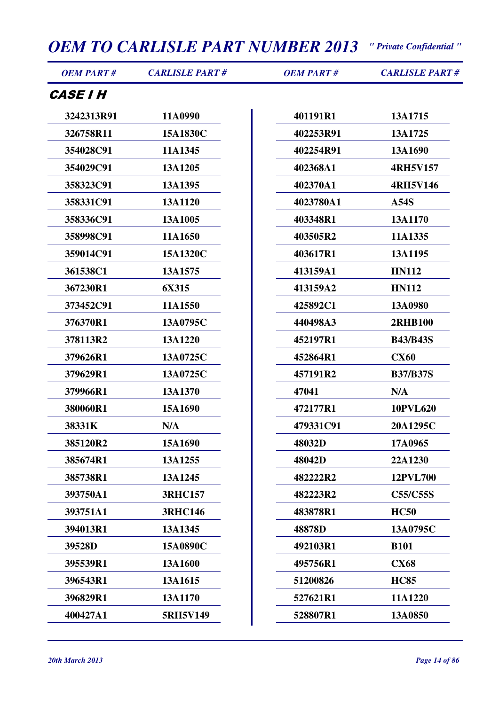| <b>OEM PART#</b>       | <b>CARLISLE PART#</b> | <b>OEM PART#</b> | <b>CARLISLE PART#</b> |
|------------------------|-----------------------|------------------|-----------------------|
| <i><b>CASE I H</b></i> |                       |                  |                       |
| 3242313R91             | 11A0990               | 401191R1         | 13A1715               |
| 326758R11              | 15A1830C              | 402253R91        | 13A1725               |
| 354028C91              | 11A1345               | 402254R91        | 13A1690               |
| 354029C91              | 13A1205               | 402368A1         | <b>4RH5V157</b>       |
| 358323C91              | 13A1395               | 402370A1         | <b>4RH5V146</b>       |
| 358331C91              | 13A1120               | 4023780A1        | A54S                  |
| 358336C91              | 13A1005               | 403348R1         | 13A1170               |
| 358998C91              | 11A1650               | 403505R2         | 11A1335               |
| 359014C91              | 15A1320C              | 403617R1         | 13A1195               |
| 361538C1               | 13A1575               | 413159A1         | <b>HN112</b>          |
| 367230R1               | 6X315                 | 413159A2         | <b>HN112</b>          |
| 373452C91              | 11A1550               | 425892C1         | 13A0980               |
| 376370R1               | 13A0795C              | 440498A3         | <b>2RHB100</b>        |
| 378113R2               | 13A1220               | 452197R1         | <b>B43/B43S</b>       |
| 379626R1               | 13A0725C              | 452864R1         | <b>CX60</b>           |
| 379629R1               | 13A0725C              | 457191R2         | <b>B37/B37S</b>       |
| 379966R1               | 13A1370               | 47041            | N/A                   |
| 380060R1               | 15A1690               | 472177R1         | <b>10PVL620</b>       |
| 38331K                 | N/A                   | 479331C91        | 20A1295C              |
| 385120R2               | 15A1690               | 48032D           | 17A0965               |
| 385674R1               | 13A1255               | 48042D           | 22A1230               |
| 385738R1               | 13A1245               | 482222R2         | <b>12PVL700</b>       |
| 393750A1               | <b>3RHC157</b>        | 482223R2         | <b>C55/C55S</b>       |
| 393751A1               | <b>3RHC146</b>        | 483878R1         | <b>HC50</b>           |
| 394013R1               | 13A1345               | 48878D           | 13A0795C              |
| 39528D                 | 15A0890C              | 492103R1         | <b>B101</b>           |
| 395539R1               | 13A1600               | 495756R1         | <b>CX68</b>           |
| 396543R1               | 13A1615               | 51200826         | <b>HC85</b>           |
| 396829R1               | 13A1170               | 527621R1         | 11A1220               |
| 400427A1               | 5RH5V149              | 528807R1         | 13A0850               |
|                        |                       |                  |                       |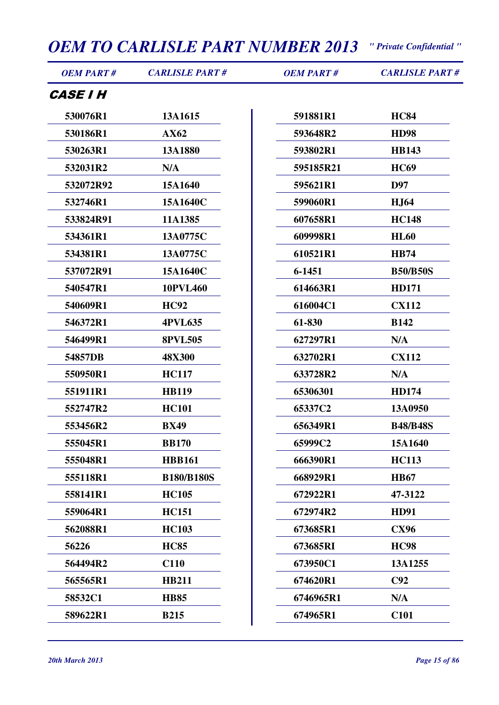| <b>OEM PART#</b>       | <b>CARLISLE PART#</b> | <b>OEM PART#</b> | <b>CARLISLE PART#</b> |
|------------------------|-----------------------|------------------|-----------------------|
| <i><b>CASE I H</b></i> |                       |                  |                       |
| 530076R1               | 13A1615               | 591881R1         | <b>HC84</b>           |
| 530186R1               | AX62                  | 593648R2         | <b>HD98</b>           |
| 530263R1               | 13A1880               | 593802R1         | <b>HB143</b>          |
| 532031R2               | N/A                   | 595185R21        | <b>HC69</b>           |
| 532072R92              | 15A1640               | 595621R1         | D97                   |
| 532746R1               | 15A1640C              | 599060R1         | <b>HJ64</b>           |
| 533824R91              | 11A1385               | 607658R1         | <b>HC148</b>          |
| 534361R1               | 13A0775C              | 609998R1         | <b>HL60</b>           |
| 534381R1               | 13A0775C              | 610521R1         | <b>HB74</b>           |
| 537072R91              | 15A1640C              | 6-1451           | <b>B50/B50S</b>       |
| 540547R1               | 10PVL460              | 614663R1         | <b>HD171</b>          |
| 540609R1               | <b>HC92</b>           | 616004C1         | <b>CX112</b>          |
| 546372R1               | <b>4PVL635</b>        | 61-830           | <b>B142</b>           |
| 546499R1               | <b>8PVL505</b>        | 627297R1         | N/A                   |
| 54857DB                | <b>48X300</b>         | 632702R1         | <b>CX112</b>          |
| 550950R1               | <b>HC117</b>          | 633728R2         | N/A                   |
| 551911R1               | <b>HB119</b>          | 65306301         | <b>HD174</b>          |
| 552747R2               | <b>HC101</b>          | 65337C2          | 13A0950               |
| 553456R2               | <b>BX49</b>           | 656349R1         | <b>B48/B48S</b>       |
| 555045R1               | <b>BB170</b>          | 65999C2          | 15A1640               |
| 555048R1               | <b>HBB161</b>         | 666390R1         | <b>HC113</b>          |
| 555118R1               | <b>B180/B180S</b>     | 668929R1         | <b>HB67</b>           |
| 558141R1               | <b>HC105</b>          | 672922R1         | 47-3122               |
| 559064R1               | <b>HC151</b>          | 672974R2         | <b>HD91</b>           |
| 562088R1               | <b>HC103</b>          | 673685R1         | <b>CX96</b>           |
| 56226                  | <b>HC85</b>           | 673685RI         | <b>HC98</b>           |
| 564494R2               | C110                  | 673950C1         | 13A1255               |
| 565565R1               | <b>HB211</b>          | 674620R1         | C92                   |
| 58532C1                | <b>HB85</b>           | 6746965R1        | N/A                   |
| 589622R1               | <b>B215</b>           | 674965R1         | C <sub>101</sub>      |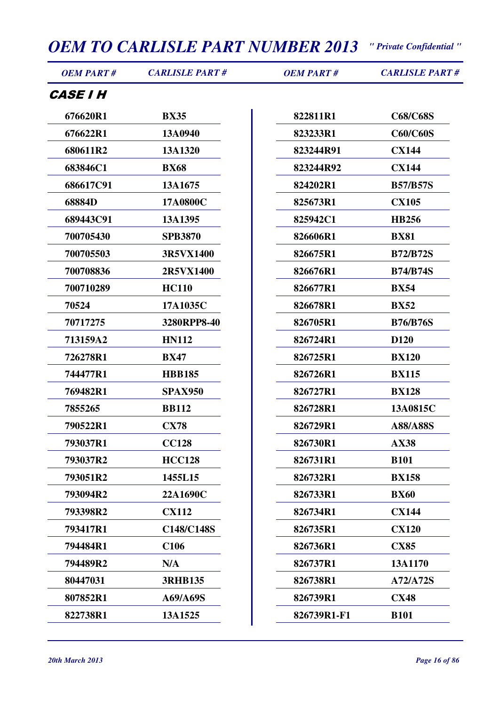| <i><b>CASE I H</b></i><br><b>C68/C68S</b><br>676620R1<br><b>BX35</b><br>822811R1<br>13A0940<br><b>C60/C60S</b><br>676622R1<br>823233R1<br>680611R2<br>823244R91<br><b>CX144</b><br>13A1320<br>683846C1<br><b>BX68</b><br>823244R92<br><b>CX144</b><br>686617C91<br>13A1675<br>824202R1<br><b>B57/B57S</b><br>68884D<br>17A0800C<br>825673R1<br><b>CX105</b><br>689443C91<br>13A1395<br>825942C1<br><b>HB256</b><br>700705430<br><b>SPB3870</b><br>826606R1<br><b>BX81</b><br>700705503<br>3R5VX1400<br>826675R1<br><b>B72/B72S</b><br>700708836<br>2R5VX1400<br>826676R1<br><b>B74/B74S</b><br>700710289<br><b>HC110</b><br>826677R1<br><b>BX54</b><br>826678R1<br>70524<br>17A1035C<br><b>BX52</b><br>70717275<br>3280RPP8-40<br>826705R1<br><b>B76/B76S</b><br>713159A2<br><b>HN112</b><br>826724R1<br>D <sub>120</sub><br>726278R1<br>826725R1<br><b>BX120</b><br><b>BX47</b><br>744477R1<br><b>HBB185</b><br>826726R1<br><b>BX115</b><br>769482R1<br>826727R1<br><b>BX128</b><br><b>SPAX950</b><br><b>BB112</b><br>826728R1<br>13A0815C<br>7855265<br><b>CX78</b><br>790522R1<br>826729R1<br>A88/A88S<br><b>CC128</b><br>793037R1<br>826730R1<br><b>AX38</b><br><b>HCC128</b><br><b>B101</b><br>793037R2<br>826731R1<br>793051R2<br>1455L15<br>826732R1<br><b>BX158</b><br>826733R1<br><b>BX60</b><br>793094R2<br>22A1690C<br>793398R2<br><b>CX112</b><br>826734R1<br><b>CX144</b><br><b>CX120</b><br>793417R1<br>C148/C148S<br>826735R1<br>794484R1<br>C <sub>106</sub><br>826736R1<br><b>CX85</b><br>13A1170<br>794489R2<br>N/A<br>826737R1<br>80447031<br><b>3RHB135</b><br>826738R1<br>A72/A72S<br><b>CX48</b><br>807852R1<br>A69/A69S<br>826739R1<br>822738R1<br>13A1525<br>826739R1-F1<br><b>B101</b> | <b>OEM PART#</b> | <b>CARLISLE PART#</b> | <b>OEM PART#</b> | <b>CARLISLE PART#</b> |
|-----------------------------------------------------------------------------------------------------------------------------------------------------------------------------------------------------------------------------------------------------------------------------------------------------------------------------------------------------------------------------------------------------------------------------------------------------------------------------------------------------------------------------------------------------------------------------------------------------------------------------------------------------------------------------------------------------------------------------------------------------------------------------------------------------------------------------------------------------------------------------------------------------------------------------------------------------------------------------------------------------------------------------------------------------------------------------------------------------------------------------------------------------------------------------------------------------------------------------------------------------------------------------------------------------------------------------------------------------------------------------------------------------------------------------------------------------------------------------------------------------------------------------------------------------------------------------------------------------------------------------------------------------------------------------------------------------------------|------------------|-----------------------|------------------|-----------------------|
|                                                                                                                                                                                                                                                                                                                                                                                                                                                                                                                                                                                                                                                                                                                                                                                                                                                                                                                                                                                                                                                                                                                                                                                                                                                                                                                                                                                                                                                                                                                                                                                                                                                                                                                 |                  |                       |                  |                       |
|                                                                                                                                                                                                                                                                                                                                                                                                                                                                                                                                                                                                                                                                                                                                                                                                                                                                                                                                                                                                                                                                                                                                                                                                                                                                                                                                                                                                                                                                                                                                                                                                                                                                                                                 |                  |                       |                  |                       |
|                                                                                                                                                                                                                                                                                                                                                                                                                                                                                                                                                                                                                                                                                                                                                                                                                                                                                                                                                                                                                                                                                                                                                                                                                                                                                                                                                                                                                                                                                                                                                                                                                                                                                                                 |                  |                       |                  |                       |
|                                                                                                                                                                                                                                                                                                                                                                                                                                                                                                                                                                                                                                                                                                                                                                                                                                                                                                                                                                                                                                                                                                                                                                                                                                                                                                                                                                                                                                                                                                                                                                                                                                                                                                                 |                  |                       |                  |                       |
|                                                                                                                                                                                                                                                                                                                                                                                                                                                                                                                                                                                                                                                                                                                                                                                                                                                                                                                                                                                                                                                                                                                                                                                                                                                                                                                                                                                                                                                                                                                                                                                                                                                                                                                 |                  |                       |                  |                       |
|                                                                                                                                                                                                                                                                                                                                                                                                                                                                                                                                                                                                                                                                                                                                                                                                                                                                                                                                                                                                                                                                                                                                                                                                                                                                                                                                                                                                                                                                                                                                                                                                                                                                                                                 |                  |                       |                  |                       |
|                                                                                                                                                                                                                                                                                                                                                                                                                                                                                                                                                                                                                                                                                                                                                                                                                                                                                                                                                                                                                                                                                                                                                                                                                                                                                                                                                                                                                                                                                                                                                                                                                                                                                                                 |                  |                       |                  |                       |
|                                                                                                                                                                                                                                                                                                                                                                                                                                                                                                                                                                                                                                                                                                                                                                                                                                                                                                                                                                                                                                                                                                                                                                                                                                                                                                                                                                                                                                                                                                                                                                                                                                                                                                                 |                  |                       |                  |                       |
|                                                                                                                                                                                                                                                                                                                                                                                                                                                                                                                                                                                                                                                                                                                                                                                                                                                                                                                                                                                                                                                                                                                                                                                                                                                                                                                                                                                                                                                                                                                                                                                                                                                                                                                 |                  |                       |                  |                       |
|                                                                                                                                                                                                                                                                                                                                                                                                                                                                                                                                                                                                                                                                                                                                                                                                                                                                                                                                                                                                                                                                                                                                                                                                                                                                                                                                                                                                                                                                                                                                                                                                                                                                                                                 |                  |                       |                  |                       |
|                                                                                                                                                                                                                                                                                                                                                                                                                                                                                                                                                                                                                                                                                                                                                                                                                                                                                                                                                                                                                                                                                                                                                                                                                                                                                                                                                                                                                                                                                                                                                                                                                                                                                                                 |                  |                       |                  |                       |
|                                                                                                                                                                                                                                                                                                                                                                                                                                                                                                                                                                                                                                                                                                                                                                                                                                                                                                                                                                                                                                                                                                                                                                                                                                                                                                                                                                                                                                                                                                                                                                                                                                                                                                                 |                  |                       |                  |                       |
|                                                                                                                                                                                                                                                                                                                                                                                                                                                                                                                                                                                                                                                                                                                                                                                                                                                                                                                                                                                                                                                                                                                                                                                                                                                                                                                                                                                                                                                                                                                                                                                                                                                                                                                 |                  |                       |                  |                       |
|                                                                                                                                                                                                                                                                                                                                                                                                                                                                                                                                                                                                                                                                                                                                                                                                                                                                                                                                                                                                                                                                                                                                                                                                                                                                                                                                                                                                                                                                                                                                                                                                                                                                                                                 |                  |                       |                  |                       |
|                                                                                                                                                                                                                                                                                                                                                                                                                                                                                                                                                                                                                                                                                                                                                                                                                                                                                                                                                                                                                                                                                                                                                                                                                                                                                                                                                                                                                                                                                                                                                                                                                                                                                                                 |                  |                       |                  |                       |
|                                                                                                                                                                                                                                                                                                                                                                                                                                                                                                                                                                                                                                                                                                                                                                                                                                                                                                                                                                                                                                                                                                                                                                                                                                                                                                                                                                                                                                                                                                                                                                                                                                                                                                                 |                  |                       |                  |                       |
|                                                                                                                                                                                                                                                                                                                                                                                                                                                                                                                                                                                                                                                                                                                                                                                                                                                                                                                                                                                                                                                                                                                                                                                                                                                                                                                                                                                                                                                                                                                                                                                                                                                                                                                 |                  |                       |                  |                       |
|                                                                                                                                                                                                                                                                                                                                                                                                                                                                                                                                                                                                                                                                                                                                                                                                                                                                                                                                                                                                                                                                                                                                                                                                                                                                                                                                                                                                                                                                                                                                                                                                                                                                                                                 |                  |                       |                  |                       |
|                                                                                                                                                                                                                                                                                                                                                                                                                                                                                                                                                                                                                                                                                                                                                                                                                                                                                                                                                                                                                                                                                                                                                                                                                                                                                                                                                                                                                                                                                                                                                                                                                                                                                                                 |                  |                       |                  |                       |
|                                                                                                                                                                                                                                                                                                                                                                                                                                                                                                                                                                                                                                                                                                                                                                                                                                                                                                                                                                                                                                                                                                                                                                                                                                                                                                                                                                                                                                                                                                                                                                                                                                                                                                                 |                  |                       |                  |                       |
|                                                                                                                                                                                                                                                                                                                                                                                                                                                                                                                                                                                                                                                                                                                                                                                                                                                                                                                                                                                                                                                                                                                                                                                                                                                                                                                                                                                                                                                                                                                                                                                                                                                                                                                 |                  |                       |                  |                       |
|                                                                                                                                                                                                                                                                                                                                                                                                                                                                                                                                                                                                                                                                                                                                                                                                                                                                                                                                                                                                                                                                                                                                                                                                                                                                                                                                                                                                                                                                                                                                                                                                                                                                                                                 |                  |                       |                  |                       |
|                                                                                                                                                                                                                                                                                                                                                                                                                                                                                                                                                                                                                                                                                                                                                                                                                                                                                                                                                                                                                                                                                                                                                                                                                                                                                                                                                                                                                                                                                                                                                                                                                                                                                                                 |                  |                       |                  |                       |
|                                                                                                                                                                                                                                                                                                                                                                                                                                                                                                                                                                                                                                                                                                                                                                                                                                                                                                                                                                                                                                                                                                                                                                                                                                                                                                                                                                                                                                                                                                                                                                                                                                                                                                                 |                  |                       |                  |                       |
|                                                                                                                                                                                                                                                                                                                                                                                                                                                                                                                                                                                                                                                                                                                                                                                                                                                                                                                                                                                                                                                                                                                                                                                                                                                                                                                                                                                                                                                                                                                                                                                                                                                                                                                 |                  |                       |                  |                       |
|                                                                                                                                                                                                                                                                                                                                                                                                                                                                                                                                                                                                                                                                                                                                                                                                                                                                                                                                                                                                                                                                                                                                                                                                                                                                                                                                                                                                                                                                                                                                                                                                                                                                                                                 |                  |                       |                  |                       |
|                                                                                                                                                                                                                                                                                                                                                                                                                                                                                                                                                                                                                                                                                                                                                                                                                                                                                                                                                                                                                                                                                                                                                                                                                                                                                                                                                                                                                                                                                                                                                                                                                                                                                                                 |                  |                       |                  |                       |
|                                                                                                                                                                                                                                                                                                                                                                                                                                                                                                                                                                                                                                                                                                                                                                                                                                                                                                                                                                                                                                                                                                                                                                                                                                                                                                                                                                                                                                                                                                                                                                                                                                                                                                                 |                  |                       |                  |                       |
|                                                                                                                                                                                                                                                                                                                                                                                                                                                                                                                                                                                                                                                                                                                                                                                                                                                                                                                                                                                                                                                                                                                                                                                                                                                                                                                                                                                                                                                                                                                                                                                                                                                                                                                 |                  |                       |                  |                       |
|                                                                                                                                                                                                                                                                                                                                                                                                                                                                                                                                                                                                                                                                                                                                                                                                                                                                                                                                                                                                                                                                                                                                                                                                                                                                                                                                                                                                                                                                                                                                                                                                                                                                                                                 |                  |                       |                  |                       |
|                                                                                                                                                                                                                                                                                                                                                                                                                                                                                                                                                                                                                                                                                                                                                                                                                                                                                                                                                                                                                                                                                                                                                                                                                                                                                                                                                                                                                                                                                                                                                                                                                                                                                                                 |                  |                       |                  |                       |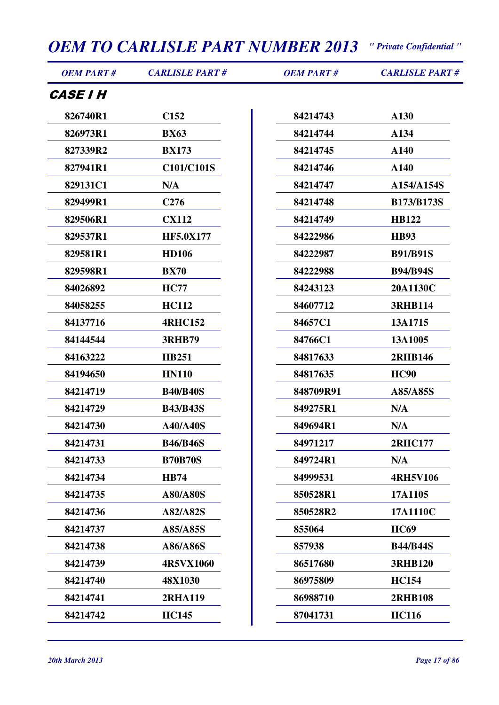| <b>OEM PART#</b>       | <b>CARLISLE PART#</b> | <b>OEM PART#</b> | <b>CARLISLE PART#</b> |
|------------------------|-----------------------|------------------|-----------------------|
| <i><b>CASE I H</b></i> |                       |                  |                       |
| 826740R1               | C <sub>152</sub>      | 84214743         | A130                  |
| 826973R1               | <b>BX63</b>           | 84214744         | A134                  |
| 827339R2               | <b>BX173</b>          | 84214745         | A140                  |
| 827941R1               | C101/C101S            | 84214746         | A140                  |
| 829131C1               | N/A                   | 84214747         | A154/A154S            |
| 829499R1               | C <sub>276</sub>      | 84214748         | <b>B173/B173S</b>     |
| 829506R1               | <b>CX112</b>          | 84214749         | <b>HB122</b>          |
| 829537R1               | <b>HF5.0X177</b>      | 84222986         | <b>HB93</b>           |
| 829581R1               | <b>HD106</b>          | 84222987         | <b>B91/B91S</b>       |
| 829598R1               | <b>BX70</b>           | 84222988         | <b>B94/B94S</b>       |
| 84026892               | <b>HC77</b>           | 84243123         | 20A1130C              |
| 84058255               | <b>HC112</b>          | 84607712         | <b>3RHB114</b>        |
| 84137716               | <b>4RHC152</b>        | 84657C1          | 13A1715               |
| 84144544               | <b>3RHB79</b>         | 84766C1          | 13A1005               |
| 84163222               | <b>HB251</b>          | 84817633         | <b>2RHB146</b>        |
| 84194650               | <b>HN110</b>          | 84817635         | <b>HC90</b>           |
| 84214719               | <b>B40/B40S</b>       | 848709R91        | A85/A85S              |
| 84214729               | <b>B43/B43S</b>       | 849275R1         | N/A                   |
| 84214730               | <b>A40/A40S</b>       | 849694R1         | N/A                   |
| 84214731               | <b>B46/B46S</b>       | 84971217         | <b>2RHC177</b>        |
| 84214733               | <b>B70B70S</b>        | 849724R1         | N/A                   |
| 84214734               | <b>HB74</b>           | 84999531         | <b>4RH5V106</b>       |
| 84214735               | <b>A80/A80S</b>       | 850528R1         | 17A1105               |
| 84214736               | A82/A82S              | 850528R2         | 17A1110C              |
| 84214737               | A85/A85S              | 855064           | <b>HC69</b>           |
| 84214738               | A86/A86S              | 857938           | <b>B44/B44S</b>       |
| 84214739               | 4R5VX1060             | 86517680         | <b>3RHB120</b>        |

**48X1030**

**2RHA119**

**HC145**

**HC154**

**HC116**

**2RHB108**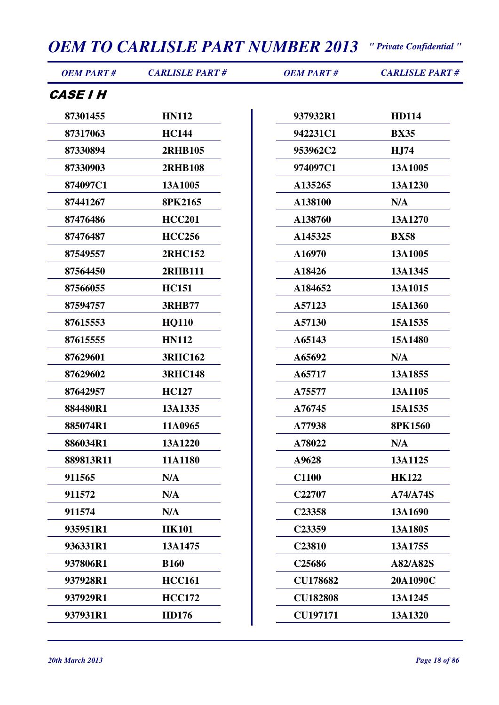| <b>OEM PART#</b> | <b>CARLISLE PART#</b> | <b>OEM PART#</b>   | <b>CARLISLE PART#</b> |
|------------------|-----------------------|--------------------|-----------------------|
| <b>CASE I H</b>  |                       |                    |                       |
| 87301455         | <b>HN112</b>          | 937932R1           | <b>HD114</b>          |
| 87317063         | <b>HC144</b>          | 942231C1           | <b>BX35</b>           |
| 87330894         | <b>2RHB105</b>        | 953962C2           | H <sub>J</sub> 74     |
| 87330903         | <b>2RHB108</b>        | 974097C1           | 13A1005               |
| 874097C1         | 13A1005               | A135265            | 13A1230               |
| 87441267         | 8PK2165               | A138100            | N/A                   |
| 87476486         | <b>HCC201</b>         | A138760            | 13A1270               |
| 87476487         | <b>HCC256</b>         | A145325            | <b>BX58</b>           |
| 87549557         | <b>2RHC152</b>        | A16970             | 13A1005               |
| 87564450         | 2RHB111               | A18426             | 13A1345               |
| 87566055         | <b>HC151</b>          | A184652            | 13A1015               |
| 87594757         | <b>3RHB77</b>         | A57123             | 15A1360               |
| 87615553         | <b>HQ110</b>          | A57130             | 15A1535               |
| 87615555         | <b>HN112</b>          | A65143             | 15A1480               |
| 87629601         | <b>3RHC162</b>        | A65692             | N/A                   |
| 87629602         | <b>3RHC148</b>        | A65717             | 13A1855               |
| 87642957         | <b>HC127</b>          | A75577             | 13A1105               |
| 884480R1         | 13A1335               | A76745             | 15A1535               |
| 885074R1         | 11A0965               | A77938             | <b>8PK1560</b>        |
| 886034R1         | 13A1220               | A78022             | N/A                   |
| 889813R11        | 11A1180               | A9628              | 13A1125               |
| 911565           | N/A                   | <b>C1100</b>       | <b>HK122</b>          |
| 911572           | N/A                   | C22707             | A74/A74S              |
| 911574           | N/A                   | C23358             | 13A1690               |
| 935951R1         | <b>HK101</b>          | C23359             | 13A1805               |
| 936331R1         | 13A1475               | C23810             | 13A1755               |
| 937806R1         | <b>B160</b>           | C <sub>25686</sub> | A82/A82S              |
| 937928R1         | <b>HCC161</b>         | <b>CU178682</b>    | 20A1090C              |
| 937929R1         | <b>HCC172</b>         | <b>CU182808</b>    | 13A1245               |
| 937931R1         | <b>HD176</b>          | <b>CU197171</b>    | 13A1320               |

 $\overline{\phantom{a}}$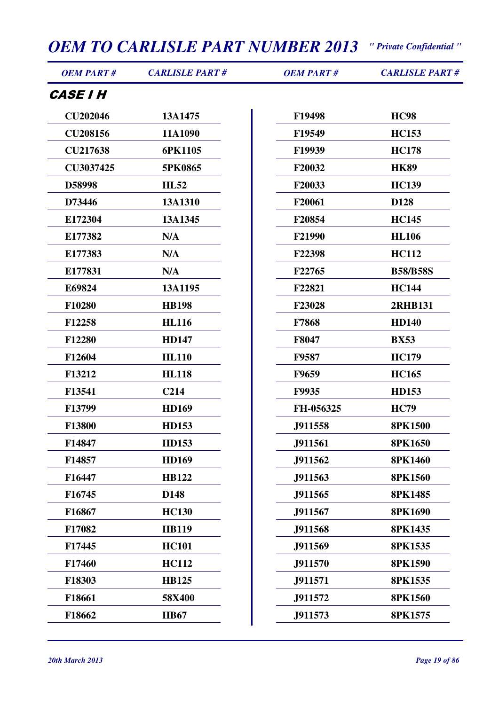| <b>OEM PART#</b>       | <b>CARLISLE PART#</b> | <b>OEM PART#</b> | <b>CARLISLE PART#</b> |
|------------------------|-----------------------|------------------|-----------------------|
| <i><b>CASE I H</b></i> |                       |                  |                       |
| <b>CU202046</b>        | 13A1475               | F19498           | <b>HC98</b>           |
| <b>CU208156</b>        | 11A1090               | F19549           | <b>HC153</b>          |
| <b>CU217638</b>        | 6PK1105               | F19939           | <b>HC178</b>          |
| CU3037425              | 5PK0865               | F20032           | <b>HK89</b>           |
| D58998                 | <b>HL52</b>           | F20033           | <b>HC139</b>          |
| D73446                 | 13A1310               | F20061           | D128                  |
| E172304                | 13A1345               | F20854           | <b>HC145</b>          |
| E177382                | N/A                   | F21990           | <b>HL106</b>          |
| E177383                | N/A                   | F22398           | <b>HC112</b>          |
| E177831                | N/A                   | F22765           | <b>B58/B58S</b>       |
| E69824                 | 13A1195               | F22821           | <b>HC144</b>          |
| F10280                 | <b>HB198</b>          | F23028           | <b>2RHB131</b>        |
| F12258                 | <b>HL116</b>          | F7868            | <b>HD140</b>          |
| F12280                 | <b>HD147</b>          | F8047            | <b>BX53</b>           |
| F12604                 | <b>HL110</b>          | F9587            | <b>HC179</b>          |
| F13212                 | <b>HL118</b>          | F9659            | <b>HC165</b>          |
| F13541                 | C <sub>214</sub>      | <b>F9935</b>     | <b>HD153</b>          |
| F13799                 | <b>HD169</b>          | FH-056325        | <b>HC79</b>           |
| F13800                 | <b>HD153</b>          | J911558          | <b>8PK1500</b>        |
| F14847                 | <b>HD153</b>          | J911561          | <b>8PK1650</b>        |
| F14857                 | <b>HD169</b>          | J911562          | <b>8PK1460</b>        |
| F16447                 | <b>HB122</b>          | J911563          | <b>8PK1560</b>        |
| F16745                 | D148                  | J911565          | 8PK1485               |
| F16867                 | <b>HC130</b>          | J911567          | <b>8PK1690</b>        |
| F17082                 | <b>HB119</b>          | J911568          | 8PK1435               |
| F17445                 | <b>HC101</b>          | J911569          | 8PK1535               |
| F17460                 | <b>HC112</b>          | J911570          | <b>8PK1590</b>        |
| F18303                 | <b>HB125</b>          | J911571          | 8PK1535               |
| F18661                 | 58X400                | J911572          | <b>8PK1560</b>        |
| F18662                 | <b>HB67</b>           | J911573          | 8PK1575               |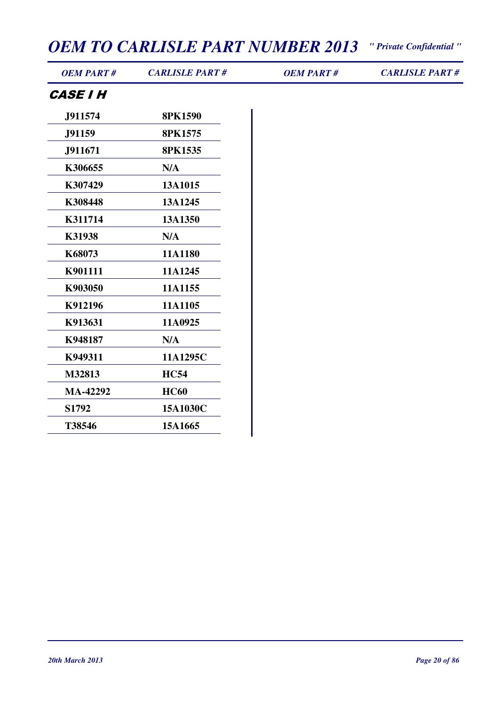| <b>OEM PART#</b> | <b>CARLISLE PART#</b> | <b>OEM PART#</b> | <b>CARLISLE PART#</b> |
|------------------|-----------------------|------------------|-----------------------|
| <b>CASE I H</b>  |                       |                  |                       |
| J911574          | <b>8PK1590</b>        |                  |                       |
| J91159           | 8PK1575               |                  |                       |
| J911671          | 8PK1535               |                  |                       |
| K306655          | N/A                   |                  |                       |
| K307429          | 13A1015               |                  |                       |
| K308448          | 13A1245               |                  |                       |
| K311714          | 13A1350               |                  |                       |
| K31938           | N/A                   |                  |                       |
| K68073           | 11A1180               |                  |                       |
| K901111          | 11A1245               |                  |                       |
| K903050          | 11A1155               |                  |                       |
| K912196          | 11A1105               |                  |                       |
| K913631          | 11A0925               |                  |                       |
| K948187          | N/A                   |                  |                       |
| K949311          | 11A1295C              |                  |                       |
| M32813           | <b>HC54</b>           |                  |                       |
| <b>MA-42292</b>  | <b>HC60</b>           |                  |                       |
| S1792            | 15A1030C              |                  |                       |
| T38546           | 15A1665               |                  |                       |
|                  |                       |                  |                       |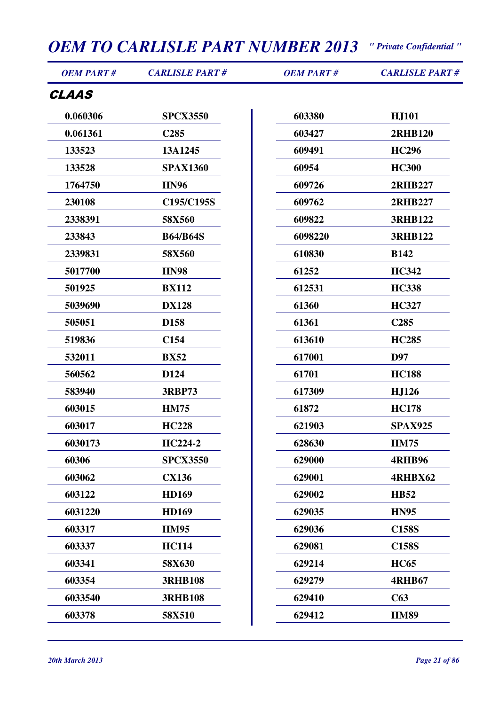| <b>OEM PART#</b> | <b>CARLISLE PART#</b> | <b>OEM PART#</b> | <b>CARLISLE PART#</b> |
|------------------|-----------------------|------------------|-----------------------|
| CLAAS            |                       |                  |                       |
| 0.060306         | <b>SPCX3550</b>       | 603380           | <b>HJ101</b>          |
| 0.061361         | C <sub>285</sub>      | 603427           | <b>2RHB120</b>        |
| 133523           | 13A1245               | 609491           | <b>HC296</b>          |
| 133528           | <b>SPAX1360</b>       | 60954            | <b>HC300</b>          |
| 1764750          | <b>HN96</b>           | 609726           | <b>2RHB227</b>        |
| 230108           | C195/C195S            | 609762           | <b>2RHB227</b>        |
| 2338391          | 58X560                | 609822           | <b>3RHB122</b>        |
| 233843           | <b>B64/B64S</b>       | 6098220          | <b>3RHB122</b>        |
| 2339831          | 58X560                | 610830           | <b>B142</b>           |
| 5017700          | <b>HN98</b>           | 61252            | <b>HC342</b>          |
| 501925           | <b>BX112</b>          | 612531           | <b>HC338</b>          |
| 5039690          | <b>DX128</b>          | 61360            | <b>HC327</b>          |
| 505051           | D158                  | 61361            | C <sub>285</sub>      |
| 519836           | C <sub>154</sub>      | 613610           | <b>HC285</b>          |
| 532011           | <b>BX52</b>           | 617001           | D97                   |
| 560562           | D124                  | 61701            | <b>HC188</b>          |
| 583940           | <b>3RBP73</b>         | 617309           | HJ126                 |
| 603015           | <b>HM75</b>           | 61872            | <b>HC178</b>          |
| 603017           | <b>HC228</b>          | 621903           | <b>SPAX925</b>        |
| 6030173          | HC224-2               | 628630           | <b>HM75</b>           |
| 60306            | <b>SPCX3550</b>       | 629000           | <b>4RHB96</b>         |
| 603062           | <b>CX136</b>          | 629001           | 4RHBX62               |
| 603122           | <b>HD169</b>          | 629002           | <b>HB52</b>           |
| 6031220          | <b>HD169</b>          | 629035           | <b>HN95</b>           |
| 603317           | <b>HM95</b>           | 629036           | <b>C158S</b>          |
| 603337           | <b>HC114</b>          | 629081           | <b>C158S</b>          |
| 603341           | 58X630                | 629214           | <b>HC65</b>           |
| 603354           | <b>3RHB108</b>        | 629279           | <b>4RHB67</b>         |
| 6033540          | <b>3RHB108</b>        | 629410           | C63                   |
| 603378           | 58X510                | 629412           | <b>HM89</b>           |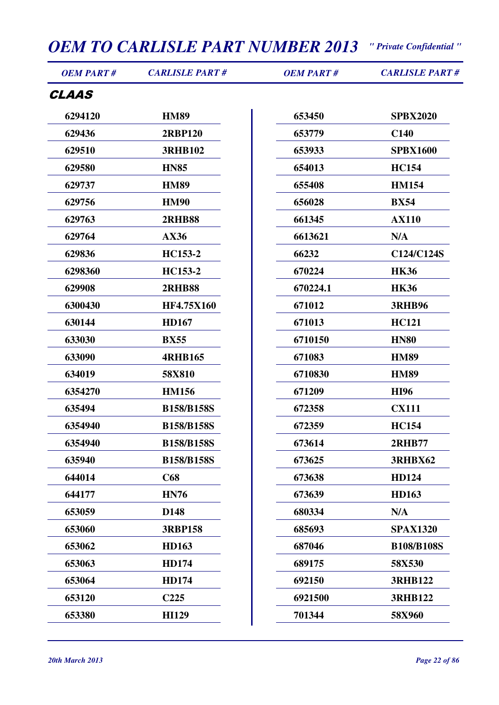| <b>OEM PART#</b> | <b>CARLISLE PART#</b> | <b>OEM PART#</b> | <b>CARLISLE PART#</b> |
|------------------|-----------------------|------------------|-----------------------|
| <b>CLAAS</b>     |                       |                  |                       |
| 6294120          | <b>HM89</b>           | 653450           | <b>SPBX2020</b>       |
| 629436           | <b>2RBP120</b>        | 653779           | <b>C140</b>           |
| 629510           | <b>3RHB102</b>        | 653933           | <b>SPBX1600</b>       |
| 629580           | <b>HN85</b>           | 654013           | <b>HC154</b>          |
| 629737           | <b>HM89</b>           | 655408           | <b>HM154</b>          |
| 629756           | <b>HM90</b>           | 656028           | <b>BX54</b>           |
| 629763           | <b>2RHB88</b>         | 661345           | <b>AX110</b>          |
| 629764           | AX36                  | 6613621          | N/A                   |
| 629836           | HC153-2               | 66232            | C124/C124S            |
| 6298360          | HC153-2               | 670224           | <b>HK36</b>           |
| 629908           | <b>2RHB88</b>         | 670224.1         | <b>HK36</b>           |
| 6300430          | <b>HF4.75X160</b>     | 671012           | <b>3RHB96</b>         |
| 630144           | <b>HD167</b>          | 671013           | <b>HC121</b>          |
| 633030           | <b>BX55</b>           | 6710150          | <b>HN80</b>           |
| 633090           | <b>4RHB165</b>        | 671083           | <b>HM89</b>           |
| 634019           | 58X810                | 6710830          | <b>HM89</b>           |
| 6354270          | <b>HM156</b>          | 671209           | <b>HI96</b>           |
| 635494           | <b>B158/B158S</b>     | 672358           | <b>CX111</b>          |
| 6354940          | <b>B158/B158S</b>     | 672359           | <b>HC154</b>          |
| 6354940          | <b>B158/B158S</b>     | 673614           | <b>2RHB77</b>         |
| 635940           | <b>B158/B158S</b>     | 673625           | <b>3RHBX62</b>        |
| 644014           | C68                   | 673638           | HD124                 |
| 644177           | <b>HN76</b>           | 673639           | <b>HD163</b>          |
| 653059           | D148                  | 680334           | N/A                   |
| 653060           | <b>3RBP158</b>        | 685693           | <b>SPAX1320</b>       |
| 653062           | <b>HD163</b>          | 687046           | <b>B108/B108S</b>     |
| 653063           | <b>HD174</b>          | 689175           | 58X530                |
| 653064           | <b>HD174</b>          | 692150           | <b>3RHB122</b>        |
| 653120           | C <sub>225</sub>      | 6921500          | <b>3RHB122</b>        |
| 653380           | <b>HI129</b>          | 701344           | 58X960                |
|                  |                       |                  |                       |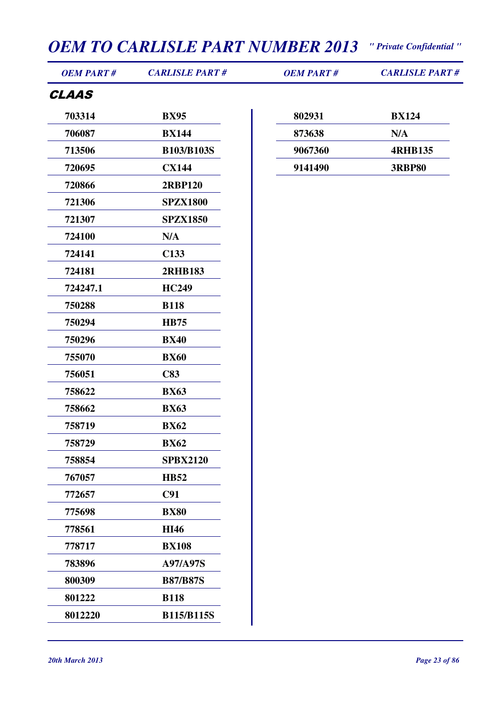| <b>OEM PART#</b> | <b>CARLISLE PART#</b> | <b>OEM PART#</b> | <b>CARLISLE PART#</b> |
|------------------|-----------------------|------------------|-----------------------|
| <b>CLAAS</b>     |                       |                  |                       |
| 703314           | <b>BX95</b>           | 802931           | <b>BX124</b>          |
| 706087           | <b>BX144</b>          | 873638           | N/A                   |
| 713506           | <b>B103/B103S</b>     | 9067360          | <b>4RHB135</b>        |
| 720695           | <b>CX144</b>          | 9141490          | <b>3RBP80</b>         |
| 720866           | <b>2RBP120</b>        |                  |                       |
| 721306           | <b>SPZX1800</b>       |                  |                       |
| 721307           | <b>SPZX1850</b>       |                  |                       |
| 724100           | N/A                   |                  |                       |
| 724141           | C <sub>133</sub>      |                  |                       |
| 724181           | <b>2RHB183</b>        |                  |                       |
| 724247.1         | <b>HC249</b>          |                  |                       |
| 750288           | <b>B118</b>           |                  |                       |
| 750294           | <b>HB75</b>           |                  |                       |
| 750296           | <b>BX40</b>           |                  |                       |
| 755070           | <b>BX60</b>           |                  |                       |
| 756051           | C83                   |                  |                       |
| 758622           | <b>BX63</b>           |                  |                       |
| 758662           | <b>BX63</b>           |                  |                       |
| 758719           | <b>BX62</b>           |                  |                       |
| 758729           | <b>BX62</b>           |                  |                       |
| 758854           | <b>SPBX2120</b>       |                  |                       |
| 767057           | <b>HB52</b>           |                  |                       |
| 772657           | C91                   |                  |                       |
| 775698           | <b>BX80</b>           |                  |                       |
| 778561           | <b>HI46</b>           |                  |                       |
| 778717           | <b>BX108</b>          |                  |                       |
| 783896           | A97/A97S              |                  |                       |
| 800309           | <b>B87/B87S</b>       |                  |                       |
| 801222           | <b>B118</b>           |                  |                       |
| 8012220          | <b>B115/B115S</b>     |                  |                       |
|                  |                       |                  |                       |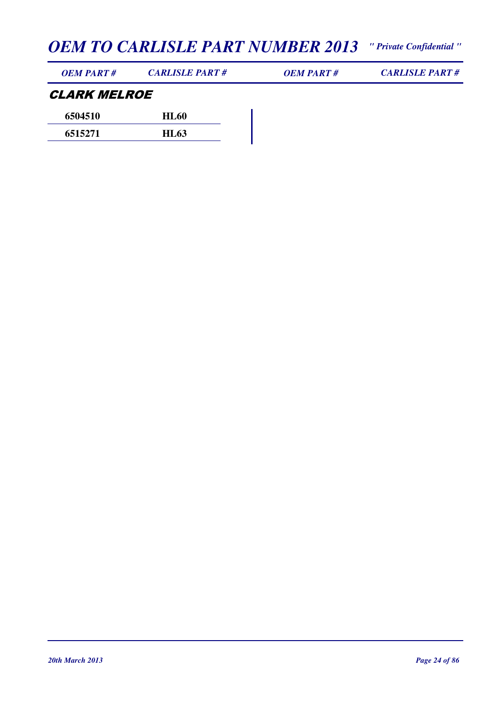| <i><b>OEM PART #</b></i> | <i><b>CARLISLE PART #</b></i> | OEM PART# | <b>CARLISLE PART#</b> |
|--------------------------|-------------------------------|-----------|-----------------------|
|                          |                               |           |                       |

#### CLARK MELROE **6504510 HL60**

| 0204210 | <b>HLOV</b> |
|---------|-------------|
| 6515271 | <b>HL63</b> |
|         |             |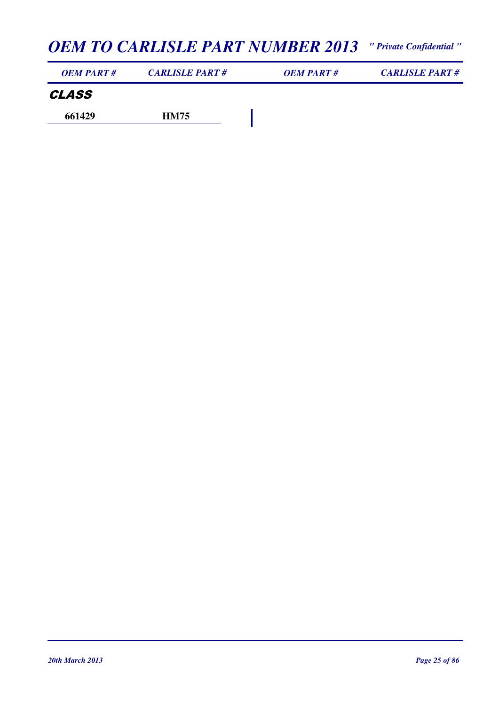| <b>OEM PART#</b> | <b>CARLISLE PART#</b> | <b>OEM PART#</b> | <b>CARLISLE PART#</b> |
|------------------|-----------------------|------------------|-----------------------|
| CLASS            |                       |                  |                       |
| 661429           | <b>HM75</b>           |                  |                       |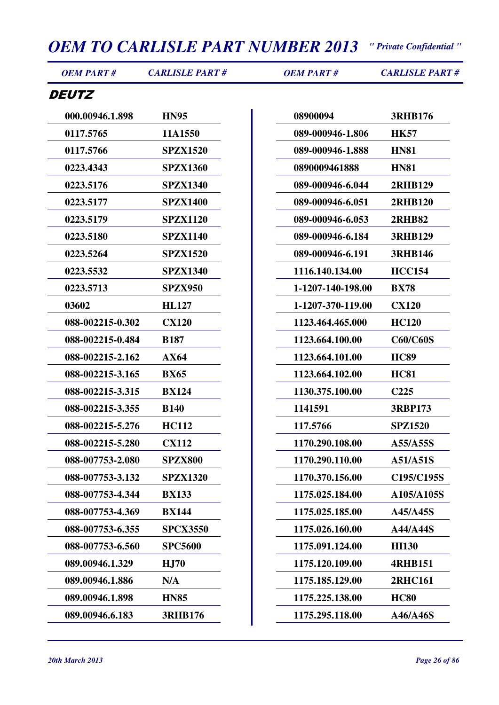*OEM PART # CARLISLE PART # OEM PART # CARLISLE PART #*

#### **DEUTZ**

| 000.00946.1.898  | <b>HN95</b>     |
|------------------|-----------------|
| 0117.5765        | 11A1550         |
| 0117.5766        | <b>SPZX1520</b> |
| 0223.4343        | <b>SPZX1360</b> |
| 0223.5176        | <b>SPZX1340</b> |
| 0223.5177        | <b>SPZX1400</b> |
| 0223.5179        | <b>SPZX1120</b> |
| 0223.5180        | <b>SPZX1140</b> |
| 0223.5264        | <b>SPZX1520</b> |
| 0223.5532        | <b>SPZX1340</b> |
| 0223.5713        | <b>SPZX950</b>  |
| 03602            | <b>HL127</b>    |
| 088-002215-0.302 | <b>CX120</b>    |
| 088-002215-0.484 | <b>B187</b>     |
| 088-002215-2.162 | AX64            |
| 088-002215-3.165 | <b>BX65</b>     |
| 088-002215-3.315 | <b>BX124</b>    |
| 088-002215-3.355 | <b>B140</b>     |
| 088-002215-5.276 | <b>HC112</b>    |
| 088-002215-5.280 | <b>CX112</b>    |
| 088-007753-2.080 | <b>SPZX800</b>  |
| 088-007753-3.132 | <b>SPZX1320</b> |
| 088-007753-4.344 | <b>BX133</b>    |
| 088-007753-4.369 | <b>BX144</b>    |
| 088-007753-6.355 | <b>SPCX3550</b> |
| 088-007753-6.560 | <b>SPC5600</b>  |
| 089.00946.1.329  | <b>HJ70</b>     |
| 089.00946.1.886  | N/A             |
| 089.00946.1.898  | <b>HN85</b>     |
| 089.00946.6.183  | <b>3RHB176</b>  |

| 08900094          | <b>3RHB176</b>   |
|-------------------|------------------|
| 089-000946-1.806  | <b>HK57</b>      |
| 089-000946-1.888  | <b>HN81</b>      |
| 0890009461888     | <b>HN81</b>      |
| 089-000946-6.044  | <b>2RHB129</b>   |
| 089-000946-6.051  | <b>2RHB120</b>   |
| 089-000946-6.053  | <b>2RHB82</b>    |
| 089-000946-6.184  | <b>3RHB129</b>   |
| 089-000946-6.191  | <b>3RHB146</b>   |
| 1116.140.134.00   | <b>HCC154</b>    |
| 1-1207-140-198.00 | <b>BX78</b>      |
| 1-1207-370-119.00 | <b>CX120</b>     |
| 1123.464.465.000  | <b>HC120</b>     |
| 1123.664.100.00   | <b>C60/C60S</b>  |
| 1123.664.101.00   | <b>HC89</b>      |
| 1123.664.102.00   | <b>HC81</b>      |
| 1130.375.100.00   | C <sub>225</sub> |
| 1141591           | <b>3RBP173</b>   |
| 117.5766          | <b>SPZ1520</b>   |
| 1170.290.108.00   | A55/A55S         |
| 1170.290.110.00   | A51/A51S         |
| 1170.370.156.00   | C195/C195S       |
| 1175.025.184.00   | A105/A105S       |
| 1175.025.185.00   | A45/A45S         |
| 1175.026.160.00   | A44/A44S         |
| 1175.091.124.00   | <b>HI130</b>     |
| 1175.120.109.00   | <b>4RHB151</b>   |
| 1175.185.129.00   | <b>2RHC161</b>   |
| 1175.225.138.00   | <b>HC80</b>      |
| 1175.295.118.00   | A46/A46S         |
|                   |                  |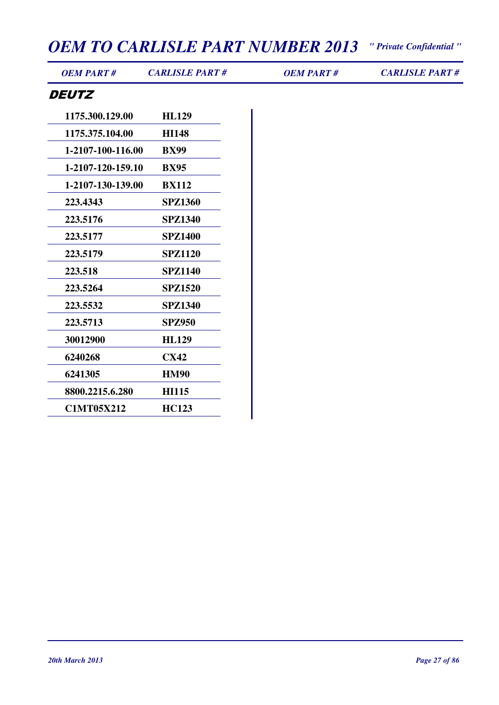*OEM PART # CARLISLE PART # OEM PART # CARLISLE PART #*

| 1175.300.129.00   | <b>HL129</b>   |
|-------------------|----------------|
| 1175.375.104.00   | <b>HI148</b>   |
| 1-2107-100-116.00 | <b>BX99</b>    |
| 1-2107-120-159.10 | <b>BX95</b>    |
| 1-2107-130-139.00 | <b>BX112</b>   |
| 223.4343          | <b>SPZ1360</b> |
| 223.5176          | SPZ1340        |
| 223.5177          | <b>SPZ1400</b> |
| 223.5179          | <b>SPZ1120</b> |
| 223.518           | <b>SPZ1140</b> |
| 223.5264          | <b>SPZ1520</b> |
| 223.5532          | <b>SPZ1340</b> |
| 223.5713          | <b>SPZ950</b>  |
| 30012900          | <b>HL129</b>   |
| 6240268           | <b>CX42</b>    |
| 6241305           | <b>HM90</b>    |
| 8800.2215.6.280   | <b>HI115</b>   |
| <b>C1MT05X212</b> | <b>HC123</b>   |
|                   |                |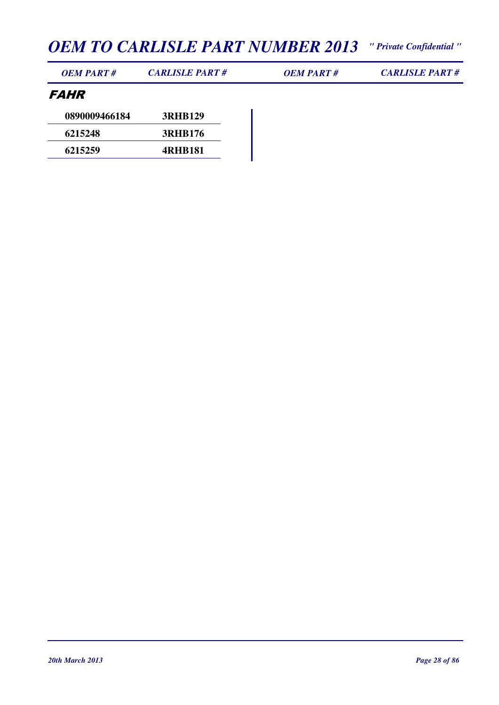| <b>OEM PART#</b> | <b>CARLISLE PART#</b> | <b>OEM PART#</b> | <b>CARLISLE PART#</b> |
|------------------|-----------------------|------------------|-----------------------|
|------------------|-----------------------|------------------|-----------------------|

#### FAHR

| 0890009466184 | <b>3RHB129</b> |
|---------------|----------------|
| 6215248       | <b>3RHB176</b> |
| 6215259       | <b>4RHB181</b> |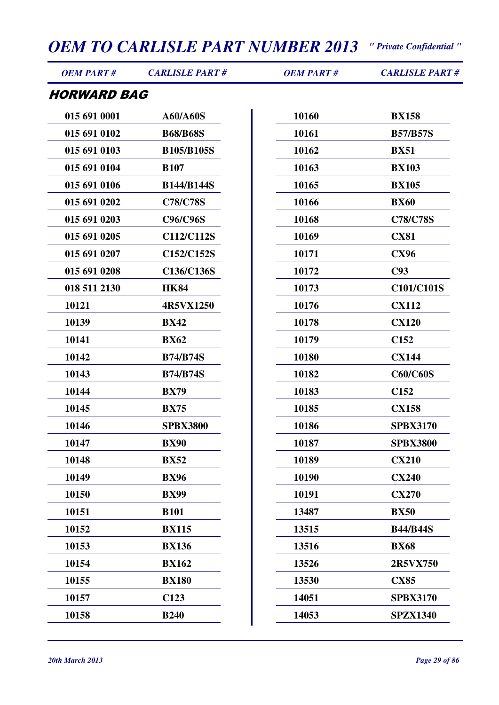| <b>OEM PART#</b>   | <b>CARLISLE PART#</b> | <b>OEM PART#</b> | <b>CARLISLE PART#</b> |
|--------------------|-----------------------|------------------|-----------------------|
| <b>HORWARD BAG</b> |                       |                  |                       |
| 015 691 0001       | A60/A60S              | 10160            | <b>BX158</b>          |
| 015 691 0102       | <b>B68/B68S</b>       | 10161            | <b>B57/B57S</b>       |
| 015 691 0103       | <b>B105/B105S</b>     | 10162            | <b>BX51</b>           |
| 015 691 0104       | <b>B107</b>           | 10163            | <b>BX103</b>          |
| 015 691 0106       | <b>B144/B144S</b>     | 10165            | <b>BX105</b>          |
| 015 691 0202       | <b>C78/C78S</b>       | 10166            | <b>BX60</b>           |
| 015 691 0203       | C96/C96S              | 10168            | <b>C78/C78S</b>       |
| 015 691 0205       | C112/C112S            | 10169            | <b>CX81</b>           |
| 015 691 0207       | C152/C152S            | 10171            | <b>CX96</b>           |
| 015 691 0208       | C136/C136S            | 10172            | C93                   |
| 018 511 2130       | <b>HK84</b>           | 10173            | C101/C101S            |
| 10121              | 4R5VX1250             | 10176            | <b>CX112</b>          |
| 10139              | <b>BX42</b>           | 10178            | <b>CX120</b>          |
| 10141              | <b>BX62</b>           | 10179            | C <sub>152</sub>      |
| 10142              | <b>B74/B74S</b>       | 10180            | <b>CX144</b>          |
| 10143              | <b>B74/B74S</b>       | 10182            | <b>C60/C60S</b>       |
| 10144              | <b>BX79</b>           | 10183            | C <sub>152</sub>      |
| 10145              | <b>BX75</b>           | 10185            | <b>CX158</b>          |
| 10146              | <b>SPBX3800</b>       | 10186            | <b>SPBX3170</b>       |
| 10147              | <b>BX90</b>           | 10187            | <b>SPBX3800</b>       |
| 10148              | <b>BX52</b>           | 10189            | <b>CX210</b>          |
| 10149              | <b>BX96</b>           | 10190            | <b>CX240</b>          |
| 10150              | <b>BX99</b>           | 10191            | <b>CX270</b>          |
| 10151              | <b>B101</b>           | 13487            | <b>BX50</b>           |
| 10152              | <b>BX115</b>          | 13515            | <b>B44/B44S</b>       |
| 10153              | <b>BX136</b>          | 13516            | <b>BX68</b>           |
| 10154              | <b>BX162</b>          | 13526            | 2R5VX750              |
| 10155              | <b>BX180</b>          | 13530            | <b>CX85</b>           |
| 10157              | C <sub>123</sub>      | 14051            | <b>SPBX3170</b>       |
| 10158              | <b>B240</b>           | 14053            | <b>SPZX1340</b>       |
|                    |                       |                  |                       |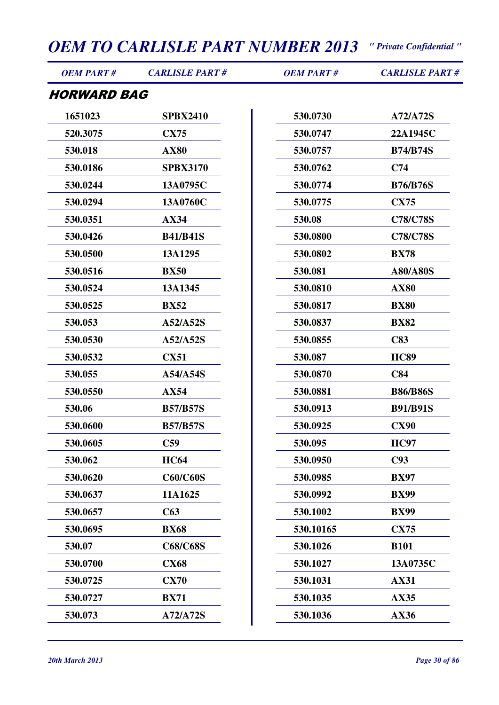| <b>OEM PART#</b>   | <b>CARLISLE PART#</b> | <b>OEM PART#</b> | <b>CARLISLE PART#</b> |
|--------------------|-----------------------|------------------|-----------------------|
| <b>HORWARD BAG</b> |                       |                  |                       |
| 1651023            | <b>SPBX2410</b>       | 530.0730         | A72/A72S              |
| 520.3075           | <b>CX75</b>           | 530.0747         | 22A1945C              |
| 530.018            | <b>AX80</b>           | 530.0757         | <b>B74/B74S</b>       |
| 530.0186           | <b>SPBX3170</b>       | 530.0762         | C74                   |
| 530.0244           | 13A0795C              | 530.0774         | <b>B76/B76S</b>       |
| 530.0294           | 13A0760C              | 530.0775         | <b>CX75</b>           |
| 530.0351           | <b>AX34</b>           | 530.08           | <b>C78/C78S</b>       |
| 530.0426           | <b>B41/B41S</b>       | 530.0800         | <b>C78/C78S</b>       |
| 530.0500           | 13A1295               | 530.0802         | <b>BX78</b>           |
| 530.0516           | <b>BX50</b>           | 530.081          | <b>A80/A80S</b>       |
| 530.0524           | 13A1345               | 530.0810         | <b>AX80</b>           |
| 530.0525           | <b>BX52</b>           | 530.0817         | <b>BX80</b>           |
| 530.053            | A52/A52S              | 530.0837         | <b>BX82</b>           |
| 530.0530           | A52/A52S              | 530.0855         | C83                   |
| 530.0532           | <b>CX51</b>           | 530.087          | <b>HC89</b>           |
| 530.055            | A54/A54S              | 530.0870         | C84                   |
| 530.0550           | <b>AX54</b>           | 530.0881         | <b>B86/B86S</b>       |
| 530.06             | <b>B57/B57S</b>       | 530.0913         | <b>B91/B91S</b>       |
| 530.0600           | <b>B57/B57S</b>       | 530.0925         | <b>CX90</b>           |
| 530.0605           | C <sub>59</sub>       | 530.095          | <b>HC97</b>           |
| 530.062            | <b>HC64</b>           | 530.0950         | C93                   |
| 530.0620           | <b>C60/C60S</b>       | 530.0985         | <b>BX97</b>           |
| 530.0637           | 11A1625               | 530.0992         | <b>BX99</b>           |
| 530.0657           | C63                   | 530.1002         | <b>BX99</b>           |
| 530.0695           | <b>BX68</b>           | 530.10165        | <b>CX75</b>           |
| 530.07             | <b>C68/C68S</b>       | 530.1026         | <b>B101</b>           |
| 530.0700           | <b>CX68</b>           | 530.1027         | 13A0735C              |
| 530.0725           | <b>CX70</b>           | 530.1031         | <b>AX31</b>           |
| 530.0727           | <b>BX71</b>           | 530.1035         | <b>AX35</b>           |
| 530.073            | A72/A72S              | 530.1036         | AX36                  |
|                    |                       |                  |                       |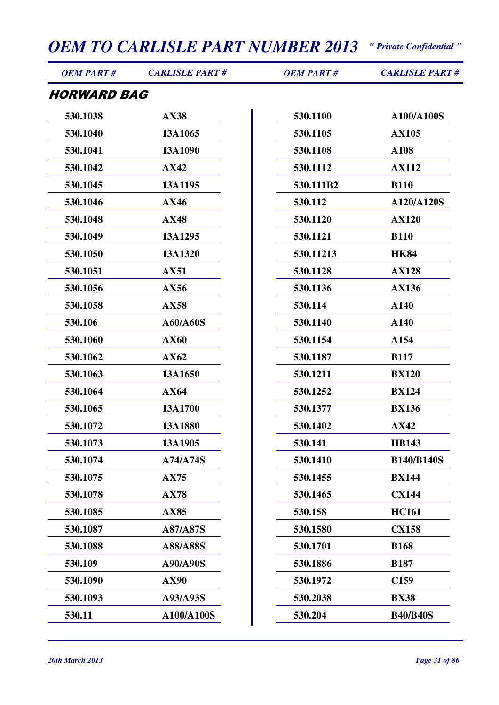| <b>OEM PART#</b>          | <b>CARLISLE PART#</b> | <b>OEM PART#</b> | <b>CARLISLE PART#</b> |
|---------------------------|-----------------------|------------------|-----------------------|
| <i><b>HORWARD BAG</b></i> |                       |                  |                       |
| 530.1038                  | <b>AX38</b>           | 530.1100         | A100/A100S            |
| 530.1040                  | 13A1065               | 530.1105         | <b>AX105</b>          |
| 530.1041                  | 13A1090               | 530.1108         | A108                  |
| 530.1042                  | <b>AX42</b>           | 530.1112         | <b>AX112</b>          |
| 530.1045                  | 13A1195               | 530.111B2        | <b>B110</b>           |
| 530.1046                  | AX46                  | 530.112          | A120/A120S            |
| 530.1048                  | <b>AX48</b>           | 530.1120         | <b>AX120</b>          |
| 530.1049                  | 13A1295               | 530.1121         | <b>B110</b>           |
| 530.1050                  | 13A1320               | 530.11213        | <b>HK84</b>           |
| 530.1051                  | <b>AX51</b>           | 530.1128         | <b>AX128</b>          |
| 530.1056                  | AX56                  | 530.1136         | <b>AX136</b>          |
| 530.1058                  | <b>AX58</b>           | 530.114          | A140                  |
| 530.106                   | A60/A60S              | 530.1140         | A140                  |
| 530.1060                  | <b>AX60</b>           | 530.1154         | A154                  |
| 530.1062                  | AX62                  | 530.1187         | <b>B117</b>           |
| 530.1063                  | 13A1650               | 530.1211         | <b>BX120</b>          |
| 530.1064                  | AX64                  | 530.1252         | <b>BX124</b>          |
| 530.1065                  | 13A1700               | 530.1377         | <b>BX136</b>          |
| 530.1072                  | 13A1880               | 530.1402         | <b>AX42</b>           |
| 530.1073                  | 13A1905               | 530.141          | <b>HB143</b>          |
| 530.1074                  | <b>A74/A74S</b>       | 530.1410         | <b>B140/B140S</b>     |
| 530.1075                  | <b>AX75</b>           | 530.1455         | <b>BX144</b>          |
| 530.1078                  | <b>AX78</b>           | 530.1465         | <b>CX144</b>          |
| 530.1085                  | <b>AX85</b>           | 530.158          | <b>HC161</b>          |
| 530.1087                  | A87/A87S              | 530.1580         | <b>CX158</b>          |
| 530.1088                  | A88/A88S              | 530.1701         | <b>B168</b>           |
| 530.109                   | A90/A90S              | 530.1886         | <b>B187</b>           |
| 530.1090                  | <b>AX90</b>           | 530.1972         | C <sub>159</sub>      |
| 530.1093                  | A93/A93S              | 530.2038         | <b>BX38</b>           |
| 530.11                    | A100/A100S            | 530.204          | <b>B40/B40S</b>       |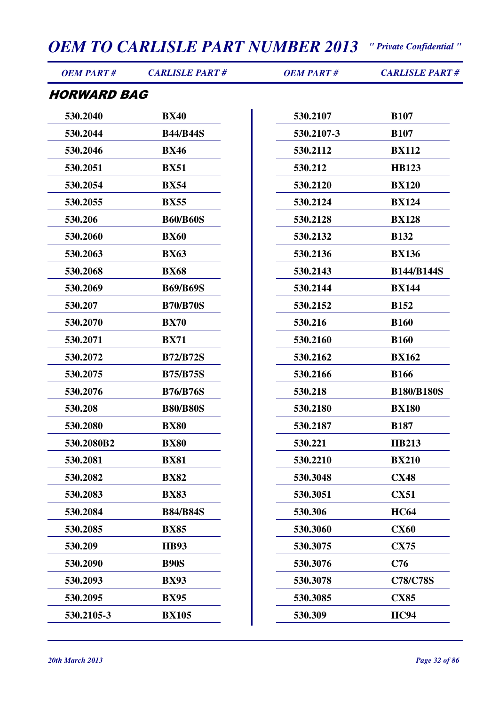| <b>OEM PART#</b>   | <b>CARLISLE PART#</b> | <b>OEM PART#</b> | <b>CARLISLE PART#</b> |
|--------------------|-----------------------|------------------|-----------------------|
| <b>HORWARD BAG</b> |                       |                  |                       |
| 530.2040           | <b>BX40</b>           | 530.2107         | <b>B107</b>           |
| 530.2044           | <b>B44/B44S</b>       | 530.2107-3       | <b>B107</b>           |
| 530.2046           | <b>BX46</b>           | 530.2112         | <b>BX112</b>          |
| 530.2051           | <b>BX51</b>           | 530.212          | <b>HB123</b>          |
| 530.2054           | <b>BX54</b>           | 530.2120         | <b>BX120</b>          |
| 530.2055           | <b>BX55</b>           | 530.2124         | <b>BX124</b>          |
| 530.206            | <b>B60/B60S</b>       | 530.2128         | <b>BX128</b>          |
| 530.2060           | <b>BX60</b>           | 530.2132         | <b>B132</b>           |
| 530.2063           | <b>BX63</b>           | 530.2136         | <b>BX136</b>          |
| 530.2068           | <b>BX68</b>           | 530.2143         | <b>B144/B144S</b>     |
| 530.2069           | <b>B69/B69S</b>       | 530.2144         | <b>BX144</b>          |
| 530.207            | <b>B70/B70S</b>       | 530.2152         | <b>B152</b>           |
| 530.2070           | <b>BX70</b>           | 530.216          | <b>B160</b>           |
| 530.2071           | <b>BX71</b>           | 530.2160         | <b>B160</b>           |
| 530.2072           | <b>B72/B72S</b>       | 530.2162         | <b>BX162</b>          |
| 530.2075           | <b>B75/B75S</b>       | 530.2166         | <b>B166</b>           |
| 530.2076           | <b>B76/B76S</b>       | 530.218          | <b>B180/B180S</b>     |
| 530.208            | <b>B80/B80S</b>       | 530.2180         | <b>BX180</b>          |
| 530.2080           | <b>BX80</b>           | 530.2187         | <b>B187</b>           |
| 530.2080B2         | <b>BX80</b>           | 530.221          | <b>HB213</b>          |
| 530.2081           | <b>BX81</b>           | 530.2210         | <b>BX210</b>          |
| 530.2082           | <b>BX82</b>           | 530.3048         | <b>CX48</b>           |
| 530.2083           | <b>BX83</b>           | 530.3051         | <b>CX51</b>           |
| 530.2084           | <b>B84/B84S</b>       | 530.306          | <b>HC64</b>           |
| 530.2085           | <b>BX85</b>           | 530.3060         | <b>CX60</b>           |
| 530.209            | <b>HB93</b>           | 530.3075         | <b>CX75</b>           |
| 530.2090           | <b>B90S</b>           | 530.3076         | C76                   |
| 530.2093           | <b>BX93</b>           | 530.3078         | <b>C78/C78S</b>       |
| 530.2095           | <b>BX95</b>           | 530.3085         | <b>CX85</b>           |
| 530.2105-3         | <b>BX105</b>          | 530.309          | <b>HC94</b>           |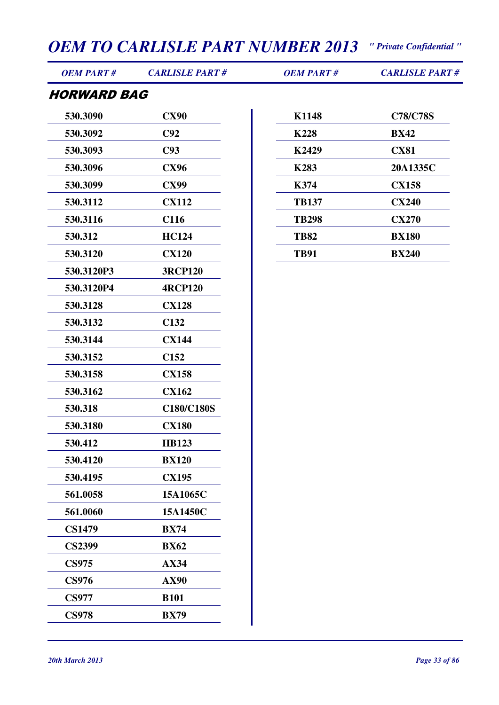| <b>OEM PART#</b>   | <b>CARLISLE PART#</b> | <b>OEM PART#</b> | <b>CARLISLE PART#</b> |
|--------------------|-----------------------|------------------|-----------------------|
| <b>HORWARD BAG</b> |                       |                  |                       |
| 530.3090           | <b>CX90</b>           | K1148            | <b>C78/C78S</b>       |
| 530.3092           | C92                   | <b>K228</b>      | <b>BX42</b>           |
| 530.3093           | C93                   | K2429            | <b>CX81</b>           |
| 530.3096           | <b>CX96</b>           | <b>K283</b>      | 20A1335C              |
| 530.3099           | <b>CX99</b>           | K374             | <b>CX158</b>          |
| 530.3112           | <b>CX112</b>          | <b>TB137</b>     | <b>CX240</b>          |
| 530.3116           | C116                  | <b>TB298</b>     | <b>CX270</b>          |
| 530.312            | <b>HC124</b>          | <b>TB82</b>      | <b>BX180</b>          |
| 530.3120           | <b>CX120</b>          | <b>TB91</b>      | <b>BX240</b>          |
| 530.3120P3         | <b>3RCP120</b>        |                  |                       |
| 530.3120P4         | <b>4RCP120</b>        |                  |                       |
| 530.3128           | <b>CX128</b>          |                  |                       |
| 530.3132           | C132                  |                  |                       |
| 530.3144           | <b>CX144</b>          |                  |                       |
| 530.3152           | C <sub>152</sub>      |                  |                       |
| 530.3158           | <b>CX158</b>          |                  |                       |
| 530.3162           | <b>CX162</b>          |                  |                       |
| 530.318            | <b>C180/C180S</b>     |                  |                       |
| 530.3180           | <b>CX180</b>          |                  |                       |
| 530.412            | <b>HB123</b>          |                  |                       |
| 530.4120           | <b>BX120</b>          |                  |                       |
| 530.4195           | <b>CX195</b>          |                  |                       |
| 561.0058           | 15A1065C              |                  |                       |
| 561.0060           | 15A1450C              |                  |                       |
| <b>CS1479</b>      | <b>BX74</b>           |                  |                       |
| <b>CS2399</b>      | <b>BX62</b>           |                  |                       |
| <b>CS975</b>       | <b>AX34</b>           |                  |                       |
| <b>CS976</b>       | <b>AX90</b>           |                  |                       |
| <b>CS977</b>       | <b>B101</b>           |                  |                       |
| <b>CS978</b>       | <b>BX79</b>           |                  |                       |
|                    |                       |                  |                       |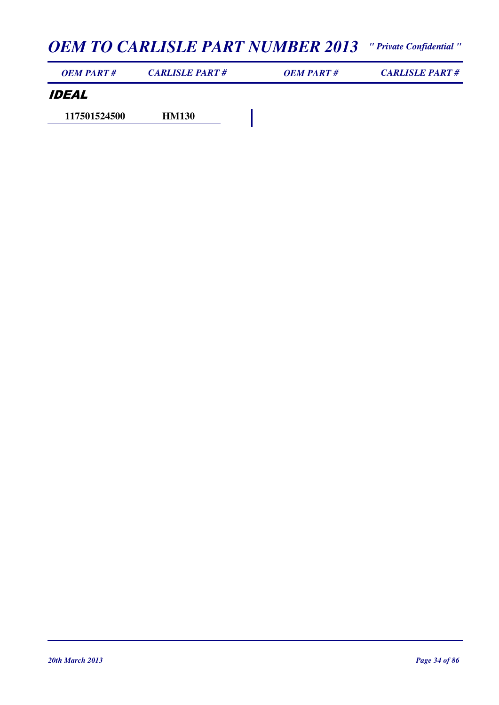| OEM PART#           | <b>CARLISLE PART#</b> | OEM PART# | <b>CARLISLE PART#</b> |
|---------------------|-----------------------|-----------|-----------------------|
| <i><b>IDEAL</b></i> |                       |           |                       |
| 117501524500        | <b>HM130</b>          |           |                       |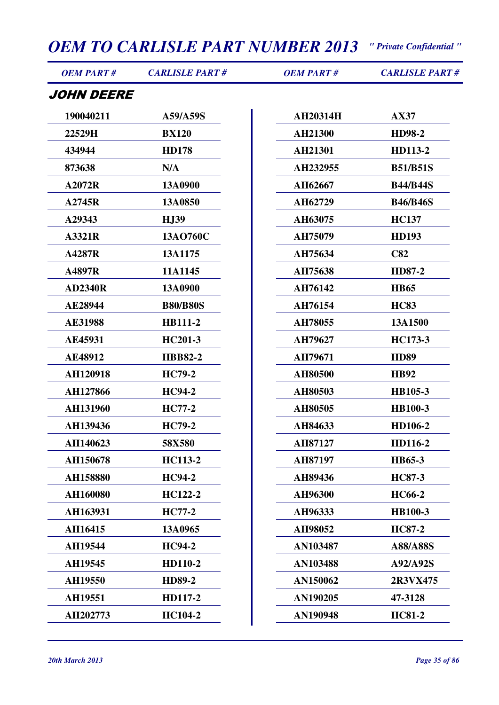| <b>OEM PART#</b>  | <b>CARLISLE PART#</b> | <b>OEM PART#</b> | <b>CARLISLE PART#</b> |
|-------------------|-----------------------|------------------|-----------------------|
| <i>JOHN DEERE</i> |                       |                  |                       |
| 190040211         | A59/A59S              | <b>AH20314H</b>  | <b>AX37</b>           |
| 22529H            | <b>BX120</b>          | AH21300          | HD98-2                |
| 434944            | <b>HD178</b>          | AH21301          | HD113-2               |
| 873638            | N/A                   | AH232955         | <b>B51/B51S</b>       |
| A2072R            | 13A0900               | AH62667          | <b>B44/B44S</b>       |
| A2745R            | 13A0850               | AH62729          | <b>B46/B46S</b>       |
| A29343            | <b>HJ39</b>           | AH63075          | <b>HC137</b>          |
| A3321R            | 13AO760C              | AH75079          | <b>HD193</b>          |
| A4287R            | 13A1175               | AH75634          | C82                   |
| A4897R            | 11A1145               | AH75638          | HD87-2                |
| <b>AD2340R</b>    | 13A0900               | AH76142          | <b>HB65</b>           |
| AE28944           | <b>B80/B80S</b>       | AH76154          | <b>HC83</b>           |
| <b>AE31988</b>    | <b>HB111-2</b>        | AH78055          | 13A1500               |
| <b>AE45931</b>    | HC201-3               | AH79627          | HC173-3               |
| AE48912           | <b>HBB82-2</b>        | AH79671          | <b>HD89</b>           |
| AH120918          | <b>HC79-2</b>         | AH80500          | <b>HB92</b>           |
| AH127866          | <b>HC94-2</b>         | AH80503          | HB105-3               |
| AH131960          | <b>HC77-2</b>         | AH80505          | HB100-3               |
| AH139436          | <b>HC79-2</b>         | AH84633          | HD106-2               |
| AH140623          | 58X580                | AH87127          | HD116-2               |
| AH150678          | <b>HC113-2</b>        | AH87197          | HB65-3                |
| AH158880          | <b>HC94-2</b>         | AH89436          | <b>HC87-3</b>         |
| AH160080          | HC122-2               | AH96300          | <b>HC66-2</b>         |
| AH163931          | <b>HC77-2</b>         | AH96333          | <b>HB100-3</b>        |
| AH16415           | 13A0965               | AH98052          | <b>HC87-2</b>         |
| AH19544           | <b>HC94-2</b>         | AN103487         | A88/A88S              |
| AH19545           | HD110-2               | AN103488         | A92/A92S              |
| AH19550           | <b>HD89-2</b>         | AN150062         | 2R3VX475              |
| AH19551           | HD117-2               | AN190205         | 47-3128               |
| AH202773          | <b>HC104-2</b>        | <b>AN190948</b>  | <b>HC81-2</b>         |
|                   |                       |                  |                       |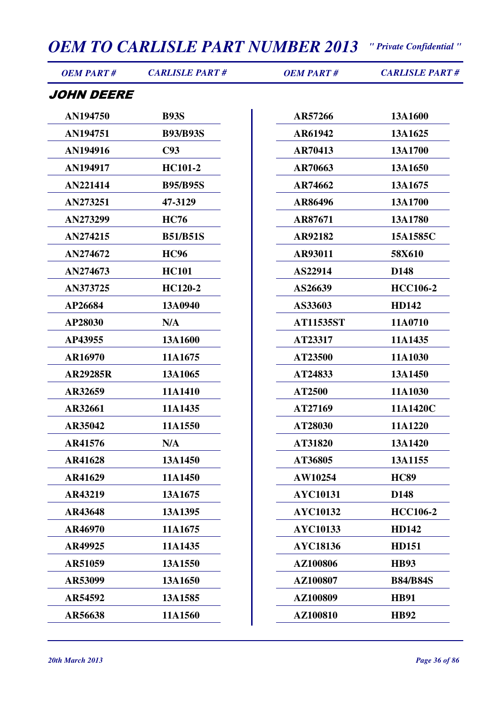| <b>OEM PART#</b> | <b>CARLISLE PART#</b> | <b>OEM PART#</b> | <b>CARLISLE PART#</b> |
|------------------|-----------------------|------------------|-----------------------|
| JOHN DEERE       |                       |                  |                       |
| AN194750         | <b>B93S</b>           | AR57266          | 13A1600               |
| AN194751         | <b>B93/B93S</b>       | AR61942          | 13A1625               |
| AN194916         | C93                   | AR70413          | 13A1700               |
| AN194917         | <b>HC101-2</b>        | AR70663          | 13A1650               |
| AN221414         | <b>B95/B95S</b>       | AR74662          | 13A1675               |
| AN273251         | 47-3129               | AR86496          | 13A1700               |
| AN273299         | <b>HC76</b>           | AR87671          | 13A1780               |
| AN274215         | <b>B51/B51S</b>       | AR92182          | 15A1585C              |
| AN274672         | <b>HC96</b>           | AR93011          | 58X610                |
| AN274673         | <b>HC101</b>          | AS22914          | D148                  |
| AN373725         | HC120-2               | AS26639          | <b>HCC106-2</b>       |
| AP26684          | 13A0940               | AS33603          | <b>HD142</b>          |
| AP28030          | N/A                   | <b>AT11535ST</b> | 11A0710               |
| AP43955          | 13A1600               | AT23317          | 11A1435               |
| AR16970          | 11A1675               | AT23500          | 11A1030               |
| <b>AR29285R</b>  | 13A1065               | AT24833          | 13A1450               |
| AR32659          | 11A1410               | AT2500           | 11A1030               |
| AR32661          | 11A1435               | AT27169          | 11A1420C              |
| AR35042          | 11A1550               | AT28030          | 11A1220               |
| AR41576          | N/A                   | AT31820          | 13A1420               |
| AR41628          | 13A1450               | AT36805          | 13A1155               |
| AR41629          | 11A1450               | AW10254          | <b>HC89</b>           |
| AR43219          | 13A1675               | <b>AYC10131</b>  | D148                  |
| AR43648          | 13A1395               | <b>AYC10132</b>  | <b>HCC106-2</b>       |
| AR46970          | 11A1675               | <b>AYC10133</b>  | <b>HD142</b>          |
| AR49925          | 11A1435               | <b>AYC18136</b>  | <b>HD151</b>          |
| AR51059          | 13A1550               | AZ100806         | <b>HB93</b>           |
| AR53099          | 13A1650               | AZ100807         | <b>B84/B84S</b>       |
| AR54592          | 13A1585               | AZ100809         | <b>HB91</b>           |
| AR56638          | 11A1560               | AZ100810         | <b>HB92</b>           |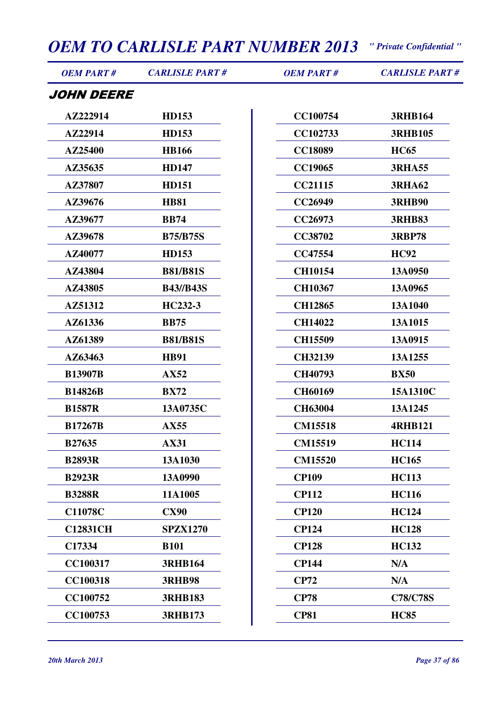| <i><b>OEM PART #</b></i> | <b>CARLISLE PART#</b> | <b>OEM PART#</b> | <b>CARLISLE PART#</b> |
|--------------------------|-----------------------|------------------|-----------------------|
| JOHN DEERE               |                       |                  |                       |
| AZ222914                 | <b>HD153</b>          | <b>CC100754</b>  | <b>3RHB164</b>        |
| AZ22914                  | <b>HD153</b>          | CC102733         | <b>3RHB105</b>        |
| AZ25400                  | <b>HB166</b>          | <b>CC18089</b>   | <b>HC65</b>           |
| AZ35635                  | <b>HD147</b>          | <b>CC19065</b>   | <b>3RHA55</b>         |
| AZ37807                  | <b>HD151</b>          | <b>CC21115</b>   | <b>3RHA62</b>         |
| AZ39676                  | <b>HB81</b>           | CC26949          | <b>3RHB90</b>         |
| AZ39677                  | <b>BB74</b>           | CC26973          | <b>3RHB83</b>         |
| AZ39678                  | <b>B75/B75S</b>       | <b>CC38702</b>   | <b>3RBP78</b>         |
| AZ40077                  | <b>HD153</b>          | <b>CC47554</b>   | <b>HC92</b>           |
| AZ43804                  | <b>B81/B81S</b>       | <b>CH10154</b>   | 13A0950               |
| AZ43805                  | <b>B43//B43S</b>      | <b>CH10367</b>   | 13A0965               |
| AZ51312                  | HC232-3               | <b>CH12865</b>   | 13A1040               |
| AZ61336                  | <b>BB75</b>           | <b>CH14022</b>   | 13A1015               |
| AZ61389                  | <b>B81/B81S</b>       | <b>CH15509</b>   | 13A0915               |
| AZ63463                  | <b>HB91</b>           | <b>CH32139</b>   | 13A1255               |
| <b>B13907B</b>           | AX52                  | CH40793          | <b>BX50</b>           |
| <b>B14826B</b>           | <b>BX72</b>           | <b>CH60169</b>   | 15A1310C              |
| <b>B1587R</b>            | 13A0735C              | <b>CH63004</b>   | 13A1245               |
| <b>B17267B</b>           | AX55                  | <b>CM15518</b>   | <b>4RHB121</b>        |
| <b>B27635</b>            | <b>AX31</b>           | <b>CM15519</b>   | <b>HC114</b>          |
| <b>B2893R</b>            | 13A1030               | <b>CM15520</b>   | <b>HC165</b>          |
| <b>B2923R</b>            | 13A0990               | <b>CP109</b>     | <b>HC113</b>          |
| <b>B3288R</b>            | 11A1005               | <b>CP112</b>     | <b>HC116</b>          |
| <b>C11078C</b>           | <b>CX90</b>           | <b>CP120</b>     | <b>HC124</b>          |
| <b>C12831CH</b>          | <b>SPZX1270</b>       | <b>CP124</b>     | <b>HC128</b>          |
| C17334                   | <b>B101</b>           | <b>CP128</b>     | <b>HC132</b>          |
| CC100317                 | <b>3RHB164</b>        | <b>CP144</b>     | N/A                   |
| <b>CC100318</b>          | <b>3RHB98</b>         | <b>CP72</b>      | N/A                   |
| <b>CC100752</b>          | <b>3RHB183</b>        | <b>CP78</b>      | <b>C78/C78S</b>       |
| CC100753                 | <b>3RHB173</b>        | <b>CP81</b>      | <b>HC85</b>           |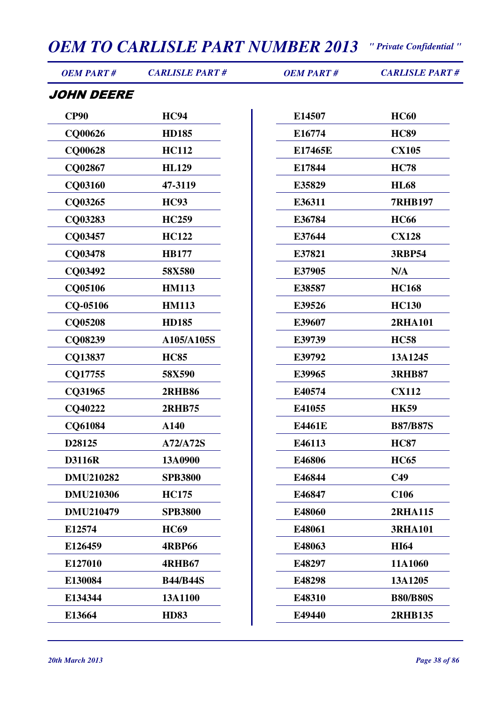| <b>OEM PART#</b>  | <b>CARLISLE PART#</b> | <b>OEM PART#</b> | <b>CARLISLE PART#</b> |
|-------------------|-----------------------|------------------|-----------------------|
| <i>JOHN DEERE</i> |                       |                  |                       |
| <b>CP90</b>       | <b>HC94</b>           | E14507           | <b>HC60</b>           |
| CQ00626           | <b>HD185</b>          | E16774           | <b>HC89</b>           |
| <b>CQ00628</b>    | <b>HC112</b>          | E17465E          | <b>CX105</b>          |
| CQ02867           | <b>HL129</b>          | E17844           | <b>HC78</b>           |
| CQ03160           | 47-3119               | E35829           | <b>HL68</b>           |
| CQ03265           | <b>HC93</b>           | E36311           | <b>7RHB197</b>        |
| CQ03283           | <b>HC259</b>          | E36784           | <b>HC66</b>           |
| CQ03457           | <b>HC122</b>          | E37644           | <b>CX128</b>          |
| CQ03478           | <b>HB177</b>          | E37821           | <b>3RBP54</b>         |
| CQ03492           | 58X580                | E37905           | N/A                   |
| CQ05106           | <b>HM113</b>          | E38587           | <b>HC168</b>          |
| CQ-05106          | <b>HM113</b>          | E39526           | <b>HC130</b>          |
| <b>CQ05208</b>    | <b>HD185</b>          | E39607           | <b>2RHA101</b>        |
| CQ08239           | A105/A105S            | E39739           | <b>HC58</b>           |
| CQ13837           | <b>HC85</b>           | E39792           | 13A1245               |
| CQ17755           | 58X590                | E39965           | <b>3RHB87</b>         |
| CQ31965           | <b>2RHB86</b>         | E40574           | <b>CX112</b>          |
| CQ40222           | <b>2RHB75</b>         | E41055           | <b>HK59</b>           |
| CQ61084           | A140                  | E4461E           | <b>B87/B87S</b>       |
| D28125            | A72/A72S              | E46113           | <b>HC87</b>           |
| <b>D3116R</b>     | 13A0900               | E46806           | <b>HC65</b>           |
| <b>DMU210282</b>  | <b>SPB3800</b>        | E46844           | C <sub>49</sub>       |
| <b>DMU210306</b>  | <b>HC175</b>          | E46847           | C <sub>106</sub>      |
| <b>DMU210479</b>  | <b>SPB3800</b>        | E48060           | <b>2RHA115</b>        |
| E12574            | <b>HC69</b>           | E48061           | <b>3RHA101</b>        |
| E126459           | <b>4RBP66</b>         | E48063           | <b>HI64</b>           |
| E127010           | <b>4RHB67</b>         | E48297           | 11A1060               |
| E130084           | <b>B44/B44S</b>       | E48298           | 13A1205               |
| E134344           | 13A1100               | E48310           | <b>B80/B80S</b>       |
| E13664            | <b>HD83</b>           | E49440           | <b>2RHB135</b>        |
|                   |                       |                  |                       |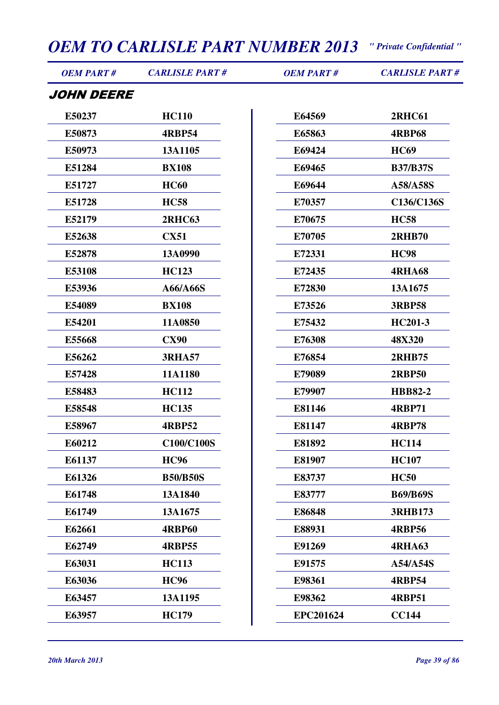| <b>OEM PART#</b>  | <b>CARLISLE PART#</b> | <b>OEM PART#</b> | <b>CARLISLE PART#</b> |
|-------------------|-----------------------|------------------|-----------------------|
| <i>JOHN DEERE</i> |                       |                  |                       |
| E50237            | <b>HC110</b>          | E64569           | <b>2RHC61</b>         |
| E50873            | <b>4RBP54</b>         | E65863           | <b>4RBP68</b>         |
| E50973            | 13A1105               | E69424           | <b>HC69</b>           |
| E51284            | <b>BX108</b>          | E69465           | <b>B37/B37S</b>       |
| E51727            | <b>HC60</b>           | E69644           | A58/A58S              |
| E51728            | <b>HC58</b>           | E70357           | C136/C136S            |
| E52179            | <b>2RHC63</b>         | E70675           | <b>HC58</b>           |
| E52638            | <b>CX51</b>           | E70705           | <b>2RHB70</b>         |
| E52878            | 13A0990               | E72331           | <b>HC98</b>           |
| E53108            | <b>HC123</b>          | E72435           | <b>4RHA68</b>         |
| E53936            | A66/A66S              | E72830           | 13A1675               |
| E54089            | <b>BX108</b>          | E73526           | <b>3RBP58</b>         |
| E54201            | 11A0850               | E75432           | HC201-3               |
| E55668            | <b>CX90</b>           | E76308           | 48X320                |
| E56262            | <b>3RHA57</b>         | E76854           | <b>2RHB75</b>         |
| E57428            | 11A1180               | E79089           | <b>2RBP50</b>         |
| E58483            | <b>HC112</b>          | E79907           | <b>HBB82-2</b>        |
| E58548            | <b>HC135</b>          | E81146           | <b>4RBP71</b>         |
| E58967            | <b>4RBP52</b>         | E81147           | <b>4RBP78</b>         |
| E60212            | C100/C100S            | E81892           | <b>HC114</b>          |
| E61137            | <b>HC96</b>           | E81907           | <b>HC107</b>          |
| E61326            | <b>B50/B50S</b>       | E83737           | <b>HC50</b>           |
| E61748            | 13A1840               | E83777           | <b>B69/B69S</b>       |
| E61749            | 13A1675               | E86848           | <b>3RHB173</b>        |
| E62661            | <b>4RBP60</b>         | E88931           | <b>4RBP56</b>         |
| E62749            | <b>4RBP55</b>         | E91269           | <b>4RHA63</b>         |
| E63031            | <b>HC113</b>          | E91575           | A54/A54S              |
| E63036            | <b>HC96</b>           | E98361           | <b>4RBP54</b>         |
| E63457            | 13A1195               | E98362           | <b>4RBP51</b>         |
| E63957            | <b>HC179</b>          | <b>EPC201624</b> | <b>CC144</b>          |
|                   |                       |                  |                       |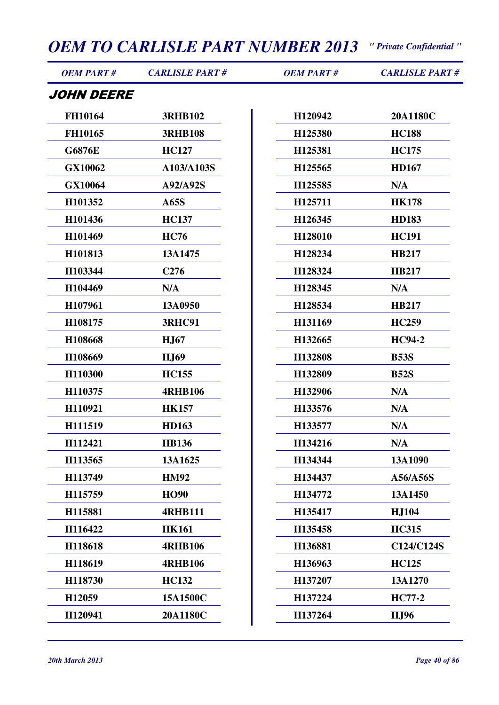| <b>OEM PART#</b> | <b>CARLISLE PART#</b> | <b>OEM PART#</b> | <b>CARLISLE PART#</b> |
|------------------|-----------------------|------------------|-----------------------|
| JOHN DEERE       |                       |                  |                       |
| <b>FH10164</b>   | <b>3RHB102</b>        | H120942          | 20A1180C              |
| FH10165          | <b>3RHB108</b>        | H125380          | <b>HC188</b>          |
| <b>G6876E</b>    | <b>HC127</b>          | H125381          | <b>HC175</b>          |
| GX10062          | A103/A103S            | H125565          | <b>HD167</b>          |
| GX10064          | A92/A92S              | H125585          | N/A                   |
| H101352          | A65S                  | H125711          | <b>HK178</b>          |
| H101436          | <b>HC137</b>          | H126345          | <b>HD183</b>          |
| H101469          | <b>HC76</b>           | H128010          | <b>HC191</b>          |
| H101813          | 13A1475               | H128234          | <b>HB217</b>          |
| H103344          | C <sub>276</sub>      | H128324          | <b>HB217</b>          |
| H104469          | N/A                   | H128345          | N/A                   |
| H107961          | 13A0950               | H128534          | <b>HB217</b>          |
| H108175          | <b>3RHC91</b>         | H131169          | <b>HC259</b>          |
| H108668          | <b>HJ67</b>           | H132665          | <b>HC94-2</b>         |
| H108669          | <b>HJ69</b>           | H132808          | <b>B53S</b>           |
| H110300          | <b>HC155</b>          | H132809          | <b>B52S</b>           |
| H110375          | <b>4RHB106</b>        | H132906          | N/A                   |
| H110921          | <b>HK157</b>          | H133576          | N/A                   |
| H111519          | <b>HD163</b>          | H133577          | N/A                   |
| H112421          | <b>HB136</b>          | H134216          | N/A                   |
| H113565          | 13A1625               | H134344          | 13A1090               |
| H113749          | <b>HM92</b>           | H134437          | A56/A56S              |
| H115759          | <b>HO90</b>           | H134772          | 13A1450               |
| H115881          | <b>4RHB111</b>        | H135417          | <b>HJ104</b>          |
| H116422          | <b>HK161</b>          | H135458          | <b>HC315</b>          |
| H118618          | <b>4RHB106</b>        | H136881          | C124/C124S            |
| H118619          | <b>4RHB106</b>        | H136963          | <b>HC125</b>          |
| H118730          | <b>HC132</b>          | H137207          | 13A1270               |
| H12059           | 15A1500C              | H137224          | <b>HC77-2</b>         |
| H120941          | 20A1180C              | H137264          | <b>HJ96</b>           |
|                  |                       |                  |                       |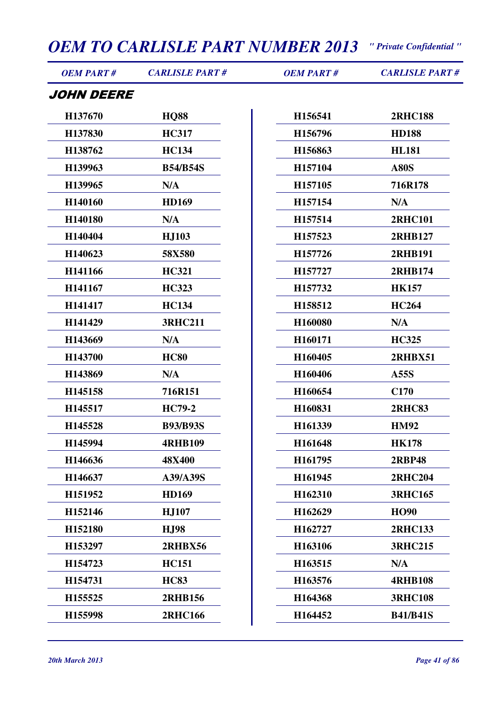| <b>OEM PART#</b>  | <b>CARLISLE PART#</b> | <b>OEM PART#</b> | <b>CARLISLE PART#</b> |
|-------------------|-----------------------|------------------|-----------------------|
| <i>JOHN DEERE</i> |                       |                  |                       |
| H137670           | <b>HQ88</b>           | H156541          | <b>2RHC188</b>        |
| H137830           | <b>HC317</b>          | H156796          | <b>HD188</b>          |
| H138762           | <b>HC134</b>          | H156863          | <b>HL181</b>          |
| H139963           | <b>B54/B54S</b>       | H157104          | <b>A80S</b>           |
| H139965           | N/A                   | H157105          | 716R178               |
| H140160           | <b>HD169</b>          | H157154          | N/A                   |
| H140180           | N/A                   | H157514          | <b>2RHC101</b>        |
| H140404           | <b>HJ103</b>          | H157523          | 2RHB127               |
| H140623           | 58X580                | H157726          | <b>2RHB191</b>        |
| H141166           | <b>HC321</b>          | H157727          | 2RHB174               |
| H141167           | <b>HC323</b>          | H157732          | <b>HK157</b>          |
| H141417           | <b>HC134</b>          | H158512          | <b>HC264</b>          |
| H141429           | <b>3RHC211</b>        | H160080          | N/A                   |
| H143669           | N/A                   | H160171          | <b>HC325</b>          |
| H143700           | <b>HC80</b>           | H160405          | <b>2RHBX51</b>        |
| H143869           | N/A                   | H160406          | A55S                  |
| H145158           | 716R151               | H160654          | C170                  |
| H145517           | <b>HC79-2</b>         | H160831          | <b>2RHC83</b>         |
| H145528           | <b>B93/B93S</b>       | H161339          | <b>HM92</b>           |
| H145994           | <b>4RHB109</b>        | H161648          | <b>HK178</b>          |
| H146636           | <b>48X400</b>         | H161795          | <b>2RBP48</b>         |
| H146637           | A39/A39S              | H161945          | <b>2RHC204</b>        |
| H151952           | <b>HD169</b>          | H162310          | <b>3RHC165</b>        |
| H152146           | <b>HJ107</b>          | H162629          | <b>HO90</b>           |
| H152180           | <b>HJ98</b>           | H162727          | <b>2RHC133</b>        |
| H153297           | <b>2RHBX56</b>        | H163106          | <b>3RHC215</b>        |
| H154723           | <b>HC151</b>          | H163515          | N/A                   |
| H154731           | <b>HC83</b>           | H163576          | <b>4RHB108</b>        |
| H155525           | <b>2RHB156</b>        | H164368          | <b>3RHC108</b>        |
| H155998           | <b>2RHC166</b>        | H164452          | <b>B41/B41S</b>       |
|                   |                       |                  |                       |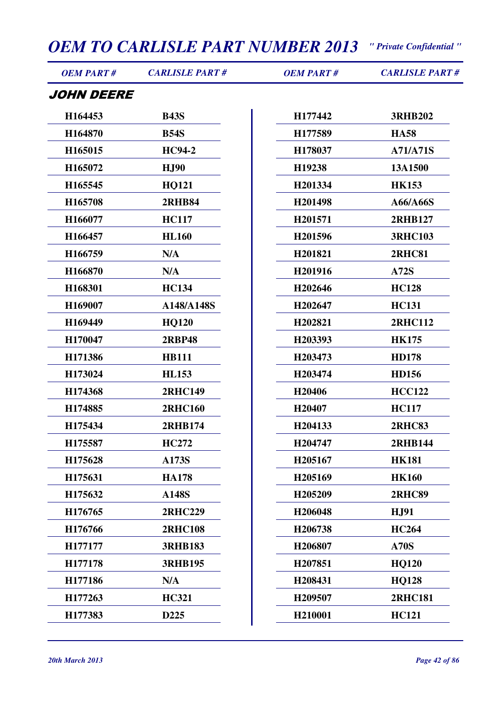| <b>OEM PART#</b>  | <b>CARLISLE PART#</b> | <b>OEM PART#</b> | <b>CARLISLE PART#</b> |  |
|-------------------|-----------------------|------------------|-----------------------|--|
| <i>JOHN DEERE</i> |                       |                  |                       |  |
| H164453           | <b>B43S</b>           | H177442          | <b>3RHB202</b>        |  |
| H164870           | <b>B54S</b>           | H177589          | <b>HA58</b>           |  |
| H165015           | <b>HC94-2</b>         | H178037          | <b>A71/A71S</b>       |  |
| H165072           | <b>HJ90</b>           | H19238           | 13A1500               |  |
| H165545           | <b>HQ121</b>          | H201334          | <b>HK153</b>          |  |
| H165708           | <b>2RHB84</b>         | H201498          | A66/A66S              |  |
| H166077           | <b>HC117</b>          | H201571          | 2RHB127               |  |
| H166457           | <b>HL160</b>          | H201596          | <b>3RHC103</b>        |  |
| H166759           | N/A                   | H201821          | <b>2RHC81</b>         |  |
| H166870           | N/A                   | H201916          | <b>A72S</b>           |  |
| H168301           | <b>HC134</b>          | H202646          | <b>HC128</b>          |  |
| H169007           | A148/A148S            | H202647          | <b>HC131</b>          |  |
| H169449           | <b>HQ120</b>          | H202821          | <b>2RHC112</b>        |  |
| H170047           | <b>2RBP48</b>         | H203393          | <b>HK175</b>          |  |
| H171386           | <b>HB111</b>          | H203473          | <b>HD178</b>          |  |
| H173024           | <b>HL153</b>          | H203474          | <b>HD156</b>          |  |
| H174368           | <b>2RHC149</b>        | H20406           | <b>HCC122</b>         |  |
| H174885           | <b>2RHC160</b>        | H20407           | <b>HC117</b>          |  |
| H175434           | <b>2RHB174</b>        | H204133          | <b>2RHC83</b>         |  |
| H175587           | <b>HC272</b>          | H204747          | <b>2RHB144</b>        |  |
| H175628           | A173S                 | H205167          | <b>HK181</b>          |  |
| H175631           | <b>HA178</b>          | H205169          | <b>HK160</b>          |  |
| H175632           | <b>A148S</b>          | H205209          | <b>2RHC89</b>         |  |
| H176765           | <b>2RHC229</b>        | H206048          | <b>HJ91</b>           |  |
| H176766           | <b>2RHC108</b>        | H206738          | <b>HC264</b>          |  |
| H177177           | <b>3RHB183</b>        | H206807          | <b>A70S</b>           |  |
| H177178           | <b>3RHB195</b>        | H207851          | <b>HQ120</b>          |  |
| H177186           | N/A                   | H208431          | <b>HQ128</b>          |  |
| H177263           | <b>HC321</b>          | H209507          | <b>2RHC181</b>        |  |
| H177383           | D225                  | H210001          | <b>HC121</b>          |  |
|                   |                       |                  |                       |  |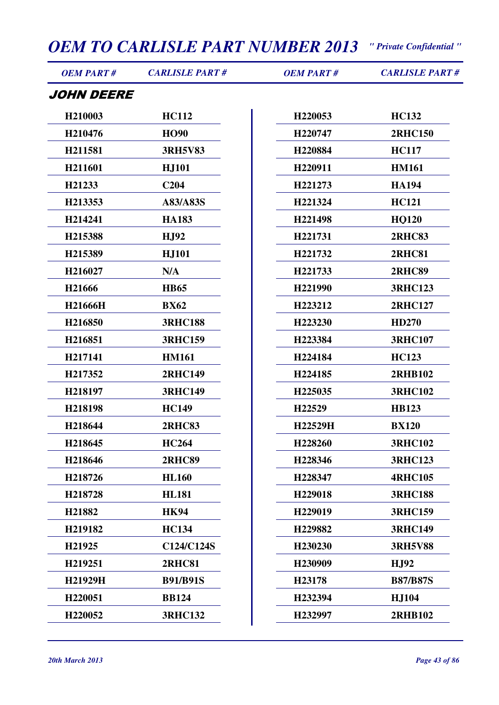| <b>OEM PART#</b> | <b>CARLISLE PART#</b> | <b>OEM PART#</b> | <b>CARLISLE PART#</b> |
|------------------|-----------------------|------------------|-----------------------|
| JOHN DEERE       |                       |                  |                       |
| H210003          | <b>HC112</b>          | H220053          | <b>HC132</b>          |
| H210476          | <b>HO90</b>           | H220747          | <b>2RHC150</b>        |
| H211581          | <b>3RH5V83</b>        | H220884          | <b>HC117</b>          |
| H211601          | <b>HJ101</b>          | H220911          | <b>HM161</b>          |
| H21233           | C <sub>204</sub>      | H221273          | <b>HA194</b>          |
| H213353          | A83/A83S              | H221324          | <b>HC121</b>          |
| H214241          | <b>HA183</b>          | H221498          | <b>HQ120</b>          |
| H215388          | <b>HJ92</b>           | H221731          | <b>2RHC83</b>         |
| H215389          | <b>HJ101</b>          | H221732          | <b>2RHC81</b>         |
| H216027          | N/A                   | H221733          | <b>2RHC89</b>         |
| H21666           | <b>HB65</b>           | H221990          | <b>3RHC123</b>        |
| H21666H          | <b>BX62</b>           | H223212          | <b>2RHC127</b>        |
| H216850          | <b>3RHC188</b>        | H223230          | <b>HD270</b>          |
| H216851          | <b>3RHC159</b>        | H223384          | <b>3RHC107</b>        |
| H217141          | <b>HM161</b>          | H224184          | <b>HC123</b>          |
| H217352          | <b>2RHC149</b>        | H224185          | <b>2RHB102</b>        |
| H218197          | <b>3RHC149</b>        | H225035          | <b>3RHC102</b>        |
| H218198          | <b>HC149</b>          | H22529           | <b>HB123</b>          |
| H218644          | <b>2RHC83</b>         | H22529H          | <b>BX120</b>          |
| H218645          | <b>HC264</b>          | H228260          | <b>3RHC102</b>        |
| H218646          | <b>2RHC89</b>         | H228346          | <b>3RHC123</b>        |
| H218726          | <b>HL160</b>          | H228347          | <b>4RHC105</b>        |
| H218728          | <b>HL181</b>          | H229018          | <b>3RHC188</b>        |
| H21882           | <b>HK94</b>           | H229019          | <b>3RHC159</b>        |
| H219182          | <b>HC134</b>          | H229882          | <b>3RHC149</b>        |
| H21925           | C124/C124S            | H230230          | <b>3RH5V88</b>        |
| H219251          | <b>2RHC81</b>         | H230909          | <b>HJ92</b>           |
| H21929H          | <b>B91/B91S</b>       | H23178           | <b>B87/B87S</b>       |
| H220051          | <b>BB124</b>          | H232394          | <b>HJ104</b>          |
| H220052          | <b>3RHC132</b>        | H232997          | <b>2RHB102</b>        |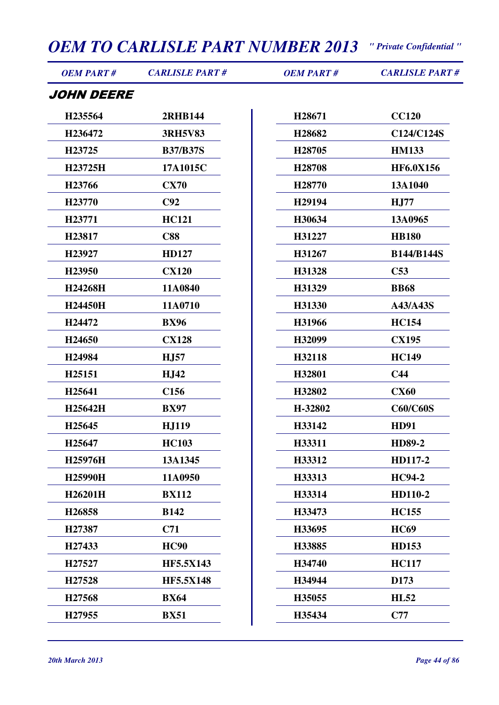| <b>OEM PART#</b>   | <b>CARLISLE PART#</b> | <b>OEM PART#</b>   | <b>CARLISLE PART#</b> |
|--------------------|-----------------------|--------------------|-----------------------|
| <i>JOHN DEERE</i>  |                       |                    |                       |
| H235564            | <b>2RHB144</b>        | H28671             | <b>CC120</b>          |
| H236472            | <b>3RH5V83</b>        | H28682             | C124/C124S            |
| H23725             | <b>B37/B37S</b>       | H <sub>28705</sub> | <b>HM133</b>          |
| H23725H            | 17A1015C              | H28708             | <b>HF6.0X156</b>      |
| H23766             | <b>CX70</b>           | H <sub>28770</sub> | 13A1040               |
| H23770             | C92                   | H <sub>29194</sub> | H <sub>J</sub> 77     |
| H23771             | <b>HC121</b>          | H30634             | 13A0965               |
| H23817             | <b>C88</b>            | H31227             | <b>HB180</b>          |
| H23927             | <b>HD127</b>          | H31267             | <b>B144/B144S</b>     |
| H23950             | <b>CX120</b>          | H31328             | C53                   |
| H24268H            | 11A0840               | H31329             | <b>BB68</b>           |
| H24450H            | 11A0710               | H31330             | A43/A43S              |
| H <sub>24472</sub> | <b>BX96</b>           | H31966             | <b>HC154</b>          |
| H24650             | <b>CX128</b>          | H32099             | <b>CX195</b>          |
| H24984             | <b>HJ57</b>           | H32118             | <b>HC149</b>          |
| H25151             | <b>HJ42</b>           | H32801             | C <sub>44</sub>       |
| H25641             | C <sub>156</sub>      | H32802             | <b>CX60</b>           |
| H25642H            | <b>BX97</b>           | H-32802            | <b>C60/C60S</b>       |
| H25645             | <b>HJ119</b>          | H33142             | <b>HD91</b>           |
| H25647             | <b>HC103</b>          | H33311             | <b>HD89-2</b>         |
| H25976H            | 13A1345               | H33312             | HD117-2               |
| H25990H            | 11A0950               | H33313             | <b>HC94-2</b>         |
| H26201H            | <b>BX112</b>          | H33314             | HD110-2               |
| H26858             | <b>B142</b>           | H33473             | <b>HC155</b>          |
| H27387             | C71                   | H33695             | <b>HC69</b>           |
| H27433             | <b>HC90</b>           | H33885             | <b>HD153</b>          |
| H27527             | <b>HF5.5X143</b>      | H34740             | <b>HC117</b>          |
| H27528             | <b>HF5.5X148</b>      | H34944             | D173                  |
| H27568             | <b>BX64</b>           | H35055             | <b>HL52</b>           |
| H27955             | <b>BX51</b>           | H35434             | C77                   |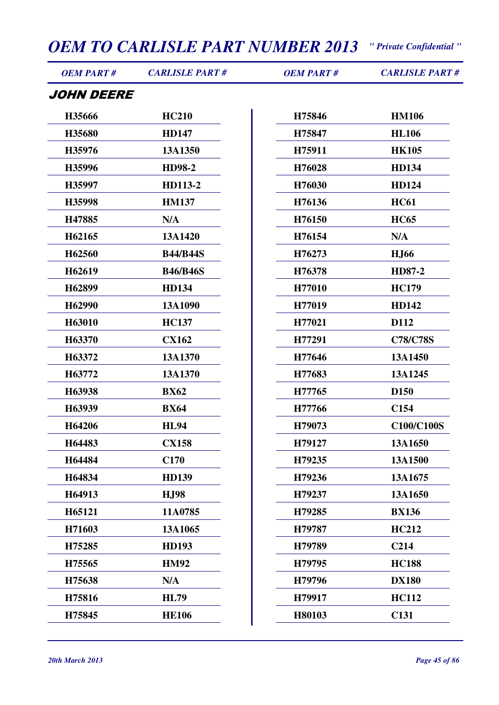| <b>OEM PART#</b>  | <b>CARLISLE PART#</b> | <b>OEM PART#</b> | <b>CARLISLE PART#</b> |
|-------------------|-----------------------|------------------|-----------------------|
| <i>JOHN DEERE</i> |                       |                  |                       |
| H35666            | <b>HC210</b>          | H75846           | <b>HM106</b>          |
| H35680            | <b>HD147</b>          | H75847           | <b>HL106</b>          |
| H35976            | 13A1350               | H75911           | <b>HK105</b>          |
| H35996            | <b>HD98-2</b>         | H76028           | <b>HD134</b>          |
| H35997            | HD113-2               | H76030           | HD124                 |
| H35998            | <b>HM137</b>          | H76136           | <b>HC61</b>           |
| H47885            | N/A                   | H76150           | <b>HC65</b>           |
| H62165            | 13A1420               | H76154           | N/A                   |
| H62560            | <b>B44/B44S</b>       | H76273           | <b>HJ66</b>           |
| H62619            | <b>B46/B46S</b>       | H76378           | HD87-2                |
| H62899            | <b>HD134</b>          | H77010           | <b>HC179</b>          |
| H62990            | 13A1090               | H77019           | <b>HD142</b>          |
| H63010            | <b>HC137</b>          | H77021           | D112                  |
| H63370            | <b>CX162</b>          | H77291           | <b>C78/C78S</b>       |
| H63372            | 13A1370               | H77646           | 13A1450               |
| H63772            | 13A1370               | H77683           | 13A1245               |
| H63938            | <b>BX62</b>           | H77765           | D <sub>150</sub>      |
| H63939            | <b>BX64</b>           | H77766           | C <sub>154</sub>      |
| H64206            | <b>HL94</b>           | H79073           | C100/C100S            |
| H64483            | <b>CX158</b>          | H79127           | 13A1650               |
| H64484            | C <sub>170</sub>      | H79235           | 13A1500               |
| H64834            | <b>HD139</b>          | H79236           | 13A1675               |
| H64913            | <b>HJ98</b>           | H79237           | 13A1650               |
| H65121            | 11A0785               | H79285           | <b>BX136</b>          |
| H71603            | 13A1065               | H79787           | <b>HC212</b>          |
| H75285            | <b>HD193</b>          | H79789           | C <sub>214</sub>      |
| H75565            | <b>HM92</b>           | H79795           | <b>HC188</b>          |
| H75638            | N/A                   | H79796           | <b>DX180</b>          |
| H75816            | <b>HL79</b>           | H79917           | <b>HC112</b>          |
| H75845            | <b>HE106</b>          | H80103           | C131                  |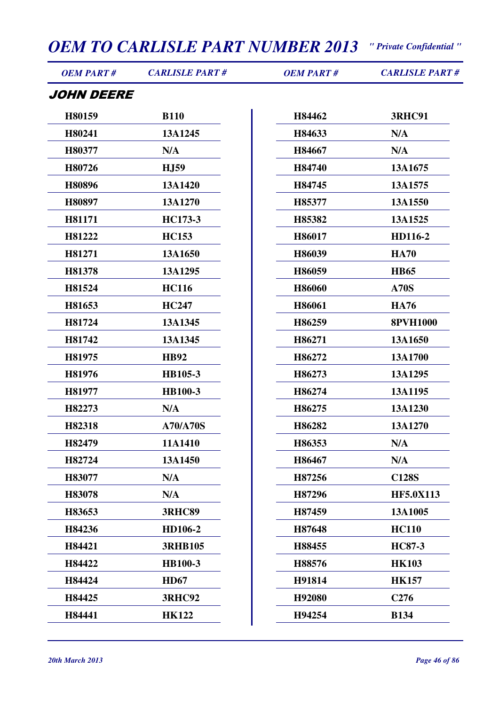| <b>OEM PART#</b>  | <b>CARLISLE PART#</b> | <b>OEM PART#</b> | <b>CARLISLE PART#</b> |
|-------------------|-----------------------|------------------|-----------------------|
| <i>JOHN DEERE</i> |                       |                  |                       |
| H80159            | <b>B110</b>           | H84462           | <b>3RHC91</b>         |
| H80241            | 13A1245               | H84633           | N/A                   |
| H80377            | N/A                   | H84667           | N/A                   |
| H80726            | <b>HJ59</b>           | H84740           | 13A1675               |
| H80896            | 13A1420               | H84745           | 13A1575               |
| H80897            | 13A1270               | H85377           | 13A1550               |
| H81171            | HC173-3               | H85382           | 13A1525               |
| H81222            | <b>HC153</b>          | H86017           | HD116-2               |
| H81271            | 13A1650               | H86039           | <b>HA70</b>           |
| H81378            | 13A1295               | H86059           | <b>HB65</b>           |
| H81524            | <b>HC116</b>          | H86060           | <b>A70S</b>           |
| H81653            | <b>HC247</b>          | H86061           | <b>HA76</b>           |
| H81724            | 13A1345               | H86259           | <b>8PVH1000</b>       |
| H81742            | 13A1345               | H86271           | 13A1650               |
| H81975            | <b>HB92</b>           | H86272           | 13A1700               |
| H81976            | HB105-3               | H86273           | 13A1295               |
| H81977            | <b>HB100-3</b>        | H86274           | 13A1195               |
| H82273            | N/A                   | H86275           | 13A1230               |
| H82318            | <b>A70/A70S</b>       | H86282           | 13A1270               |
| H82479            | 11A1410               | H86353           | N/A                   |
| H82724            | 13A1450               | H86467           | N/A                   |
| H83077            | N/A                   | H87256           | <b>C128S</b>          |
| H83078            | N/A                   | H87296           | <b>HF5.0X113</b>      |
| H83653            | <b>3RHC89</b>         | H87459           | 13A1005               |
| H84236            | HD106-2               | H87648           | <b>HC110</b>          |
| H84421            | <b>3RHB105</b>        | H88455           | <b>HC87-3</b>         |
| H84422            | <b>HB100-3</b>        | H88576           | <b>HK103</b>          |
| H84424            | <b>HD67</b>           | H91814           | <b>HK157</b>          |
| H84425            | <b>3RHC92</b>         | H92080           | C <sub>276</sub>      |
| H84441            | <b>HK122</b>          | H94254           | <b>B134</b>           |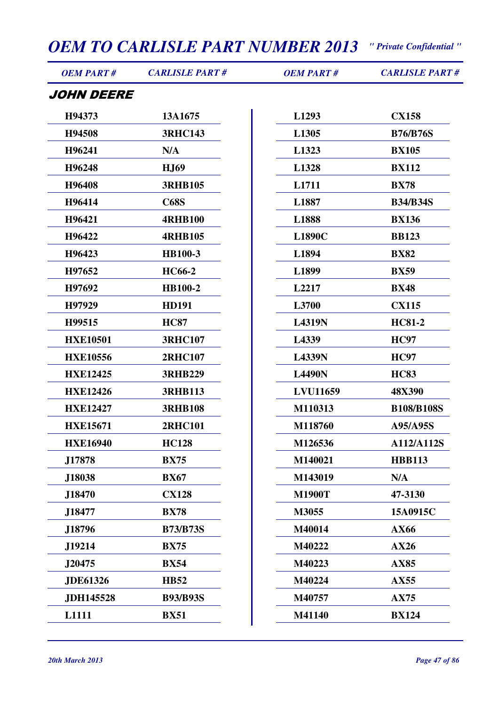| <b>OEM PART#</b> | <b>CARLISLE PART#</b> | <b>OEM PART#</b> | <b>CARLISLE PART#</b> |
|------------------|-----------------------|------------------|-----------------------|
| JOHN DEERE       |                       |                  |                       |
| H94373           | 13A1675               | L1293            | <b>CX158</b>          |
| H94508           | <b>3RHC143</b>        | L1305            | <b>B76/B76S</b>       |
| H96241           | N/A                   | L1323            | <b>BX105</b>          |
| H96248           | <b>HJ69</b>           | L1328            | <b>BX112</b>          |
| H96408           | <b>3RHB105</b>        | L1711            | <b>BX78</b>           |
| H96414           | <b>C68S</b>           | L1887            | <b>B34/B34S</b>       |
| H96421           | <b>4RHB100</b>        | L1888            | <b>BX136</b>          |
| H96422           | <b>4RHB105</b>        | <b>L1890C</b>    | <b>BB123</b>          |
| H96423           | <b>HB100-3</b>        | L1894            | <b>BX82</b>           |
| H97652           | <b>HC66-2</b>         | L1899            | <b>BX59</b>           |
| H97692           | <b>HB100-2</b>        | L2217            | <b>BX48</b>           |
| H97929           | <b>HD191</b>          | L3700            | <b>CX115</b>          |
| H99515           | <b>HC87</b>           | <b>L4319N</b>    | <b>HC81-2</b>         |
| <b>HXE10501</b>  | <b>3RHC107</b>        | L4339            | <b>HC97</b>           |
| <b>HXE10556</b>  | <b>2RHC107</b>        | <b>L4339N</b>    | <b>HC97</b>           |
| <b>HXE12425</b>  | <b>3RHB229</b>        | <b>L4490N</b>    | <b>HC83</b>           |
| <b>HXE12426</b>  | <b>3RHB113</b>        | <b>LVU11659</b>  | 48X390                |
| <b>HXE12427</b>  | <b>3RHB108</b>        | M110313          | <b>B108/B108S</b>     |
| <b>HXE15671</b>  | <b>2RHC101</b>        | M118760          | A95/A95S              |
| <b>HXE16940</b>  | <b>HC128</b>          | M126536          | A112/A112S            |
| J17878           | <b>BX75</b>           | M140021          | <b>HBB113</b>         |
| J18038           | <b>BX67</b>           | M143019          | N/A                   |
| J18470           | <b>CX128</b>          | <b>M1900T</b>    | 47-3130               |
| J18477           | <b>BX78</b>           | M3055            | 15A0915C              |
| J18796           | <b>B73/B73S</b>       | M40014           | AX66                  |
| J19214           | <b>BX75</b>           | M40222           | AX26                  |
| J20475           | <b>BX54</b>           | M40223           | <b>AX85</b>           |
| <b>JDE61326</b>  | <b>HB52</b>           | M40224           | <b>AX55</b>           |
| <b>JDH145528</b> | <b>B93/B93S</b>       | M40757           | <b>AX75</b>           |
| L1111            | <b>BX51</b>           | M41140           | <b>BX124</b>          |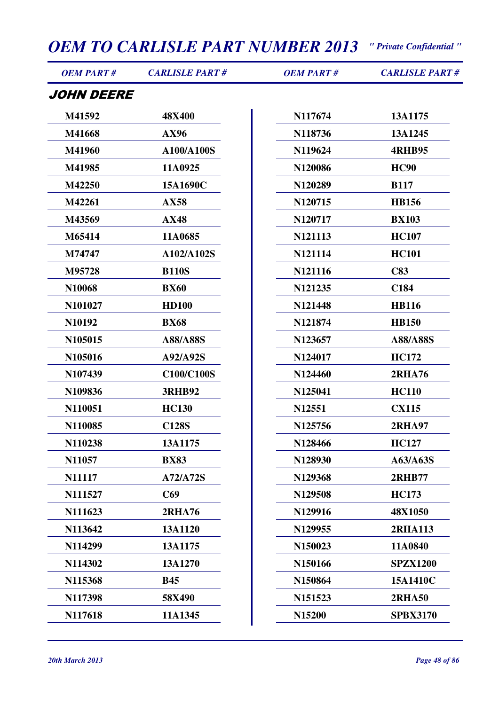| <b>OEM PART#</b>  | <b>CARLISLE PART#</b> | <b>OEM PART#</b> | <b>CARLISLE PART#</b> |
|-------------------|-----------------------|------------------|-----------------------|
| <i>JOHN DEERE</i> |                       |                  |                       |
| M41592            | 48X400                | N117674          | 13A1175               |
| M41668            | AX96                  | N118736          | 13A1245               |
| M41960            | A100/A100S            | N119624          | <b>4RHB95</b>         |
| M41985            | 11A0925               | N120086          | <b>HC90</b>           |
| M42250            | 15A1690C              | N120289          | <b>B117</b>           |
| M42261            | <b>AX58</b>           | N120715          | <b>HB156</b>          |
| M43569            | <b>AX48</b>           | N120717          | <b>BX103</b>          |
| M65414            | 11A0685               | N121113          | <b>HC107</b>          |
| M74747            | A102/A102S            | N121114          | <b>HC101</b>          |
| M95728            | <b>B110S</b>          | N121116          | C83                   |
| N10068            | <b>BX60</b>           | N121235          | C184                  |
| N101027           | <b>HD100</b>          | N121448          | <b>HB116</b>          |
| N10192            | <b>BX68</b>           | N121874          | <b>HB150</b>          |
| N105015           | A88/A88S              | N123657          | <b>A88/A88S</b>       |
| N105016           | A92/A92S              | N124017          | <b>HC172</b>          |
| N107439           | <b>C100/C100S</b>     | N124460          | <b>2RHA76</b>         |
| N109836           | <b>3RHB92</b>         | N125041          | <b>HC110</b>          |
| N110051           | <b>HC130</b>          | N12551           | <b>CX115</b>          |
| N110085           | <b>C128S</b>          | N125756          | <b>2RHA97</b>         |
| N110238           | 13A1175               | N128466          | <b>HC127</b>          |
| N11057            | <b>BX83</b>           | N128930          | A63/A63S              |
| N11117            | A72/A72S              | N129368          | <b>2RHB77</b>         |
| N111527           | C69                   | N129508          | <b>HC173</b>          |
| N111623           | <b>2RHA76</b>         | N129916          | 48X1050               |
| N113642           | 13A1120               | N129955          | <b>2RHA113</b>        |
| N114299           | 13A1175               | N150023          | 11A0840               |
| N114302           | 13A1270               | N150166          | <b>SPZX1200</b>       |
| N115368           | <b>B45</b>            | N150864          | 15A1410C              |
| N117398           | 58X490                | N151523          | <b>2RHA50</b>         |
| N117618           | 11A1345               | N15200           | <b>SPBX3170</b>       |
|                   |                       |                  |                       |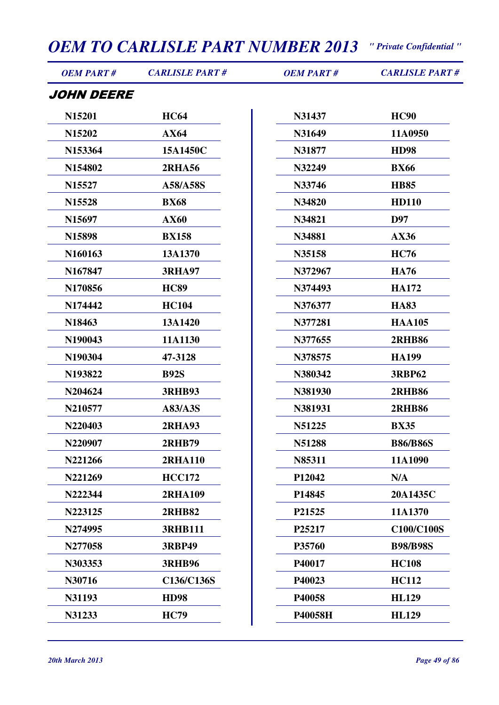| <b>OEM PART#</b>   | <b>CARLISLE PART#</b> | <b>OEM PART#</b> | <b>CARLISLE PART#</b> |
|--------------------|-----------------------|------------------|-----------------------|
| JOHN DEERE         |                       |                  |                       |
| N15201             | <b>HC64</b>           | N31437           | <b>HC90</b>           |
| N15202             | AX64                  | N31649           | 11A0950               |
| N153364            | 15A1450C              | N31877           | <b>HD98</b>           |
| N154802            | <b>2RHA56</b>         | N32249           | <b>BX66</b>           |
| N <sub>15527</sub> | A58/A58S              | N33746           | <b>HB85</b>           |
| N <sub>15528</sub> | <b>BX68</b>           | N34820           | <b>HD110</b>          |
| N <sub>15697</sub> | <b>AX60</b>           | N34821           | D97                   |
| N15898             | <b>BX158</b>          | N34881           | AX36                  |
| N160163            | 13A1370               | N35158           | <b>HC76</b>           |
| N167847            | <b>3RHA97</b>         | N372967          | <b>HA76</b>           |
| N170856            | <b>HC89</b>           | N374493          | <b>HA172</b>          |
| N174442            | <b>HC104</b>          | N376377          | <b>HA83</b>           |
| N18463             | 13A1420               | N377281          | <b>HAA105</b>         |
| N190043            | 11A1130               | N377655          | <b>2RHB86</b>         |
| N190304            | 47-3128               | N378575          | <b>HA199</b>          |
| N193822            | <b>B92S</b>           | N380342          | <b>3RBP62</b>         |
| N204624            | <b>3RHB93</b>         | N381930          | <b>2RHB86</b>         |
| N210577            | <b>A83/A3S</b>        | N381931          | <b>2RHB86</b>         |
| N220403            | <b>2RHA93</b>         | N51225           | <b>BX35</b>           |
| N220907            | <b>2RHB79</b>         | N51288           | <b>B86/B86S</b>       |
| N221266            | 2RHA110               | N85311           | 11A1090               |
| N221269            | <b>HCC172</b>         | P12042           | N/A                   |
| N222344            | <b>2RHA109</b>        | P14845           | 20A1435C              |
| N223125            | <b>2RHB82</b>         | P21525           | 11A1370               |
| N274995            | <b>3RHB111</b>        | P25217           | <b>C100/C100S</b>     |
| N277058            | <b>3RBP49</b>         | P35760           | <b>B98/B98S</b>       |
| N303353            | <b>3RHB96</b>         | P40017           | <b>HC108</b>          |
| N30716             | C136/C136S            | P40023           | <b>HC112</b>          |
| N31193             | <b>HD98</b>           | P40058           | <b>HL129</b>          |
| N31233             | <b>HC79</b>           | P40058H          | <b>HL129</b>          |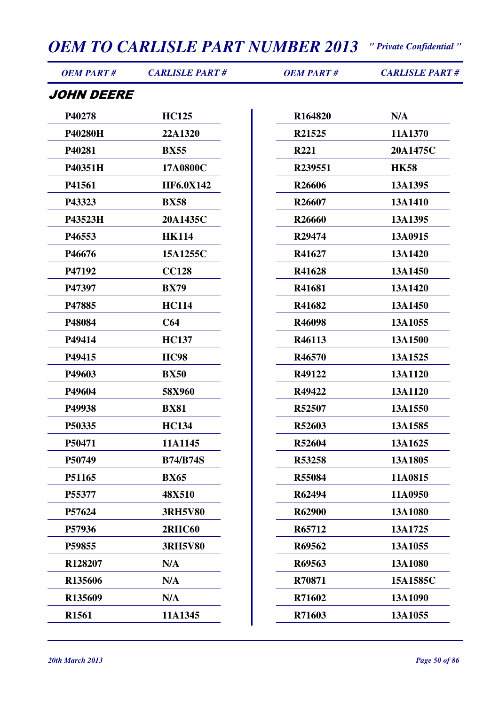| <b>OEM PART#</b>  | <b>CARLISLE PART#</b> | <b>OEM PART#</b>   | <b>CARLISLE PART#</b> |
|-------------------|-----------------------|--------------------|-----------------------|
| <i>JOHN DEERE</i> |                       |                    |                       |
| P40278            | <b>HC125</b>          | R164820            | N/A                   |
| P40280H           | 22A1320               | R21525             | 11A1370               |
| P40281            | <b>BX55</b>           | <b>R221</b>        | 20A1475C              |
| P40351H           | 17A0800C              | R239551            | <b>HK58</b>           |
| P41561            | <b>HF6.0X142</b>      | R26606             | 13A1395               |
| P43323            | <b>BX58</b>           | R <sub>26607</sub> | 13A1410               |
| P43523H           | 20A1435C              | R26660             | 13A1395               |
| P46553            | <b>HK114</b>          | R29474             | 13A0915               |
| P46676            | 15A1255C              | R41627             | 13A1420               |
| P47192            | <b>CC128</b>          | R41628             | 13A1450               |
| P47397            | <b>BX79</b>           | R41681             | 13A1420               |
| P47885            | <b>HC114</b>          | R41682             | 13A1450               |
| P48084            | C64                   | R46098             | 13A1055               |
| P49414            | <b>HC137</b>          | R46113             | 13A1500               |
| P49415            | <b>HC98</b>           | R46570             | 13A1525               |
| P49603            | <b>BX50</b>           | R49122             | 13A1120               |
| P49604            | 58X960                | R49422             | 13A1120               |
| P49938            | <b>BX81</b>           | R52507             | 13A1550               |
| P50335            | <b>HC134</b>          | R52603             | 13A1585               |
| P50471            | 11A1145               | R52604             | 13A1625               |
| P50749            | <b>B74/B74S</b>       | R53258             | 13A1805               |
| P51165            | <b>BX65</b>           | <b>R55084</b>      | 11A0815               |
| P55377            | 48X510                | R62494             | 11A0950               |
| P57624            | <b>3RH5V80</b>        | R62900             | 13A1080               |
| P57936            | <b>2RHC60</b>         | R65712             | 13A1725               |
| P59855            | <b>3RH5V80</b>        | R69562             | 13A1055               |
| R128207           | N/A                   | R69563             | 13A1080               |
| R135606           | N/A                   | R70871             | 15A1585C              |
| R135609           | N/A                   | R71602             | 13A1090               |
| R1561             | 11A1345               | R71603             | 13A1055               |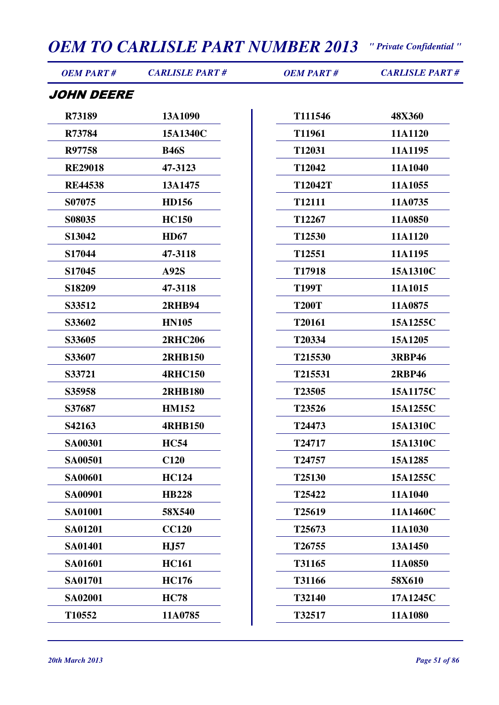| <b>OEM PART#</b> | <b>CARLISLE PART#</b> | <b>OEM PART#</b>   | <b>CARLISLE PART#</b> |
|------------------|-----------------------|--------------------|-----------------------|
| JOHN DEERE       |                       |                    |                       |
| R73189           | 13A1090               | T111546            | 48X360                |
| R73784           | 15A1340C              | T11961             | 11A1120               |
| R97758           | <b>B46S</b>           | T12031             | 11A1195               |
| <b>RE29018</b>   | 47-3123               | T12042             | 11A1040               |
| <b>RE44538</b>   | 13A1475               | T12042T            | 11A1055               |
| S07075           | <b>HD156</b>          | T <sub>12111</sub> | 11A0735               |
| S08035           | <b>HC150</b>          | T12267             | 11A0850               |
| S13042           | <b>HD67</b>           | T12530             | 11A1120               |
| S17044           | 47-3118               | T12551             | 11A1195               |
| S17045           | <b>A92S</b>           | T17918             | 15A1310C              |
| S18209           | 47-3118               | <b>T199T</b>       | 11A1015               |
| S33512           | <b>2RHB94</b>         | <b>T200T</b>       | 11A0875               |
| S33602           | <b>HN105</b>          | T20161             | 15A1255C              |
| S33605           | <b>2RHC206</b>        | T20334             | 15A1205               |
| S33607           | <b>2RHB150</b>        | T215530            | <b>3RBP46</b>         |
| S33721           | <b>4RHC150</b>        | T215531            | <b>2RBP46</b>         |
| S35958           | <b>2RHB180</b>        | T23505             | 15A1175C              |
| S37687           | <b>HM152</b>          | T23526             | 15A1255C              |
| S42163           | <b>4RHB150</b>        | T24473             | 15A1310C              |
| SA00301          | <b>HC54</b>           | T24717             | 15A1310C              |
| <b>SA00501</b>   | C120                  | T24757             | 15A1285               |
| <b>SA00601</b>   | <b>HC124</b>          | T25130             | 15A1255C              |
| <b>SA00901</b>   | <b>HB228</b>          | T25422             | 11A1040               |
| <b>SA01001</b>   | 58X540                | T25619             | 11A1460C              |
| <b>SA01201</b>   | <b>CC120</b>          | T25673             | 11A1030               |
| <b>SA01401</b>   | H <sub>J</sub> 57     | T26755             | 13A1450               |
| SA01601          | <b>HC161</b>          | T31165             | 11A0850               |
| <b>SA01701</b>   | <b>HC176</b>          | T31166             | 58X610                |
| <b>SA02001</b>   | <b>HC78</b>           | T32140             | 17A1245C              |
| T10552           | 11A0785               | T32517             | 11A1080               |
|                  |                       |                    |                       |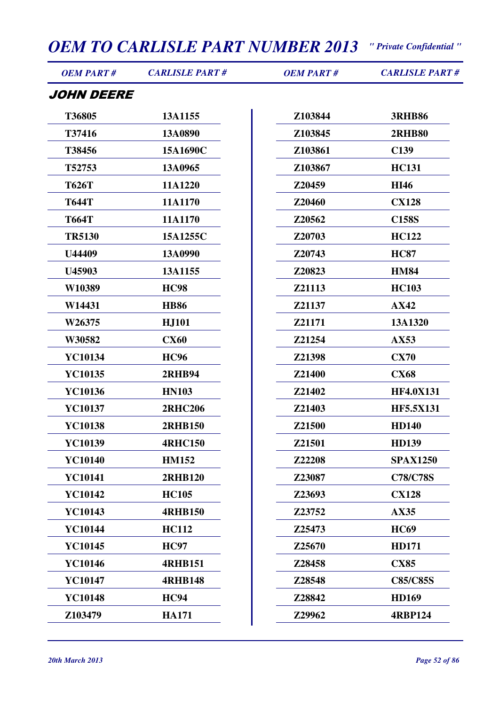| <b>OEM PART#</b>  | <b>CARLISLE PART#</b> | <b>OEM PART#</b> | <b>CARLISLE PART#</b> |
|-------------------|-----------------------|------------------|-----------------------|
| <i>JOHN DEERE</i> |                       |                  |                       |
| T36805            | 13A1155               | Z103844          | <b>3RHB86</b>         |
| T37416            | 13A0890               | Z103845          | <b>2RHB80</b>         |
| T38456            | 15A1690C              | Z103861          | C139                  |
| T52753            | 13A0965               | Z103867          | <b>HC131</b>          |
| <b>T626T</b>      | 11A1220               | Z20459           | <b>HI46</b>           |
| <b>T644T</b>      | 11A1170               | Z20460           | <b>CX128</b>          |
| <b>T664T</b>      | 11A1170               | Z20562           | <b>C158S</b>          |
| <b>TR5130</b>     | 15A1255C              | Z20703           | <b>HC122</b>          |
| U44409            | 13A0990               | Z20743           | <b>HC87</b>           |
| U45903            | 13A1155               | Z20823           | <b>HM84</b>           |
| W10389            | <b>HC98</b>           | Z21113           | <b>HC103</b>          |
| W14431            | <b>HB86</b>           | Z21137           | AX42                  |
| W26375            | <b>HJ101</b>          | Z21171           | 13A1320               |
| W30582            | <b>CX60</b>           | Z21254           | AX53                  |
| YC10134           | <b>HC96</b>           | Z21398           | <b>CX70</b>           |
| YC10135           | <b>2RHB94</b>         | Z21400           | <b>CX68</b>           |
| YC10136           | <b>HN103</b>          | Z21402           | <b>HF4.0X131</b>      |
| YC10137           | <b>2RHC206</b>        | Z21403           | <b>HF5.5X131</b>      |
| YC10138           | <b>2RHB150</b>        | Z21500           | <b>HD140</b>          |
| YC10139           | <b>4RHC150</b>        | Z21501           | <b>HD139</b>          |
| <b>YC10140</b>    | <b>HM152</b>          | Z22208           | <b>SPAX1250</b>       |
| <b>YC10141</b>    | <b>2RHB120</b>        | Z23087           | <b>C78/C78S</b>       |
| <b>YC10142</b>    | <b>HC105</b>          | Z23693           | <b>CX128</b>          |
| YC10143           | <b>4RHB150</b>        | Z23752           | AX35                  |
| YC10144           | <b>HC112</b>          | Z25473           | <b>HC69</b>           |
| YC10145           | <b>HC97</b>           | Z25670           | <b>HD171</b>          |
| YC10146           | <b>4RHB151</b>        | Z28458           | <b>CX85</b>           |
| YC10147           | <b>4RHB148</b>        | Z28548           | <b>C85/C85S</b>       |
| <b>YC10148</b>    | <b>HC94</b>           | Z28842           | <b>HD169</b>          |
| Z103479           | <b>HA171</b>          | Z29962           | <b>4RBP124</b>        |
|                   |                       |                  |                       |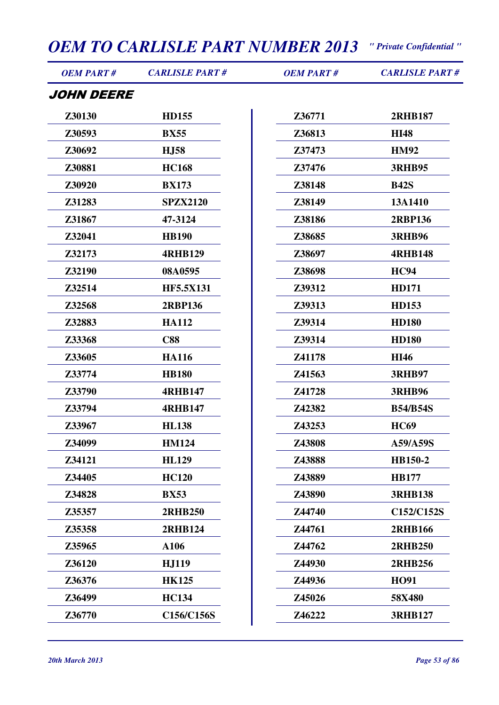| <b>OEM PART#</b> | <b>CARLISLE PART#</b> | <b>OEM PART#</b> | <b>CARLISLE PART#</b> |
|------------------|-----------------------|------------------|-----------------------|
| JOHN DEERE       |                       |                  |                       |
| Z30130           | <b>HD155</b>          | Z36771           | <b>2RHB187</b>        |
| Z30593           | <b>BX55</b>           | Z36813           | <b>HI48</b>           |
| Z30692           | <b>H.J58</b>          | Z37473           | <b>HM92</b>           |
| Z30881           | <b>HC168</b>          | Z37476           | <b>3RHB95</b>         |
| Z30920           | <b>BX173</b>          | Z38148           | <b>B42S</b>           |
| Z31283           | <b>SPZX2120</b>       | Z38149           | 13A1410               |
| Z31867           | 47-3124               | Z38186           | <b>2RBP136</b>        |
| Z32041           | <b>HB190</b>          | Z38685           | <b>3RHB96</b>         |
| Z32173           | <b>4RHB129</b>        | Z38697           | <b>4RHB148</b>        |
| Z32190           | 08A0595               | Z38698           | <b>HC94</b>           |
| Z32514           | <b>HF5.5X131</b>      | Z39312           | <b>HD171</b>          |
| Z32568           | <b>2RBP136</b>        | Z39313           | <b>HD153</b>          |
| Z32883           | <b>HA112</b>          | Z39314           | <b>HD180</b>          |
| Z33368           | <b>C88</b>            | Z39314           | <b>HD180</b>          |
| Z33605           | <b>HA116</b>          | Z41178           | <b>HI46</b>           |
| Z33774           | <b>HB180</b>          | Z41563           | <b>3RHB97</b>         |
| Z33790           | <b>4RHB147</b>        | Z41728           | <b>3RHB96</b>         |
| Z33794           | <b>4RHB147</b>        | Z42382           | <b>B54/B54S</b>       |
| Z33967           | <b>HL138</b>          | Z43253           | <b>HC69</b>           |
| Z34099           | <b>HM124</b>          | Z43808           | A59/A59S              |
| Z34121           | <b>HL129</b>          | Z43888           | HB150-2               |
| Z34405           | <b>HC120</b>          | Z43889           | <b>HB177</b>          |
| Z34828           | <b>BX53</b>           | Z43890           | <b>3RHB138</b>        |
| Z35357           | <b>2RHB250</b>        | Z44740           | C152/C152S            |
| Z35358           | <b>2RHB124</b>        | Z44761           | <b>2RHB166</b>        |
| Z35965           | A106                  | Z44762           | <b>2RHB250</b>        |
| Z36120           | <b>HJ119</b>          | Z44930           | <b>2RHB256</b>        |
| Z36376           | <b>HK125</b>          | Z44936           | <b>HO91</b>           |
| Z36499           | <b>HC134</b>          | Z45026           | 58X480                |
| Z36770           | C156/C156S            | Z46222           | <b>3RHB127</b>        |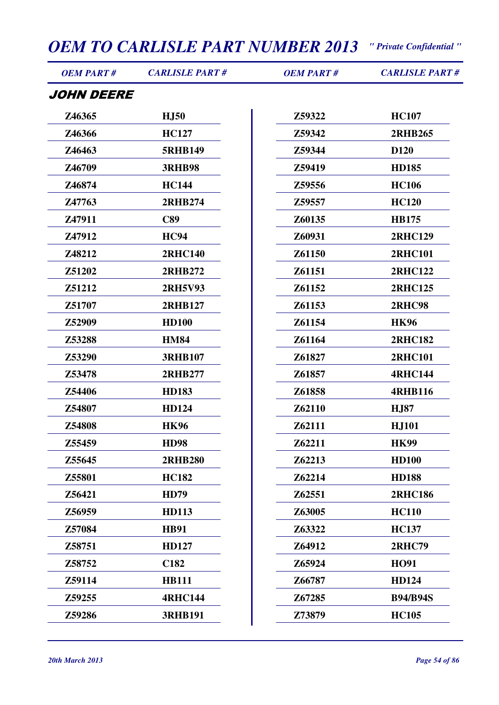| <b>OEM PART#</b>  | <b>CARLISLE PART#</b> | <b>OEM PART#</b> | <b>CARLISLE PART#</b> |
|-------------------|-----------------------|------------------|-----------------------|
| <i>JOHN DEERE</i> |                       |                  |                       |
| Z46365            | <b>HJ50</b>           | Z59322           | <b>HC107</b>          |
| Z46366            | <b>HC127</b>          | Z59342           | <b>2RHB265</b>        |
| Z46463            | <b>5RHB149</b>        | Z59344           | D <sub>120</sub>      |
| Z46709            | <b>3RHB98</b>         | Z59419           | <b>HD185</b>          |
| Z46874            | <b>HC144</b>          | Z59556           | <b>HC106</b>          |
| Z47763            | 2RHB274               | Z59557           | <b>HC120</b>          |
| Z47911            | C89                   | Z60135           | <b>HB175</b>          |
| Z47912            | <b>HC94</b>           | Z60931           | <b>2RHC129</b>        |
| Z48212            | <b>2RHC140</b>        | Z61150           | <b>2RHC101</b>        |
| Z51202            | 2RHB272               | Z61151           | <b>2RHC122</b>        |
| Z51212            | <b>2RH5V93</b>        | Z61152           | <b>2RHC125</b>        |
| Z51707            | 2RHB127               | Z61153           | <b>2RHC98</b>         |
| Z52909            | <b>HD100</b>          | Z61154           | <b>HK96</b>           |
| Z53288            | <b>HM84</b>           | Z61164           | <b>2RHC182</b>        |
| Z53290            | <b>3RHB107</b>        | Z61827           | <b>2RHC101</b>        |
| Z53478            | <b>2RHB277</b>        | Z61857           | <b>4RHC144</b>        |
| Z54406            | <b>HD183</b>          | Z61858           | <b>4RHB116</b>        |
| Z54807            | <b>HD124</b>          | Z62110           | <b>HJ87</b>           |
| Z54808            | <b>HK96</b>           | Z62111           | <b>HJ101</b>          |
| Z55459            | <b>HD98</b>           | Z62211           | <b>HK99</b>           |
| Z55645            | <b>2RHB280</b>        | Z62213           | <b>HD100</b>          |
| Z55801            | <b>HC182</b>          | Z62214           | <b>HD188</b>          |
| Z56421            | <b>HD79</b>           | Z62551           | <b>2RHC186</b>        |
| Z56959            | <b>HD113</b>          | Z63005           | <b>HC110</b>          |
| Z57084            | <b>HB91</b>           | Z63322           | <b>HC137</b>          |
| Z58751            | <b>HD127</b>          | Z64912           | <b>2RHC79</b>         |
| Z58752            | C <sub>182</sub>      | Z65924           | <b>HO91</b>           |
| Z59114            | <b>HB111</b>          | Z66787           | <b>HD124</b>          |
| Z59255            | <b>4RHC144</b>        | Z67285           | <b>B94/B94S</b>       |
| Z59286            | <b>3RHB191</b>        | Z73879           | <b>HC105</b>          |
|                   |                       |                  |                       |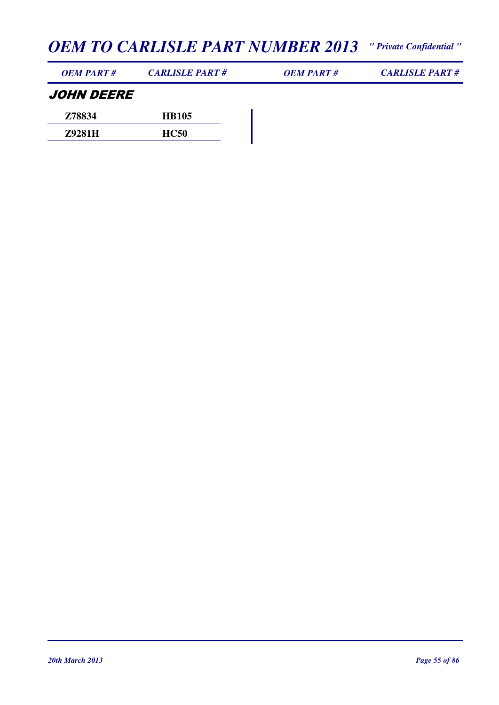| <b>OEM PART#</b> | <b>CARLISLE PART#</b> | <b>OEM PART#</b> | <b>CARLISLE PART#</b> |
|------------------|-----------------------|------------------|-----------------------|
|                  |                       |                  |                       |

#### JOHN DEERE **Z78834 HB105**

| 2000   | 111/1VV     |
|--------|-------------|
| Z9281H | <b>HC50</b> |
|        |             |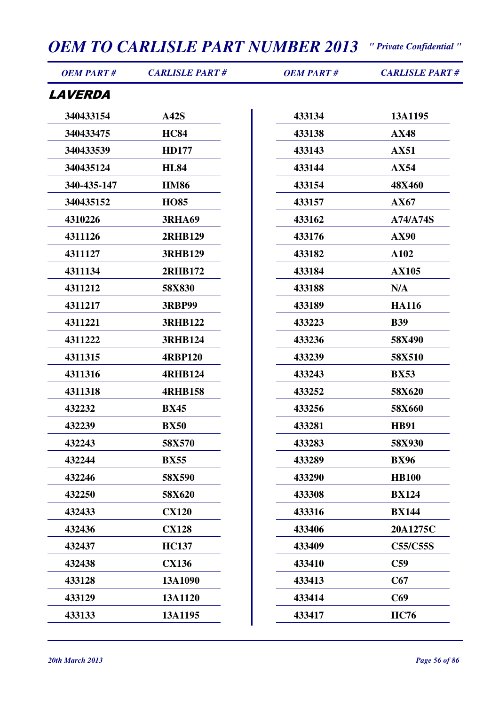| <b>OEM PART#</b>      | <b>OEM TO CARLISLE PART NUMBER 2013</b> " Private Confidential "<br><b>CARLISLE PART#</b> | <b>OEM PART#</b> | <b>CARLISLE PART#</b> |
|-----------------------|-------------------------------------------------------------------------------------------|------------------|-----------------------|
| <i><b>LAVERDA</b></i> |                                                                                           |                  |                       |
| 340433154             | A42S                                                                                      | 433134           | 13A1195               |
| 340433475             | <b>HC84</b>                                                                               | 433138           | <b>AX48</b>           |
| 340433539             | <b>HD177</b>                                                                              | 433143           | <b>AX51</b>           |
| 340435124             | <b>HL84</b>                                                                               | 433144           | <b>AX54</b>           |
| 340-435-147           | <b>HM86</b>                                                                               | 433154           | 48X460                |
| 340435152             | <b>HO85</b>                                                                               | 433157           | AX67                  |
| 4310226               | <b>3RHA69</b>                                                                             | 433162           | A74/A74S              |
| 4311126               | <b>2RHB129</b>                                                                            | 433176           | <b>AX90</b>           |
| 4311127               | <b>3RHB129</b>                                                                            | 433182           | A102                  |
| 4311134               | 2RHB172                                                                                   | 433184           | <b>AX105</b>          |
| 4311212               | 58X830                                                                                    | 433188           | N/A                   |
| 4311217               | <b>3RBP99</b>                                                                             | 433189           | <b>HA116</b>          |
| 4311221               | <b>3RHB122</b>                                                                            | 433223           | <b>B39</b>            |
| 4311222               | <b>3RHB124</b>                                                                            | 433236           | 58X490                |
| 4311315               | <b>4RBP120</b>                                                                            | 433239           | 58X510                |
| 4311316               | <b>4RHB124</b>                                                                            | 433243           | <b>BX53</b>           |
| 4311318               | <b>4RHB158</b>                                                                            | 433252           | 58X620                |
| 432232                | <b>BX45</b>                                                                               | 433256           | 58X660                |
| 432239                | <b>BX50</b>                                                                               | 433281           | <b>HB91</b>           |
| 432243                | 58X570                                                                                    | 433283           | 58X930                |
| 432244                | <b>BX55</b>                                                                               | 433289           | <b>BX96</b>           |
| 432246                | 58X590                                                                                    | 433290           | <b>HB100</b>          |

**58X620**

**CX120**

**CX128**

**HC137**

**CX136**

**13A1090**

 **13A1120 13A1195** **BX124**

**BX144**

**C59**

**C67**

**C69**

**HC76**

**20A1275C**

**C55/C55S**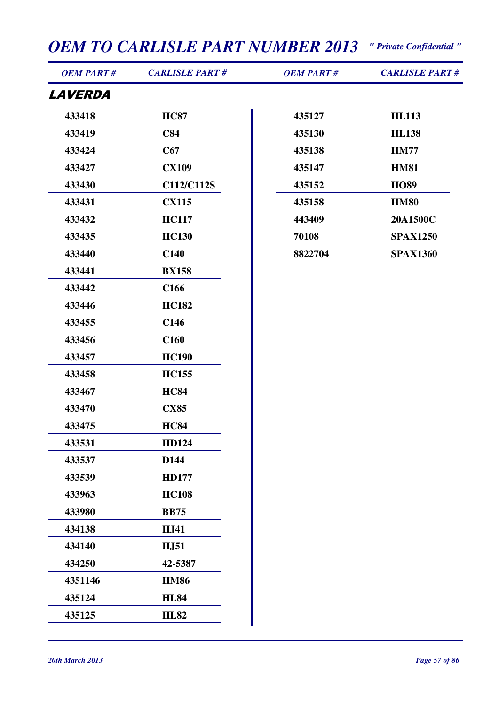| <b>OEM PART#</b>      | <b>CARLISLE PART#</b> | <b>OEM PART#</b> | <b>CARLISLE PART#</b> |
|-----------------------|-----------------------|------------------|-----------------------|
| <i><b>LAVERDA</b></i> |                       |                  |                       |
| 433418                | <b>HC87</b>           | 435127           | <b>HL113</b>          |
| 433419                | C84                   | 435130           | <b>HL138</b>          |
| 433424                | C67                   | 435138           | <b>HM77</b>           |
| 433427                | <b>CX109</b>          | 435147           | <b>HM81</b>           |
| 433430                | C112/C112S            | 435152           | <b>HO89</b>           |
| 433431                | <b>CX115</b>          | 435158           | <b>HM80</b>           |
| 433432                | <b>HC117</b>          | 443409           | 20A1500C              |
| 433435                | <b>HC130</b>          | 70108            | <b>SPAX1250</b>       |
| 433440                | C <sub>140</sub>      | 8822704          | <b>SPAX1360</b>       |
| 433441                | <b>BX158</b>          |                  |                       |
| 433442                | C <sub>166</sub>      |                  |                       |
| 433446                | <b>HC182</b>          |                  |                       |
| 433455                | C <sub>146</sub>      |                  |                       |
| 433456                | C <sub>160</sub>      |                  |                       |
| 433457                | <b>HC190</b>          |                  |                       |
| 433458                | <b>HC155</b>          |                  |                       |
| 433467                | <b>HC84</b>           |                  |                       |
| 433470                | <b>CX85</b>           |                  |                       |
| 433475                | <b>HC84</b>           |                  |                       |
| 433531                | HD124                 |                  |                       |
| 433537                | D144                  |                  |                       |
| 433539                | <b>HD177</b>          |                  |                       |
| 433963                | <b>HC108</b>          |                  |                       |
| 433980                | <b>BB75</b>           |                  |                       |
| 434138                | <b>HJ41</b>           |                  |                       |
| 434140                | <b>HJ51</b>           |                  |                       |
| 434250                | 42-5387               |                  |                       |
| 4351146               | <b>HM86</b>           |                  |                       |
| 435124                | <b>HL84</b>           |                  |                       |
| 435125                | <b>HL82</b>           |                  |                       |
|                       |                       |                  |                       |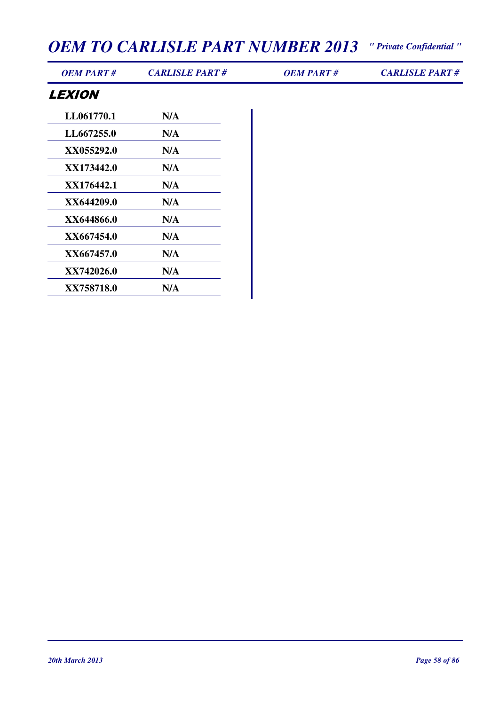*OEM PART # CARLISLE PART # OEM PART # CARLISLE PART #*

#### **LEXION**

| N/A |
|-----|
| N/A |
| N/A |
| N/A |
| N/A |
| N/A |
| N/A |
| N/A |
| N/A |
| N/A |
| N/A |
|     |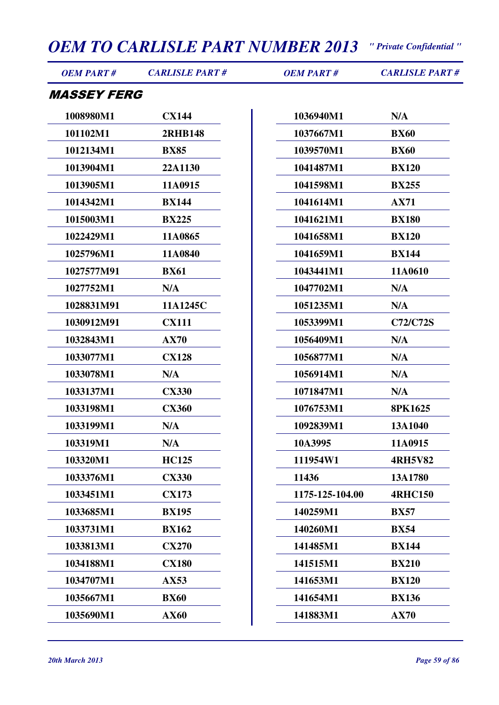| <b>OEM PART#</b>          | <b>CARLISLE PART#</b> | <b>OEM PART#</b> | <b>CARLISLE PART#</b> |
|---------------------------|-----------------------|------------------|-----------------------|
| <i><b>MASSEY FERG</b></i> |                       |                  |                       |
| 1008980M1                 | <b>CX144</b>          | 1036940M1        | N/A                   |
| 101102M1                  | <b>2RHB148</b>        | 1037667M1        | <b>BX60</b>           |
| 1012134M1                 | <b>BX85</b>           | 1039570M1        | <b>BX60</b>           |
| 1013904M1                 | 22A1130               | 1041487M1        | <b>BX120</b>          |
| 1013905M1                 | 11A0915               | 1041598M1        | <b>BX255</b>          |
| 1014342M1                 | <b>BX144</b>          | 1041614M1        | <b>AX71</b>           |
| 1015003M1                 | <b>BX225</b>          | 1041621M1        | <b>BX180</b>          |
| 1022429M1                 | 11A0865               | 1041658M1        | <b>BX120</b>          |
| 1025796M1                 | 11A0840               | 1041659M1        | <b>BX144</b>          |
| 1027577M91                | <b>BX61</b>           | 1043441M1        | 11A0610               |
| 1027752M1                 | N/A                   | 1047702M1        | N/A                   |
| 1028831M91                | 11A1245C              | 1051235M1        | N/A                   |
| 1030912M91                | <b>CX111</b>          | 1053399M1        | C72/C72S              |
| 1032843M1                 | AX70                  | 1056409M1        | N/A                   |
| 1033077M1                 | <b>CX128</b>          | 1056877M1        | N/A                   |
| 1033078M1                 | N/A                   | 1056914M1        | N/A                   |
| 1033137M1                 | <b>CX330</b>          | 1071847M1        | N/A                   |
| 1033198M1                 | <b>CX360</b>          | 1076753M1        | <b>8PK1625</b>        |
| 1033199M1                 | N/A                   | 1092839M1        | 13A1040               |
| 103319M1                  | N/A                   | 10A3995          | 11A0915               |
| 103320M1                  | <b>HC125</b>          | 111954W1         | <b>4RH5V82</b>        |
| 1033376M1                 | <b>CX330</b>          | 11436            | 13A1780               |
| 1033451M1                 | <b>CX173</b>          | 1175-125-104.00  | <b>4RHC150</b>        |
| 1033685M1                 | <b>BX195</b>          | 140259M1         | <b>BX57</b>           |
| 1033731M1                 | <b>BX162</b>          | 140260M1         | <b>BX54</b>           |
| 1033813M1                 | <b>CX270</b>          | 141485M1         | <b>BX144</b>          |
| 1034188M1                 | <b>CX180</b>          | 141515M1         | <b>BX210</b>          |
| 1034707M1                 | <b>AX53</b>           | 141653M1         | <b>BX120</b>          |
| 1035667M1                 | <b>BX60</b>           | 141654M1         | <b>BX136</b>          |
| 1035690M1                 | <b>AX60</b>           | 141883M1         | AX70                  |
|                           |                       |                  |                       |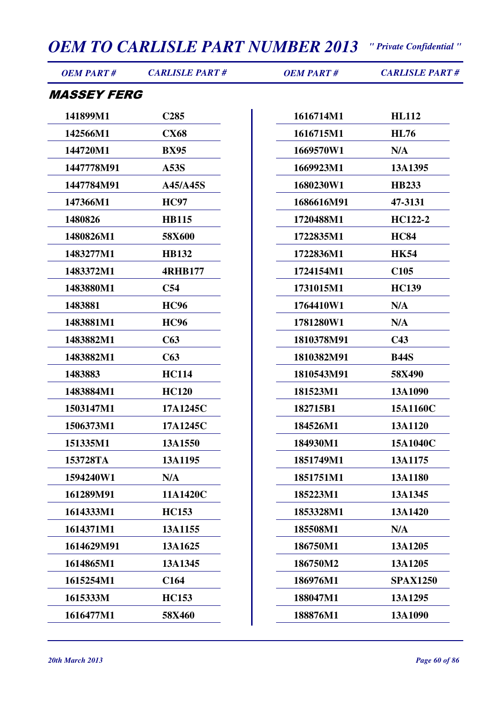| <b>OEM PART#</b>          | <b>CARLISLE PART#</b> | <b>OEM PART#</b> | <b>CARLISLE PART#</b> |
|---------------------------|-----------------------|------------------|-----------------------|
| <i><b>MASSEY FERG</b></i> |                       |                  |                       |
| 141899M1                  | C <sub>285</sub>      | 1616714M1        | <b>HL112</b>          |
| 142566M1                  | <b>CX68</b>           | 1616715M1        | <b>HL76</b>           |
| 144720M1                  | <b>BX95</b>           | 1669570W1        | N/A                   |
| 1447778M91                | A53S                  | 1669923M1        | 13A1395               |
| 1447784M91                | A45/A45S              | 1680230W1        | <b>HB233</b>          |
| 147366M1                  | <b>HC97</b>           | 1686616M91       | 47-3131               |
| 1480826                   | <b>HB115</b>          | 1720488M1        | HC122-2               |
| 1480826M1                 | 58X600                | 1722835M1        | <b>HC84</b>           |
| 1483277M1                 | <b>HB132</b>          | 1722836M1        | <b>HK54</b>           |
| 1483372M1                 | <b>4RHB177</b>        | 1724154M1        | C <sub>105</sub>      |
| 1483880M1                 | C <sub>54</sub>       | 1731015M1        | <b>HC139</b>          |
| 1483881                   | <b>HC96</b>           | 1764410W1        | N/A                   |
| 1483881M1                 | <b>HC96</b>           | 1781280W1        | N/A                   |
| 1483882M1                 | C63                   | 1810378M91       | C43                   |
| 1483882M1                 | C63                   | 1810382M91       | <b>B44S</b>           |
| 1483883                   | <b>HC114</b>          | 1810543M91       | 58X490                |
| 1483884M1                 | <b>HC120</b>          | 181523M1         | 13A1090               |
| 1503147M1                 | 17A1245C              | 182715B1         | 15A1160C              |
| 1506373M1                 | 17A1245C              | 184526M1         | 13A1120               |
| 151335M1                  | 13A1550               | 184930M1         | 15A1040C              |
| 153728TA                  | 13A1195               | 1851749M1        | 13A1175               |
| 1594240W1                 | N/A                   | 1851751M1        | 13A1180               |
| 161289M91                 | 11A1420C              | 185223M1         | 13A1345               |
| 1614333M1                 | <b>HC153</b>          | 1853328M1        | 13A1420               |
| 1614371M1                 | 13A1155               | 185508M1         | N/A                   |
| 1614629M91                | 13A1625               | 186750M1         | 13A1205               |
| 1614865M1                 | 13A1345               | 186750M2         | 13A1205               |
| 1615254M1                 | C <sub>164</sub>      | 186976M1         | <b>SPAX1250</b>       |
| 1615333M                  | <b>HC153</b>          | 188047M1         | 13A1295               |
| 1616477M1                 | 58X460                | 188876M1         | 13A1090               |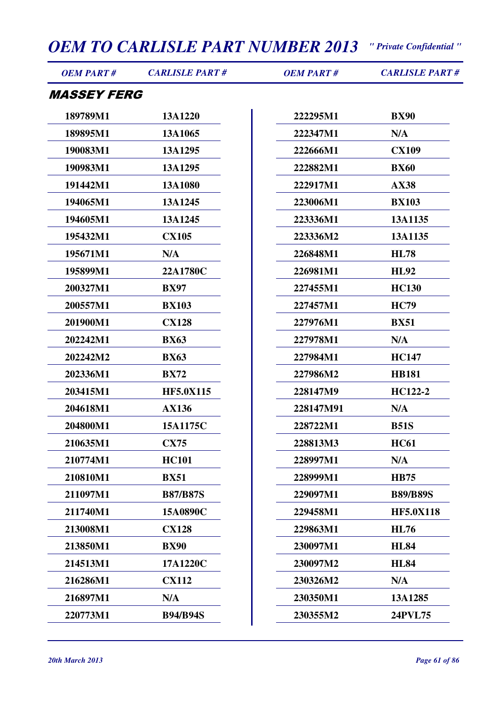| <b>OEM PART#</b>          | <b>CARLISLE PART#</b> | <b>OEM PART#</b> | <b>CARLISLE PART#</b> |
|---------------------------|-----------------------|------------------|-----------------------|
| <i><b>MASSEY FERG</b></i> |                       |                  |                       |
| 189789M1                  | 13A1220               | 222295M1         | <b>BX90</b>           |
| 189895M1                  | 13A1065               | 222347M1         | N/A                   |
| 190083M1                  | 13A1295               | 222666M1         | <b>CX109</b>          |
| 190983M1                  | 13A1295               | 222882M1         | <b>BX60</b>           |
| 191442M1                  | 13A1080               | 222917M1         | <b>AX38</b>           |
| 194065M1                  | 13A1245               | 223006M1         | <b>BX103</b>          |
| 194605M1                  | 13A1245               | 223336M1         | 13A1135               |
| 195432M1                  | <b>CX105</b>          | 223336M2         | 13A1135               |
| 195671M1                  | N/A                   | 226848M1         | <b>HL78</b>           |
| 195899M1                  | 22A1780C              | 226981M1         | <b>HL92</b>           |
| 200327M1                  | <b>BX97</b>           | 227455M1         | <b>HC130</b>          |
| 200557M1                  | <b>BX103</b>          | 227457M1         | <b>HC79</b>           |
| 201900M1                  | <b>CX128</b>          | 227976M1         | <b>BX51</b>           |
| 202242M1                  | <b>BX63</b>           | 227978M1         | N/A                   |
| 202242M2                  | <b>BX63</b>           | 227984M1         | <b>HC147</b>          |
| 202336M1                  | <b>BX72</b>           | 227986M2         | <b>HB181</b>          |
| 203415M1                  | <b>HF5.0X115</b>      | 228147M9         | HC122-2               |
| 204618M1                  | <b>AX136</b>          | 228147M91        | N/A                   |
| 204800M1                  | 15A1175C              | 228722M1         | <b>B51S</b>           |
| 210635M1                  | <b>CX75</b>           | 228813M3         | <b>HC61</b>           |
| 210774M1                  | <b>HC101</b>          | 228997M1         | N/A                   |
| 210810M1                  | <b>BX51</b>           | 228999M1         | <b>HB75</b>           |
| 211097M1                  | <b>B87/B87S</b>       | 229097M1         | <b>B89/B89S</b>       |
| 211740M1                  | 15A0890C              | 229458M1         | <b>HF5.0X118</b>      |
| 213008M1                  | <b>CX128</b>          | 229863M1         | <b>HL76</b>           |
| 213850M1                  | <b>BX90</b>           | 230097M1         | <b>HL84</b>           |
| 214513M1                  | 17A1220C              | 230097M2         | <b>HL84</b>           |
| 216286M1                  | <b>CX112</b>          | 230326M2         | N/A                   |
| 216897M1                  | N/A                   | 230350M1         | 13A1285               |
| 220773M1                  | <b>B94/B94S</b>       | 230355M2         | 24PVL75               |
|                           |                       |                  |                       |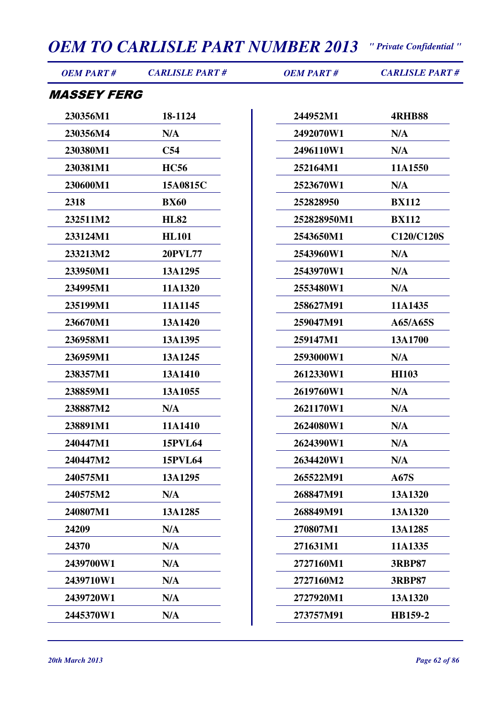| <b>OEM PART#</b>          | <b>CARLISLE PART#</b> | <b>OEM PART#</b> | <b>CARLISLE PART#</b> |
|---------------------------|-----------------------|------------------|-----------------------|
| <i><b>MASSEY FERG</b></i> |                       |                  |                       |
| 230356M1                  | 18-1124               | 244952M1         | <b>4RHB88</b>         |
| 230356M4                  | N/A                   | 2492070W1        | N/A                   |
| 230380M1                  | C54                   | 2496110W1        | N/A                   |
| 230381M1                  | <b>HC56</b>           | 252164M1         | 11A1550               |
| 230600M1                  | 15A0815C              | 2523670W1        | N/A                   |
| 2318                      | <b>BX60</b>           | 252828950        | <b>BX112</b>          |
| 232511M2                  | <b>HL82</b>           | 252828950M1      | <b>BX112</b>          |
| 233124M1                  | <b>HL101</b>          | 2543650M1        | C120/C120S            |
| 233213M2                  | <b>20PVL77</b>        | 2543960W1        | N/A                   |
| 233950M1                  | 13A1295               | 2543970W1        | N/A                   |
| 234995M1                  | 11A1320               | 2553480W1        | N/A                   |
| 235199M1                  | 11A1145               | 258627M91        | 11A1435               |
| 236670M1                  | 13A1420               | 259047M91        | A65/A65S              |
| 236958M1                  | 13A1395               | 259147M1         | 13A1700               |
| 236959M1                  | 13A1245               | 2593000W1        | N/A                   |
| 238357M1                  | 13A1410               | 2612330W1        | <b>HI103</b>          |
| 238859M1                  | 13A1055               | 2619760W1        | N/A                   |
| 238887M2                  | N/A                   | 2621170W1        | N/A                   |
| 238891M1                  | 11A1410               | 2624080W1        | N/A                   |
| 240447M1                  | <b>15PVL64</b>        | 2624390W1        | N/A                   |
| 240447M2                  | <b>15PVL64</b>        | 2634420W1        | N/A                   |
| 240575M1                  | 13A1295               | 265522M91        | <b>A67S</b>           |
| 240575M2                  | N/A                   | 268847M91        | 13A1320               |
| 240807M1                  | 13A1285               | 268849M91        | 13A1320               |
| 24209                     | N/A                   | 270807M1         | 13A1285               |
| 24370                     | N/A                   | 271631M1         | 11A1335               |
| 2439700W1                 | N/A                   | 2727160M1        | <b>3RBP87</b>         |
| 2439710W1                 | N/A                   | 2727160M2        | <b>3RBP87</b>         |
| 2439720W1                 | N/A                   | 2727920M1        | 13A1320               |
| 2445370W1                 | N/A                   | 273757M91        | HB159-2               |
|                           |                       |                  |                       |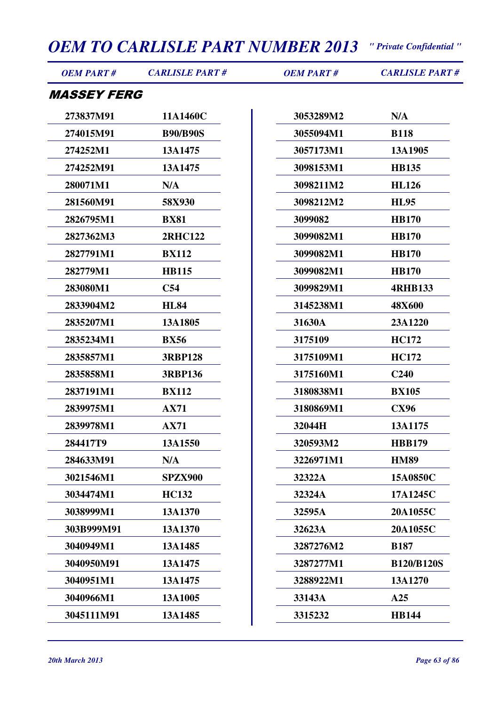| <b>OEM PART#</b>          | <b>CARLISLE PART#</b> | <b>OEM PART#</b> | <b>CARLISLE PART#</b> |
|---------------------------|-----------------------|------------------|-----------------------|
| <i><b>MASSEY FERG</b></i> |                       |                  |                       |
| 273837M91                 | 11A1460C              | 3053289M2        | N/A                   |
| 274015M91                 | <b>B90/B90S</b>       | 3055094M1        | <b>B118</b>           |
| 274252M1                  | 13A1475               | 3057173M1        | 13A1905               |
| 274252M91                 | 13A1475               | 3098153M1        | <b>HB135</b>          |
| 280071M1                  | N/A                   | 3098211M2        | <b>HL126</b>          |
| 281560M91                 | 58X930                | 3098212M2        | <b>HL95</b>           |
| 2826795M1                 | <b>BX81</b>           | 3099082          | <b>HB170</b>          |
| 2827362M3                 | <b>2RHC122</b>        | 3099082M1        | <b>HB170</b>          |
| 2827791M1                 | <b>BX112</b>          | 3099082M1        | <b>HB170</b>          |
| 282779M1                  | <b>HB115</b>          | 3099082M1        | <b>HB170</b>          |
| 283080M1                  | C54                   | 3099829M1        | <b>4RHB133</b>        |
| 2833904M2                 | <b>HL84</b>           | 3145238M1        | <b>48X600</b>         |
| 2835207M1                 | 13A1805               | 31630A           | 23A1220               |
| 2835234M1                 | <b>BX56</b>           | 3175109          | <b>HC172</b>          |
| 2835857M1                 | <b>3RBP128</b>        | 3175109M1        | <b>HC172</b>          |
| 2835858M1                 | <b>3RBP136</b>        | 3175160M1        | C <sub>240</sub>      |
| 2837191M1                 | <b>BX112</b>          | 3180838M1        | <b>BX105</b>          |
| 2839975M1                 | <b>AX71</b>           | 3180869M1        | <b>CX96</b>           |
| 2839978M1                 | <b>AX71</b>           | 32044H           | 13A1175               |
| 284417T9                  | 13A1550               | 320593M2         | <b>HBB179</b>         |
| 284633M91                 | N/A                   | 3226971M1        | <b>HM89</b>           |
| 3021546M1                 | <b>SPZX900</b>        | 32322A           | 15A0850C              |
| 3034474M1                 | <b>HC132</b>          | 32324A           | 17A1245C              |
| 3038999M1                 | 13A1370               | 32595A           | 20A1055C              |
| 303B999M91                | 13A1370               | 32623A           | 20A1055C              |
| 3040949M1                 | 13A1485               | 3287276M2        | <b>B187</b>           |
| 3040950M91                | 13A1475               | 3287277M1        | <b>B120/B120S</b>     |
| 3040951M1                 | 13A1475               | 3288922M1        | 13A1270               |
| 3040966M1                 | 13A1005               | 33143A           | A25                   |
| 3045111M91                | 13A1485               | 3315232          | <b>HB144</b>          |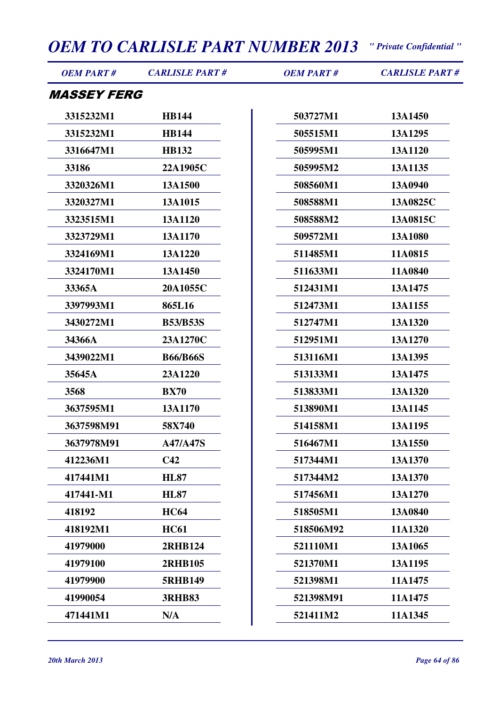| <b>OEM PART#</b>          | <b>CARLISLE PART#</b> | <b>OEM PART#</b> | <b>CARLISLE PART#</b> |
|---------------------------|-----------------------|------------------|-----------------------|
| <i><b>MASSEY FERG</b></i> |                       |                  |                       |
| 3315232M1                 | <b>HB144</b>          | 503727M1         | 13A1450               |
| 3315232M1                 | <b>HB144</b>          | 505515M1         | 13A1295               |
| 3316647M1                 | <b>HB132</b>          | 505995M1         | 13A1120               |
| 33186                     | 22A1905C              | 505995M2         | 13A1135               |
| 3320326M1                 | 13A1500               | 508560M1         | 13A0940               |
| 3320327M1                 | 13A1015               | 508588M1         | 13A0825C              |
| 3323515M1                 | 13A1120               | 508588M2         | 13A0815C              |
| 3323729M1                 | 13A1170               | 509572M1         | 13A1080               |
| 3324169M1                 | 13A1220               | 511485M1         | 11A0815               |
| 3324170M1                 | 13A1450               | 511633M1         | 11A0840               |
| 33365A                    | 20A1055C              | 512431M1         | 13A1475               |
| 3397993M1                 | 865L16                | 512473M1         | 13A1155               |
| 3430272M1                 | <b>B53/B53S</b>       | 512747M1         | 13A1320               |
| 34366A                    | 23A1270C              | 512951M1         | 13A1270               |
| 3439022M1                 | <b>B66/B66S</b>       | 513116M1         | 13A1395               |
| 35645A                    | 23A1220               | 513133M1         | 13A1475               |
| 3568                      | <b>BX70</b>           | 513833M1         | 13A1320               |
| 3637595M1                 | 13A1170               | 513890M1         | 13A1145               |
| 3637598M91                | 58X740                | 514158M1         | 13A1195               |
| 3637978M91                | <b>A47/A47S</b>       | 516467M1         | 13A1550               |
| 412236M1                  | C42                   | 517344M1         | 13A1370               |
| 417441M1                  | <b>HL87</b>           | 517344M2         | 13A1370               |
| 417441-M1                 | <b>HL87</b>           | 517456M1         | 13A1270               |
| 418192                    | <b>HC64</b>           | 518505M1         | 13A0840               |
| 418192M1                  | <b>HC61</b>           | 518506M92        | 11A1320               |
| 41979000                  | <b>2RHB124</b>        | 521110M1         | 13A1065               |
| 41979100                  | <b>2RHB105</b>        | 521370M1         | 13A1195               |
| 41979900                  | <b>5RHB149</b>        | 521398M1         | 11A1475               |
| 41990054                  | <b>3RHB83</b>         | 521398M91        | 11A1475               |
| 471441M1                  | N/A                   | 521411M2         | 11A1345               |
|                           |                       |                  |                       |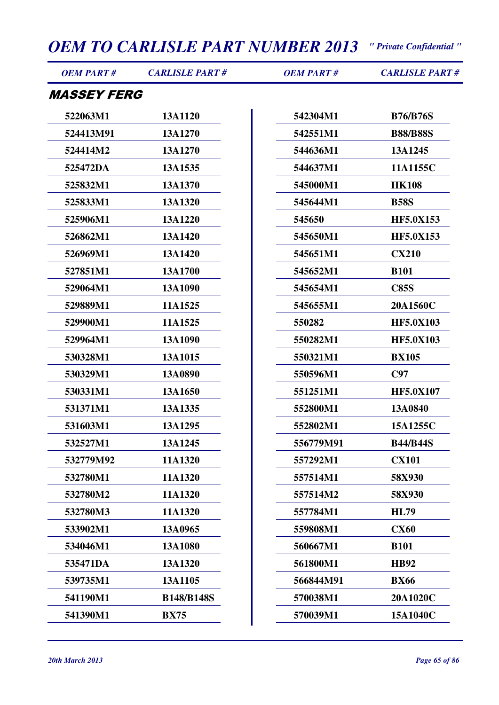| <b>OEM PART#</b>          | <b>CARLISLE PART#</b> | <b>OEM PART#</b> | <b>CARLISLE PART#</b> |
|---------------------------|-----------------------|------------------|-----------------------|
| <i><b>MASSEY FERG</b></i> |                       |                  |                       |
| 522063M1                  | 13A1120               | 542304M1         | <b>B76/B76S</b>       |
| 524413M91                 | 13A1270               | 542551M1         | <b>B88/B88S</b>       |
| 524414M2                  | 13A1270               | 544636M1         | 13A1245               |
| 525472DA                  | 13A1535               | 544637M1         | 11A1155C              |
| 525832M1                  | 13A1370               | 545000M1         | <b>HK108</b>          |
| 525833M1                  | 13A1320               | 545644M1         | <b>B58S</b>           |
| 525906M1                  | 13A1220               | 545650           | <b>HF5.0X153</b>      |
| 526862M1                  | 13A1420               | 545650M1         | <b>HF5.0X153</b>      |
| 526969M1                  | 13A1420               | 545651M1         | <b>CX210</b>          |
| 527851M1                  | 13A1700               | 545652M1         | <b>B101</b>           |
| 529064M1                  | 13A1090               | 545654M1         | <b>C85S</b>           |
| 529889M1                  | 11A1525               | 545655M1         | 20A1560C              |
| 529900M1                  | 11A1525               | 550282           | <b>HF5.0X103</b>      |
| 529964M1                  | 13A1090               | 550282M1         | <b>HF5.0X103</b>      |
| 530328M1                  | 13A1015               | 550321M1         | <b>BX105</b>          |
| 530329M1                  | 13A0890               | 550596M1         | C97                   |
| 530331M1                  | 13A1650               | 551251M1         | <b>HF5.0X107</b>      |
| 531371M1                  | 13A1335               | 552800M1         | 13A0840               |
| 531603M1                  | 13A1295               | 552802M1         | 15A1255C              |
| 532527M1                  | 13A1245               | 556779M91        | <b>B44/B44S</b>       |
| 532779M92                 | 11A1320               | 557292M1         | <b>CX101</b>          |
| 532780M1                  | 11A1320               | 557514M1         | 58X930                |
| 532780M2                  | 11A1320               | 557514M2         | 58X930                |
| 532780M3                  | 11A1320               | 557784M1         | <b>HL79</b>           |
| 533902M1                  | 13A0965               | 559808M1         | <b>CX60</b>           |
| 534046M1                  | 13A1080               | 560667M1         | <b>B101</b>           |
| 535471DA                  | 13A1320               | 561800M1         | <b>HB92</b>           |
| 539735M1                  | 13A1105               | 566844M91        | <b>BX66</b>           |
| 541190M1                  | <b>B148/B148S</b>     | 570038M1         | 20A1020C              |
| 541390M1                  | <b>BX75</b>           | 570039M1         | 15A1040C              |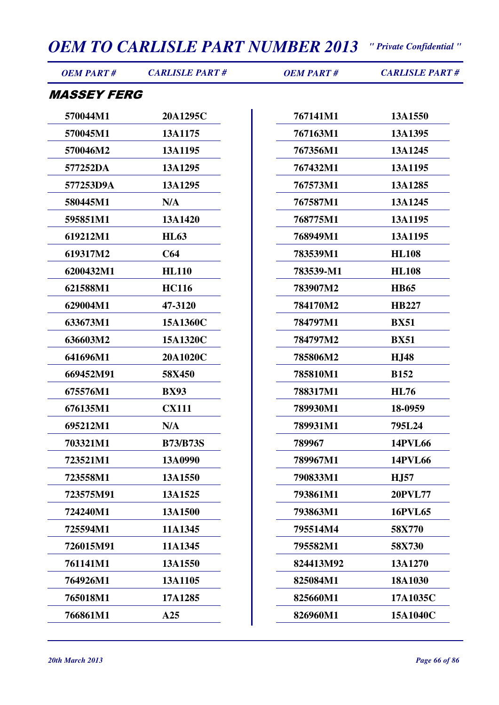| <b>OEM PART#</b>          | <b>CARLISLE PART#</b> | <b>OEM PART#</b> | <b>CARLISLE PART#</b> |
|---------------------------|-----------------------|------------------|-----------------------|
| <i><b>MASSEY FERG</b></i> |                       |                  |                       |
| 570044M1                  | 20A1295C              | 767141M1         | 13A1550               |
| 570045M1                  | 13A1175               | 767163M1         | 13A1395               |
| 570046M2                  | 13A1195               | 767356M1         | 13A1245               |
| 577252DA                  | 13A1295               | 767432M1         | 13A1195               |
| 577253D9A                 | 13A1295               | 767573M1         | 13A1285               |
| 580445M1                  | N/A                   | 767587M1         | 13A1245               |
| 595851M1                  | 13A1420               | 768775M1         | 13A1195               |
| 619212M1                  | <b>HL63</b>           | 768949M1         | 13A1195               |
| 619317M2                  | C64                   | 783539M1         | <b>HL108</b>          |
| 6200432M1                 | <b>HL110</b>          | 783539-M1        | <b>HL108</b>          |
| 621588M1                  | <b>HC116</b>          | 783907M2         | <b>HB65</b>           |
| 629004M1                  | 47-3120               | 784170M2         | <b>HB227</b>          |
| 633673M1                  | 15A1360C              | 784797M1         | <b>BX51</b>           |
| 636603M2                  | 15A1320C              | 784797M2         | <b>BX51</b>           |
| 641696M1                  | 20A1020C              | 785806M2         | <b>HJ48</b>           |
| 669452M91                 | 58X450                | 785810M1         | <b>B152</b>           |
| 675576M1                  | <b>BX93</b>           | 788317M1         | <b>HL76</b>           |
| 676135M1                  | <b>CX111</b>          | 789930M1         | 18-0959               |
| 695212M1                  | N/A                   | 789931M1         | 795L24                |
| 703321M1                  | <b>B73/B73S</b>       | 789967           | <b>14PVL66</b>        |
| 723521M1                  | 13A0990               | 789967M1         | <b>14PVL66</b>        |
| 723558M1                  | 13A1550               | 790833M1         | <b>H.J57</b>          |
| 723575M91                 | 13A1525               | 793861M1         | <b>20PVL77</b>        |
| 724240M1                  | 13A1500               | 793863M1         | <b>16PVL65</b>        |
| 725594M1                  | 11A1345               | 795514M4         | 58X770                |
| 726015M91                 | 11A1345               | 795582M1         | 58X730                |
| 761141M1                  | 13A1550               | 824413M92        | 13A1270               |
| 764926M1                  | 13A1105               | 825084M1         | 18A1030               |
| 765018M1                  | 17A1285               | 825660M1         | 17A1035C              |
| 766861M1                  | A25                   | 826960M1         | 15A1040C              |
|                           |                       |                  |                       |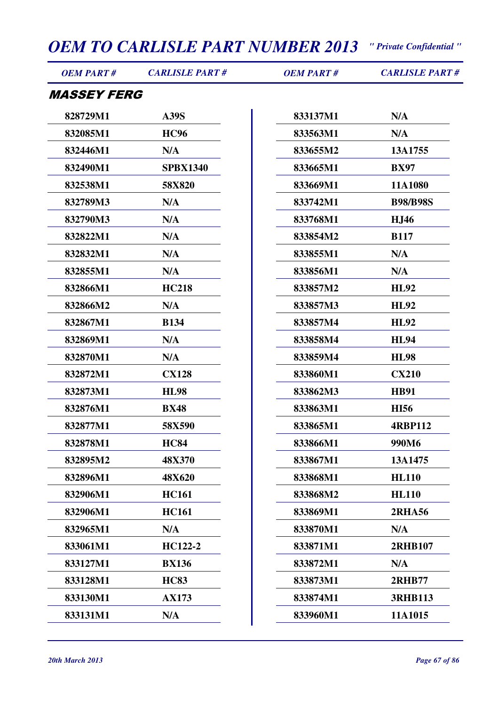| <i><b>MASSEY FERG</b></i><br>828729M1<br><b>A39S</b><br>833137M1<br>N/A<br><b>HC96</b><br>833563M1<br>N/A<br>832085M1<br>832446M1<br>N/A<br>833655M2<br>13A1755<br>832490M1<br><b>SPBX1340</b><br>833665M1<br><b>BX97</b><br>833669M1<br>11A1080<br>832538M1<br>58X820<br>832789M3<br>N/A<br>833742M1<br><b>B98/B98S</b><br>832790M3<br>N/A<br>833768M1<br><b>HJ46</b><br>832822M1<br>N/A<br>833854M2<br><b>B117</b><br>832832M1<br>N/A<br>833855M1<br>N/A<br>832855M1<br>N/A<br>833856M1<br>N/A<br>832866M1<br><b>HC218</b><br>833857M2<br><b>HL92</b><br>832866M2<br>N/A<br>833857M3<br><b>HL92</b><br><b>HL92</b><br>832867M1<br><b>B134</b><br>833857M4<br>832869M1<br>N/A<br>833858M4<br><b>HL94</b><br>832870M1<br>N/A<br>833859M4<br><b>HL98</b><br><b>CX128</b><br>833860M1<br><b>CX210</b><br>832872M1<br>833862M3<br>832873M1<br><b>HL98</b><br><b>HB91</b><br>832876M1<br>833863M1<br><b>HI56</b><br><b>BX48</b><br>832877M1<br>58X590<br>833865M1<br><b>4RBP112</b><br><b>HC84</b><br>833866M1<br>832878M1<br>990M6<br><b>48X370</b><br>833867M1<br>13A1475<br>832895M2<br>832896M1<br>48X620<br>833868M1<br><b>HL110</b><br><b>HC161</b><br>833868M2<br><b>HL110</b><br>832906M1<br><b>HC161</b><br>832906M1<br>833869M1<br><b>2RHA56</b><br>N/A<br>833870M1<br>832965M1<br>N/A<br>833061M1<br>HC122-2<br>833871M1<br>2RHB107<br>833127M1<br><b>BX136</b><br>833872M1<br>N/A<br><b>HC83</b><br><b>2RHB77</b><br>833128M1<br>833873M1<br>833130M1<br><b>AX173</b><br>833874M1<br><b>3RHB113</b><br>833131M1<br>N/A<br>833960M1<br>11A1015 | <b>OEM PART#</b> | <b>CARLISLE PART#</b> | <b>OEM PART#</b> | <b>CARLISLE PART#</b> |
|-------------------------------------------------------------------------------------------------------------------------------------------------------------------------------------------------------------------------------------------------------------------------------------------------------------------------------------------------------------------------------------------------------------------------------------------------------------------------------------------------------------------------------------------------------------------------------------------------------------------------------------------------------------------------------------------------------------------------------------------------------------------------------------------------------------------------------------------------------------------------------------------------------------------------------------------------------------------------------------------------------------------------------------------------------------------------------------------------------------------------------------------------------------------------------------------------------------------------------------------------------------------------------------------------------------------------------------------------------------------------------------------------------------------------------------------------------------------------------------------------------------------------------------------------------|------------------|-----------------------|------------------|-----------------------|
|                                                                                                                                                                                                                                                                                                                                                                                                                                                                                                                                                                                                                                                                                                                                                                                                                                                                                                                                                                                                                                                                                                                                                                                                                                                                                                                                                                                                                                                                                                                                                       |                  |                       |                  |                       |
|                                                                                                                                                                                                                                                                                                                                                                                                                                                                                                                                                                                                                                                                                                                                                                                                                                                                                                                                                                                                                                                                                                                                                                                                                                                                                                                                                                                                                                                                                                                                                       |                  |                       |                  |                       |
|                                                                                                                                                                                                                                                                                                                                                                                                                                                                                                                                                                                                                                                                                                                                                                                                                                                                                                                                                                                                                                                                                                                                                                                                                                                                                                                                                                                                                                                                                                                                                       |                  |                       |                  |                       |
|                                                                                                                                                                                                                                                                                                                                                                                                                                                                                                                                                                                                                                                                                                                                                                                                                                                                                                                                                                                                                                                                                                                                                                                                                                                                                                                                                                                                                                                                                                                                                       |                  |                       |                  |                       |
|                                                                                                                                                                                                                                                                                                                                                                                                                                                                                                                                                                                                                                                                                                                                                                                                                                                                                                                                                                                                                                                                                                                                                                                                                                                                                                                                                                                                                                                                                                                                                       |                  |                       |                  |                       |
|                                                                                                                                                                                                                                                                                                                                                                                                                                                                                                                                                                                                                                                                                                                                                                                                                                                                                                                                                                                                                                                                                                                                                                                                                                                                                                                                                                                                                                                                                                                                                       |                  |                       |                  |                       |
|                                                                                                                                                                                                                                                                                                                                                                                                                                                                                                                                                                                                                                                                                                                                                                                                                                                                                                                                                                                                                                                                                                                                                                                                                                                                                                                                                                                                                                                                                                                                                       |                  |                       |                  |                       |
|                                                                                                                                                                                                                                                                                                                                                                                                                                                                                                                                                                                                                                                                                                                                                                                                                                                                                                                                                                                                                                                                                                                                                                                                                                                                                                                                                                                                                                                                                                                                                       |                  |                       |                  |                       |
|                                                                                                                                                                                                                                                                                                                                                                                                                                                                                                                                                                                                                                                                                                                                                                                                                                                                                                                                                                                                                                                                                                                                                                                                                                                                                                                                                                                                                                                                                                                                                       |                  |                       |                  |                       |
|                                                                                                                                                                                                                                                                                                                                                                                                                                                                                                                                                                                                                                                                                                                                                                                                                                                                                                                                                                                                                                                                                                                                                                                                                                                                                                                                                                                                                                                                                                                                                       |                  |                       |                  |                       |
|                                                                                                                                                                                                                                                                                                                                                                                                                                                                                                                                                                                                                                                                                                                                                                                                                                                                                                                                                                                                                                                                                                                                                                                                                                                                                                                                                                                                                                                                                                                                                       |                  |                       |                  |                       |
|                                                                                                                                                                                                                                                                                                                                                                                                                                                                                                                                                                                                                                                                                                                                                                                                                                                                                                                                                                                                                                                                                                                                                                                                                                                                                                                                                                                                                                                                                                                                                       |                  |                       |                  |                       |
|                                                                                                                                                                                                                                                                                                                                                                                                                                                                                                                                                                                                                                                                                                                                                                                                                                                                                                                                                                                                                                                                                                                                                                                                                                                                                                                                                                                                                                                                                                                                                       |                  |                       |                  |                       |
|                                                                                                                                                                                                                                                                                                                                                                                                                                                                                                                                                                                                                                                                                                                                                                                                                                                                                                                                                                                                                                                                                                                                                                                                                                                                                                                                                                                                                                                                                                                                                       |                  |                       |                  |                       |
|                                                                                                                                                                                                                                                                                                                                                                                                                                                                                                                                                                                                                                                                                                                                                                                                                                                                                                                                                                                                                                                                                                                                                                                                                                                                                                                                                                                                                                                                                                                                                       |                  |                       |                  |                       |
|                                                                                                                                                                                                                                                                                                                                                                                                                                                                                                                                                                                                                                                                                                                                                                                                                                                                                                                                                                                                                                                                                                                                                                                                                                                                                                                                                                                                                                                                                                                                                       |                  |                       |                  |                       |
|                                                                                                                                                                                                                                                                                                                                                                                                                                                                                                                                                                                                                                                                                                                                                                                                                                                                                                                                                                                                                                                                                                                                                                                                                                                                                                                                                                                                                                                                                                                                                       |                  |                       |                  |                       |
|                                                                                                                                                                                                                                                                                                                                                                                                                                                                                                                                                                                                                                                                                                                                                                                                                                                                                                                                                                                                                                                                                                                                                                                                                                                                                                                                                                                                                                                                                                                                                       |                  |                       |                  |                       |
|                                                                                                                                                                                                                                                                                                                                                                                                                                                                                                                                                                                                                                                                                                                                                                                                                                                                                                                                                                                                                                                                                                                                                                                                                                                                                                                                                                                                                                                                                                                                                       |                  |                       |                  |                       |
|                                                                                                                                                                                                                                                                                                                                                                                                                                                                                                                                                                                                                                                                                                                                                                                                                                                                                                                                                                                                                                                                                                                                                                                                                                                                                                                                                                                                                                                                                                                                                       |                  |                       |                  |                       |
|                                                                                                                                                                                                                                                                                                                                                                                                                                                                                                                                                                                                                                                                                                                                                                                                                                                                                                                                                                                                                                                                                                                                                                                                                                                                                                                                                                                                                                                                                                                                                       |                  |                       |                  |                       |
|                                                                                                                                                                                                                                                                                                                                                                                                                                                                                                                                                                                                                                                                                                                                                                                                                                                                                                                                                                                                                                                                                                                                                                                                                                                                                                                                                                                                                                                                                                                                                       |                  |                       |                  |                       |
|                                                                                                                                                                                                                                                                                                                                                                                                                                                                                                                                                                                                                                                                                                                                                                                                                                                                                                                                                                                                                                                                                                                                                                                                                                                                                                                                                                                                                                                                                                                                                       |                  |                       |                  |                       |
|                                                                                                                                                                                                                                                                                                                                                                                                                                                                                                                                                                                                                                                                                                                                                                                                                                                                                                                                                                                                                                                                                                                                                                                                                                                                                                                                                                                                                                                                                                                                                       |                  |                       |                  |                       |
|                                                                                                                                                                                                                                                                                                                                                                                                                                                                                                                                                                                                                                                                                                                                                                                                                                                                                                                                                                                                                                                                                                                                                                                                                                                                                                                                                                                                                                                                                                                                                       |                  |                       |                  |                       |
|                                                                                                                                                                                                                                                                                                                                                                                                                                                                                                                                                                                                                                                                                                                                                                                                                                                                                                                                                                                                                                                                                                                                                                                                                                                                                                                                                                                                                                                                                                                                                       |                  |                       |                  |                       |
|                                                                                                                                                                                                                                                                                                                                                                                                                                                                                                                                                                                                                                                                                                                                                                                                                                                                                                                                                                                                                                                                                                                                                                                                                                                                                                                                                                                                                                                                                                                                                       |                  |                       |                  |                       |
|                                                                                                                                                                                                                                                                                                                                                                                                                                                                                                                                                                                                                                                                                                                                                                                                                                                                                                                                                                                                                                                                                                                                                                                                                                                                                                                                                                                                                                                                                                                                                       |                  |                       |                  |                       |
|                                                                                                                                                                                                                                                                                                                                                                                                                                                                                                                                                                                                                                                                                                                                                                                                                                                                                                                                                                                                                                                                                                                                                                                                                                                                                                                                                                                                                                                                                                                                                       |                  |                       |                  |                       |
|                                                                                                                                                                                                                                                                                                                                                                                                                                                                                                                                                                                                                                                                                                                                                                                                                                                                                                                                                                                                                                                                                                                                                                                                                                                                                                                                                                                                                                                                                                                                                       |                  |                       |                  |                       |
|                                                                                                                                                                                                                                                                                                                                                                                                                                                                                                                                                                                                                                                                                                                                                                                                                                                                                                                                                                                                                                                                                                                                                                                                                                                                                                                                                                                                                                                                                                                                                       |                  |                       |                  |                       |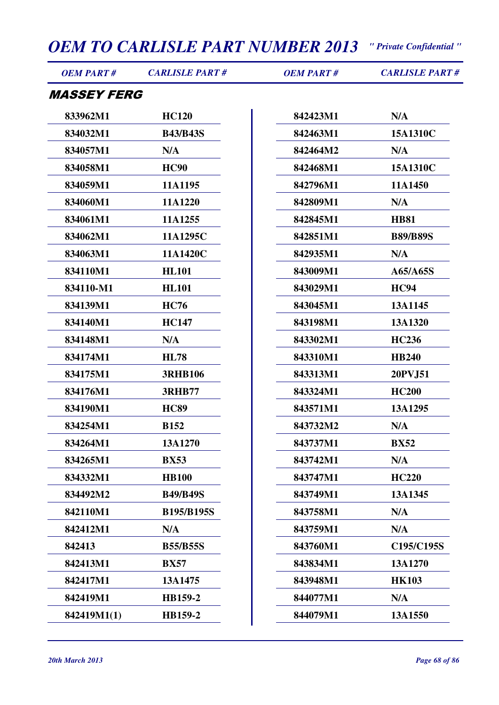| <i><b>MASSEY FERG</b></i><br>833962M1<br><b>HC120</b><br>N/A<br>842423M1<br>834032M1<br><b>B43/B43S</b><br>842463M1<br>15A1310C<br>834057M1<br>N/A<br>842464M2<br>N/A<br>834058M1<br><b>HC90</b><br>842468M1<br>15A1310C<br>834059M1<br>11A1195<br>842796M1<br>11A1450<br>834060M1<br>11A1220<br>842809M1<br>N/A<br>834061M1<br>11A1255<br>842845M1<br><b>HB81</b><br>834062M1<br>11A1295C<br>842851M1<br><b>B89/B89S</b><br>834063M1<br>11A1420C<br>842935M1<br>N/A<br>834110M1<br><b>HL101</b><br>843009M1<br>A65/A65S<br>834110-M1<br><b>HL101</b><br>843029M1<br><b>HC94</b><br>834139M1<br><b>HC76</b><br>843045M1<br>13A1145<br>834140M1<br><b>HC147</b><br>843198M1<br>13A1320<br>834148M1<br>N/A<br>843302M1<br><b>HC236</b><br>843310M1<br>834174M1<br><b>HL78</b><br><b>HB240</b><br>834175M1<br><b>3RHB106</b><br>843313M1<br>20PVJ51<br>834176M1<br>843324M1<br><b>HC200</b><br><b>3RHB77</b><br>843571M1<br>834190M1<br><b>HC89</b><br>13A1295<br>834254M1<br><b>B152</b><br>843732M2<br>N/A<br>834264M1<br>13A1270<br>843737M1<br><b>BX52</b><br>843742M1<br>N/A<br>834265M1<br><b>BX53</b><br>843747M1<br>834332M1<br><b>HB100</b><br><b>HC220</b><br>834492M2<br>843749M1<br>13A1345<br><b>B49/B49S</b><br>842110M1<br><b>B195/B195S</b><br>843758M1<br>N/A<br>842412M1<br>N/A<br>843759M1<br>N/A<br>842413<br>843760M1<br><b>B55/B55S</b><br>842413M1<br><b>BX57</b><br>843834M1<br>13A1270<br>842417M1<br>843948M1<br><b>HK103</b><br>13A1475<br>842419M1<br>844077M1<br>N/A<br>HB159-2<br>842419M1(1)<br>HB159-2<br>844079M1<br>13A1550 | <b>OEM PART#</b> | <b>CARLISLE PART#</b> | <b>OEM PART#</b> | <b>CARLISLE PART#</b> |
|------------------------------------------------------------------------------------------------------------------------------------------------------------------------------------------------------------------------------------------------------------------------------------------------------------------------------------------------------------------------------------------------------------------------------------------------------------------------------------------------------------------------------------------------------------------------------------------------------------------------------------------------------------------------------------------------------------------------------------------------------------------------------------------------------------------------------------------------------------------------------------------------------------------------------------------------------------------------------------------------------------------------------------------------------------------------------------------------------------------------------------------------------------------------------------------------------------------------------------------------------------------------------------------------------------------------------------------------------------------------------------------------------------------------------------------------------------------------------------------------------------------------------------------------------------|------------------|-----------------------|------------------|-----------------------|
|                                                                                                                                                                                                                                                                                                                                                                                                                                                                                                                                                                                                                                                                                                                                                                                                                                                                                                                                                                                                                                                                                                                                                                                                                                                                                                                                                                                                                                                                                                                                                            |                  |                       |                  |                       |
|                                                                                                                                                                                                                                                                                                                                                                                                                                                                                                                                                                                                                                                                                                                                                                                                                                                                                                                                                                                                                                                                                                                                                                                                                                                                                                                                                                                                                                                                                                                                                            |                  |                       |                  |                       |
|                                                                                                                                                                                                                                                                                                                                                                                                                                                                                                                                                                                                                                                                                                                                                                                                                                                                                                                                                                                                                                                                                                                                                                                                                                                                                                                                                                                                                                                                                                                                                            |                  |                       |                  |                       |
|                                                                                                                                                                                                                                                                                                                                                                                                                                                                                                                                                                                                                                                                                                                                                                                                                                                                                                                                                                                                                                                                                                                                                                                                                                                                                                                                                                                                                                                                                                                                                            |                  |                       |                  |                       |
|                                                                                                                                                                                                                                                                                                                                                                                                                                                                                                                                                                                                                                                                                                                                                                                                                                                                                                                                                                                                                                                                                                                                                                                                                                                                                                                                                                                                                                                                                                                                                            |                  |                       |                  |                       |
|                                                                                                                                                                                                                                                                                                                                                                                                                                                                                                                                                                                                                                                                                                                                                                                                                                                                                                                                                                                                                                                                                                                                                                                                                                                                                                                                                                                                                                                                                                                                                            |                  |                       |                  |                       |
|                                                                                                                                                                                                                                                                                                                                                                                                                                                                                                                                                                                                                                                                                                                                                                                                                                                                                                                                                                                                                                                                                                                                                                                                                                                                                                                                                                                                                                                                                                                                                            |                  |                       |                  |                       |
|                                                                                                                                                                                                                                                                                                                                                                                                                                                                                                                                                                                                                                                                                                                                                                                                                                                                                                                                                                                                                                                                                                                                                                                                                                                                                                                                                                                                                                                                                                                                                            |                  |                       |                  |                       |
|                                                                                                                                                                                                                                                                                                                                                                                                                                                                                                                                                                                                                                                                                                                                                                                                                                                                                                                                                                                                                                                                                                                                                                                                                                                                                                                                                                                                                                                                                                                                                            |                  |                       |                  |                       |
|                                                                                                                                                                                                                                                                                                                                                                                                                                                                                                                                                                                                                                                                                                                                                                                                                                                                                                                                                                                                                                                                                                                                                                                                                                                                                                                                                                                                                                                                                                                                                            |                  |                       |                  |                       |
|                                                                                                                                                                                                                                                                                                                                                                                                                                                                                                                                                                                                                                                                                                                                                                                                                                                                                                                                                                                                                                                                                                                                                                                                                                                                                                                                                                                                                                                                                                                                                            |                  |                       |                  |                       |
|                                                                                                                                                                                                                                                                                                                                                                                                                                                                                                                                                                                                                                                                                                                                                                                                                                                                                                                                                                                                                                                                                                                                                                                                                                                                                                                                                                                                                                                                                                                                                            |                  |                       |                  |                       |
|                                                                                                                                                                                                                                                                                                                                                                                                                                                                                                                                                                                                                                                                                                                                                                                                                                                                                                                                                                                                                                                                                                                                                                                                                                                                                                                                                                                                                                                                                                                                                            |                  |                       |                  |                       |
|                                                                                                                                                                                                                                                                                                                                                                                                                                                                                                                                                                                                                                                                                                                                                                                                                                                                                                                                                                                                                                                                                                                                                                                                                                                                                                                                                                                                                                                                                                                                                            |                  |                       |                  |                       |
|                                                                                                                                                                                                                                                                                                                                                                                                                                                                                                                                                                                                                                                                                                                                                                                                                                                                                                                                                                                                                                                                                                                                                                                                                                                                                                                                                                                                                                                                                                                                                            |                  |                       |                  |                       |
|                                                                                                                                                                                                                                                                                                                                                                                                                                                                                                                                                                                                                                                                                                                                                                                                                                                                                                                                                                                                                                                                                                                                                                                                                                                                                                                                                                                                                                                                                                                                                            |                  |                       |                  |                       |
|                                                                                                                                                                                                                                                                                                                                                                                                                                                                                                                                                                                                                                                                                                                                                                                                                                                                                                                                                                                                                                                                                                                                                                                                                                                                                                                                                                                                                                                                                                                                                            |                  |                       |                  |                       |
|                                                                                                                                                                                                                                                                                                                                                                                                                                                                                                                                                                                                                                                                                                                                                                                                                                                                                                                                                                                                                                                                                                                                                                                                                                                                                                                                                                                                                                                                                                                                                            |                  |                       |                  |                       |
|                                                                                                                                                                                                                                                                                                                                                                                                                                                                                                                                                                                                                                                                                                                                                                                                                                                                                                                                                                                                                                                                                                                                                                                                                                                                                                                                                                                                                                                                                                                                                            |                  |                       |                  |                       |
|                                                                                                                                                                                                                                                                                                                                                                                                                                                                                                                                                                                                                                                                                                                                                                                                                                                                                                                                                                                                                                                                                                                                                                                                                                                                                                                                                                                                                                                                                                                                                            |                  |                       |                  |                       |
|                                                                                                                                                                                                                                                                                                                                                                                                                                                                                                                                                                                                                                                                                                                                                                                                                                                                                                                                                                                                                                                                                                                                                                                                                                                                                                                                                                                                                                                                                                                                                            |                  |                       |                  |                       |
|                                                                                                                                                                                                                                                                                                                                                                                                                                                                                                                                                                                                                                                                                                                                                                                                                                                                                                                                                                                                                                                                                                                                                                                                                                                                                                                                                                                                                                                                                                                                                            |                  |                       |                  |                       |
|                                                                                                                                                                                                                                                                                                                                                                                                                                                                                                                                                                                                                                                                                                                                                                                                                                                                                                                                                                                                                                                                                                                                                                                                                                                                                                                                                                                                                                                                                                                                                            |                  |                       |                  |                       |
|                                                                                                                                                                                                                                                                                                                                                                                                                                                                                                                                                                                                                                                                                                                                                                                                                                                                                                                                                                                                                                                                                                                                                                                                                                                                                                                                                                                                                                                                                                                                                            |                  |                       |                  |                       |
|                                                                                                                                                                                                                                                                                                                                                                                                                                                                                                                                                                                                                                                                                                                                                                                                                                                                                                                                                                                                                                                                                                                                                                                                                                                                                                                                                                                                                                                                                                                                                            |                  |                       |                  |                       |
|                                                                                                                                                                                                                                                                                                                                                                                                                                                                                                                                                                                                                                                                                                                                                                                                                                                                                                                                                                                                                                                                                                                                                                                                                                                                                                                                                                                                                                                                                                                                                            |                  |                       |                  |                       |
|                                                                                                                                                                                                                                                                                                                                                                                                                                                                                                                                                                                                                                                                                                                                                                                                                                                                                                                                                                                                                                                                                                                                                                                                                                                                                                                                                                                                                                                                                                                                                            |                  |                       |                  | C195/C195S            |
|                                                                                                                                                                                                                                                                                                                                                                                                                                                                                                                                                                                                                                                                                                                                                                                                                                                                                                                                                                                                                                                                                                                                                                                                                                                                                                                                                                                                                                                                                                                                                            |                  |                       |                  |                       |
|                                                                                                                                                                                                                                                                                                                                                                                                                                                                                                                                                                                                                                                                                                                                                                                                                                                                                                                                                                                                                                                                                                                                                                                                                                                                                                                                                                                                                                                                                                                                                            |                  |                       |                  |                       |
|                                                                                                                                                                                                                                                                                                                                                                                                                                                                                                                                                                                                                                                                                                                                                                                                                                                                                                                                                                                                                                                                                                                                                                                                                                                                                                                                                                                                                                                                                                                                                            |                  |                       |                  |                       |
|                                                                                                                                                                                                                                                                                                                                                                                                                                                                                                                                                                                                                                                                                                                                                                                                                                                                                                                                                                                                                                                                                                                                                                                                                                                                                                                                                                                                                                                                                                                                                            |                  |                       |                  |                       |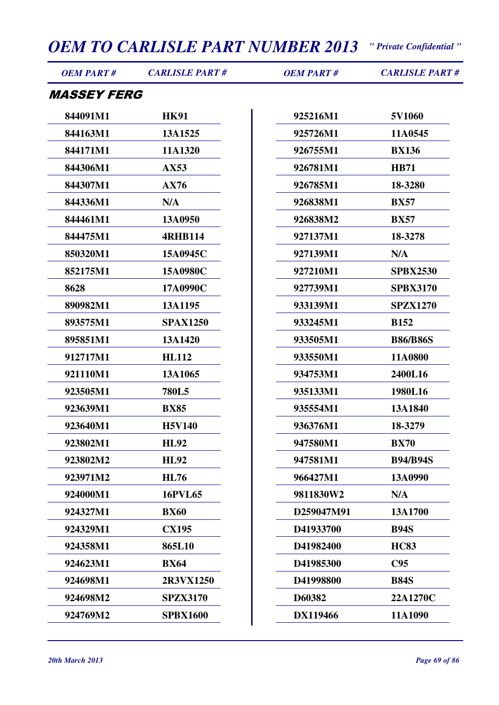| <b>OEM PART#</b>          | <b>CARLISLE PART#</b> | <b>OEM PART#</b> | <b>CARLISLE PART#</b> |
|---------------------------|-----------------------|------------------|-----------------------|
| <i><b>MASSEY FERG</b></i> |                       |                  |                       |
| 844091M1                  | <b>HK91</b>           | 925216M1         | 5V1060                |
| 844163M1                  | 13A1525               | 925726M1         | 11A0545               |
| 844171M1                  | 11A1320               | 926755M1         | <b>BX136</b>          |
| 844306M1                  | AX53                  | 926781M1         | <b>HB71</b>           |
| 844307M1                  | AX76                  | 926785M1         | 18-3280               |
| 844336M1                  | N/A                   | 926838M1         | <b>BX57</b>           |
| 844461M1                  | 13A0950               | 926838M2         | <b>BX57</b>           |
| 844475M1                  | <b>4RHB114</b>        | 927137M1         | 18-3278               |
| 850320M1                  | 15A0945C              | 927139M1         | N/A                   |
| 852175M1                  | 15A0980C              | 927210M1         | <b>SPBX2530</b>       |
| 8628                      | 17A0990C              | 927739M1         | <b>SPBX3170</b>       |
| 890982M1                  | 13A1195               | 933139M1         | <b>SPZX1270</b>       |
| 893575M1                  | <b>SPAX1250</b>       | 933245M1         | <b>B152</b>           |
| 895851M1                  | 13A1420               | 933505M1         | <b>B86/B86S</b>       |
| 912717M1                  | <b>HL112</b>          | 933550M1         | 11A0800               |
| 921110M1                  | 13A1065               | 934753M1         | 2400L16               |
| 923505M1                  | <b>780L5</b>          | 935133M1         | 1980L16               |
| 923639M1                  | <b>BX85</b>           | 935554M1         | 13A1840               |
| 923640M1                  | <b>H5V140</b>         | 936376M1         | 18-3279               |
| 923802M1                  | <b>HL92</b>           | 947580M1         | <b>BX70</b>           |
| 923802M2                  | <b>HL92</b>           | 947581M1         | <b>B94/B94S</b>       |
| 923971M2                  | <b>HL76</b>           | 966427M1         | 13A0990               |
| 924000M1                  | <b>16PVL65</b>        | 9811830W2        | N/A                   |
| 924327M1                  | <b>BX60</b>           | D259047M91       | 13A1700               |
| 924329M1                  | <b>CX195</b>          | D41933700        | <b>B94S</b>           |
| 924358M1                  | 865L10                | D41982400        | <b>HC83</b>           |
| 924623M1                  | <b>BX64</b>           | D41985300        | C95                   |
| 924698M1                  | 2R3VX1250             | D41998800        | <b>B84S</b>           |
| 924698M2                  | <b>SPZX3170</b>       | D60382           | 22A1270C              |
| 924769M2                  | <b>SPBX1600</b>       | DX119466         | 11A1090               |
|                           |                       |                  |                       |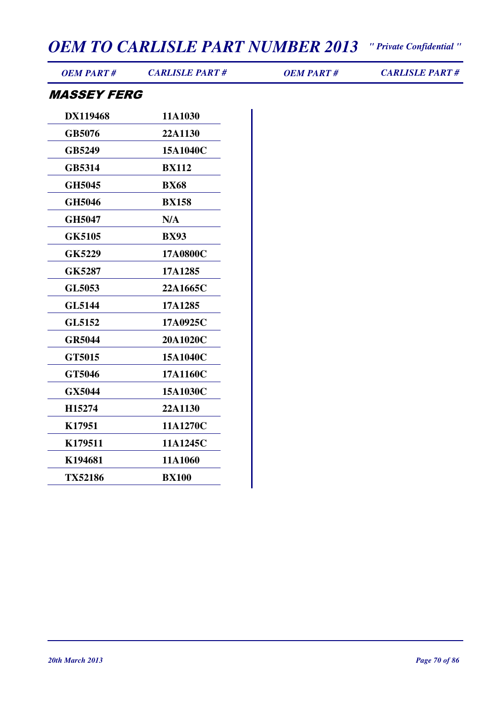*OEM PART # CARLISLE PART # OEM PART # CARLISLE PART #*

#### MASSEY FERG

| <b>DX119468</b> | 11A1030        |
|-----------------|----------------|
| GB5076          | <b>22A1130</b> |
| <b>GB5249</b>   | 15A1040C       |
| GB5314          | <b>BX112</b>   |
| <b>GH5045</b>   | <b>BX68</b>    |
| <b>GH5046</b>   | <b>BX158</b>   |
| <b>GH5047</b>   | N/A            |
| <b>GK5105</b>   | <b>BX93</b>    |
| GK5229          | 17A0800C       |
| <b>GK5287</b>   | 17A1285        |
| GL5053          | 22A1665C       |
| <b>GL5144</b>   | 17A1285        |
| GL5152          | 17A0925C       |
| <b>GR5044</b>   | 20A1020C       |
| GT5015          | 15A1040C       |
| GT5046          | 17A1160C       |
| GX5044          | 15A1030C       |
| H15274          | 22A1130        |
| K17951          | 11A1270C       |
| K179511         | 11A1245C       |
| K194681         | 11A1060        |
| <b>TX52186</b>  | <b>BX100</b>   |
|                 |                |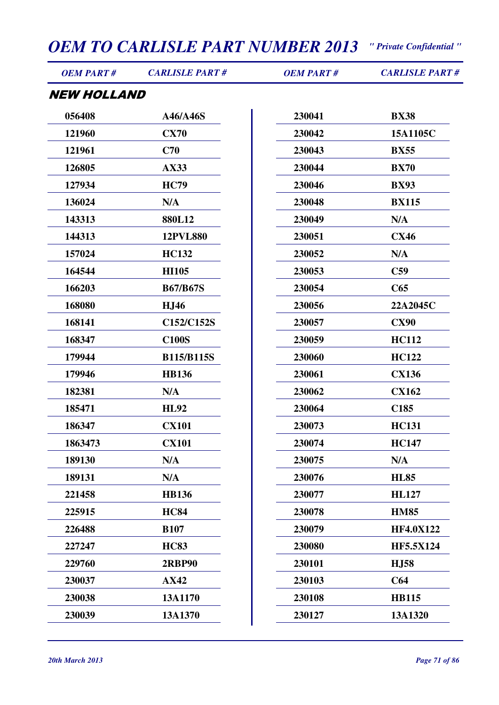| <b>NEW HOLLAND</b><br>056408<br>230041<br><b>BX38</b><br>A46/A46S<br>121960<br><b>CX70</b><br>230042<br>15A1105C<br>C70<br>121961<br>230043<br><b>BX55</b><br>126805<br><b>AX33</b><br>230044<br><b>BX70</b><br>127934<br><b>HC79</b><br>230046<br><b>BX93</b><br>136024<br>N/A<br>230048<br><b>BX115</b><br>143313<br>880L12<br>230049<br>N/A<br>144313<br><b>12PVL880</b><br>230051<br><b>CX46</b><br>157024<br><b>HC132</b><br>N/A<br>230052<br>164544<br><b>HI105</b><br>230053<br>C59<br>166203<br><b>B67/B67S</b><br>230054<br>C65<br>168080<br>230056<br>22A2045C<br><b>HJ46</b><br>168141<br>C152/C152S<br><b>CX90</b><br>230057<br><b>C100S</b><br>230059<br><b>HC112</b><br>168347<br>179944<br><b>B115/B115S</b><br>230060<br><b>HC122</b><br>179946<br><b>HB136</b><br>230061<br><b>CX136</b><br>182381<br>N/A<br>230062<br><b>CX162</b><br>185471<br><b>HL92</b><br>230064<br>C <sub>185</sub><br>186347<br><b>CX101</b><br>230073<br><b>HC131</b><br><b>CX101</b><br>1863473<br>230074<br><b>HC147</b><br>189130<br>N/A<br>230075<br>N/A<br>N/A<br>230076<br>189131<br><b>HL85</b><br><b>HB136</b><br>230077<br>221458<br><b>HL127</b><br>225915<br><b>HC84</b><br>230078<br><b>HM85</b><br><b>B107</b><br>230079<br>226488<br><b>HF4.0X122</b><br><b>HC83</b><br>230080<br><b>HF5.5X124</b><br>227247<br>229760<br>230101<br><b>HJ58</b><br><b>2RBP90</b><br>230037<br><b>AX42</b><br>230103<br>C64<br>230038<br>13A1170<br>230108<br><b>HB115</b><br>230039<br>13A1370<br>230127<br>13A1320 | <b>OEM PART#</b> | <b>CARLISLE PART#</b> | <b>OEM PART#</b> | <b>CARLISLE PART#</b> |
|-------------------------------------------------------------------------------------------------------------------------------------------------------------------------------------------------------------------------------------------------------------------------------------------------------------------------------------------------------------------------------------------------------------------------------------------------------------------------------------------------------------------------------------------------------------------------------------------------------------------------------------------------------------------------------------------------------------------------------------------------------------------------------------------------------------------------------------------------------------------------------------------------------------------------------------------------------------------------------------------------------------------------------------------------------------------------------------------------------------------------------------------------------------------------------------------------------------------------------------------------------------------------------------------------------------------------------------------------------------------------------------------------------------------------------------------------------------------------------------------------------------|------------------|-----------------------|------------------|-----------------------|
|                                                                                                                                                                                                                                                                                                                                                                                                                                                                                                                                                                                                                                                                                                                                                                                                                                                                                                                                                                                                                                                                                                                                                                                                                                                                                                                                                                                                                                                                                                             |                  |                       |                  |                       |
|                                                                                                                                                                                                                                                                                                                                                                                                                                                                                                                                                                                                                                                                                                                                                                                                                                                                                                                                                                                                                                                                                                                                                                                                                                                                                                                                                                                                                                                                                                             |                  |                       |                  |                       |
|                                                                                                                                                                                                                                                                                                                                                                                                                                                                                                                                                                                                                                                                                                                                                                                                                                                                                                                                                                                                                                                                                                                                                                                                                                                                                                                                                                                                                                                                                                             |                  |                       |                  |                       |
|                                                                                                                                                                                                                                                                                                                                                                                                                                                                                                                                                                                                                                                                                                                                                                                                                                                                                                                                                                                                                                                                                                                                                                                                                                                                                                                                                                                                                                                                                                             |                  |                       |                  |                       |
|                                                                                                                                                                                                                                                                                                                                                                                                                                                                                                                                                                                                                                                                                                                                                                                                                                                                                                                                                                                                                                                                                                                                                                                                                                                                                                                                                                                                                                                                                                             |                  |                       |                  |                       |
|                                                                                                                                                                                                                                                                                                                                                                                                                                                                                                                                                                                                                                                                                                                                                                                                                                                                                                                                                                                                                                                                                                                                                                                                                                                                                                                                                                                                                                                                                                             |                  |                       |                  |                       |
|                                                                                                                                                                                                                                                                                                                                                                                                                                                                                                                                                                                                                                                                                                                                                                                                                                                                                                                                                                                                                                                                                                                                                                                                                                                                                                                                                                                                                                                                                                             |                  |                       |                  |                       |
|                                                                                                                                                                                                                                                                                                                                                                                                                                                                                                                                                                                                                                                                                                                                                                                                                                                                                                                                                                                                                                                                                                                                                                                                                                                                                                                                                                                                                                                                                                             |                  |                       |                  |                       |
|                                                                                                                                                                                                                                                                                                                                                                                                                                                                                                                                                                                                                                                                                                                                                                                                                                                                                                                                                                                                                                                                                                                                                                                                                                                                                                                                                                                                                                                                                                             |                  |                       |                  |                       |
|                                                                                                                                                                                                                                                                                                                                                                                                                                                                                                                                                                                                                                                                                                                                                                                                                                                                                                                                                                                                                                                                                                                                                                                                                                                                                                                                                                                                                                                                                                             |                  |                       |                  |                       |
|                                                                                                                                                                                                                                                                                                                                                                                                                                                                                                                                                                                                                                                                                                                                                                                                                                                                                                                                                                                                                                                                                                                                                                                                                                                                                                                                                                                                                                                                                                             |                  |                       |                  |                       |
|                                                                                                                                                                                                                                                                                                                                                                                                                                                                                                                                                                                                                                                                                                                                                                                                                                                                                                                                                                                                                                                                                                                                                                                                                                                                                                                                                                                                                                                                                                             |                  |                       |                  |                       |
|                                                                                                                                                                                                                                                                                                                                                                                                                                                                                                                                                                                                                                                                                                                                                                                                                                                                                                                                                                                                                                                                                                                                                                                                                                                                                                                                                                                                                                                                                                             |                  |                       |                  |                       |
|                                                                                                                                                                                                                                                                                                                                                                                                                                                                                                                                                                                                                                                                                                                                                                                                                                                                                                                                                                                                                                                                                                                                                                                                                                                                                                                                                                                                                                                                                                             |                  |                       |                  |                       |
|                                                                                                                                                                                                                                                                                                                                                                                                                                                                                                                                                                                                                                                                                                                                                                                                                                                                                                                                                                                                                                                                                                                                                                                                                                                                                                                                                                                                                                                                                                             |                  |                       |                  |                       |
|                                                                                                                                                                                                                                                                                                                                                                                                                                                                                                                                                                                                                                                                                                                                                                                                                                                                                                                                                                                                                                                                                                                                                                                                                                                                                                                                                                                                                                                                                                             |                  |                       |                  |                       |
|                                                                                                                                                                                                                                                                                                                                                                                                                                                                                                                                                                                                                                                                                                                                                                                                                                                                                                                                                                                                                                                                                                                                                                                                                                                                                                                                                                                                                                                                                                             |                  |                       |                  |                       |
|                                                                                                                                                                                                                                                                                                                                                                                                                                                                                                                                                                                                                                                                                                                                                                                                                                                                                                                                                                                                                                                                                                                                                                                                                                                                                                                                                                                                                                                                                                             |                  |                       |                  |                       |
|                                                                                                                                                                                                                                                                                                                                                                                                                                                                                                                                                                                                                                                                                                                                                                                                                                                                                                                                                                                                                                                                                                                                                                                                                                                                                                                                                                                                                                                                                                             |                  |                       |                  |                       |
|                                                                                                                                                                                                                                                                                                                                                                                                                                                                                                                                                                                                                                                                                                                                                                                                                                                                                                                                                                                                                                                                                                                                                                                                                                                                                                                                                                                                                                                                                                             |                  |                       |                  |                       |
|                                                                                                                                                                                                                                                                                                                                                                                                                                                                                                                                                                                                                                                                                                                                                                                                                                                                                                                                                                                                                                                                                                                                                                                                                                                                                                                                                                                                                                                                                                             |                  |                       |                  |                       |
|                                                                                                                                                                                                                                                                                                                                                                                                                                                                                                                                                                                                                                                                                                                                                                                                                                                                                                                                                                                                                                                                                                                                                                                                                                                                                                                                                                                                                                                                                                             |                  |                       |                  |                       |
|                                                                                                                                                                                                                                                                                                                                                                                                                                                                                                                                                                                                                                                                                                                                                                                                                                                                                                                                                                                                                                                                                                                                                                                                                                                                                                                                                                                                                                                                                                             |                  |                       |                  |                       |
|                                                                                                                                                                                                                                                                                                                                                                                                                                                                                                                                                                                                                                                                                                                                                                                                                                                                                                                                                                                                                                                                                                                                                                                                                                                                                                                                                                                                                                                                                                             |                  |                       |                  |                       |
|                                                                                                                                                                                                                                                                                                                                                                                                                                                                                                                                                                                                                                                                                                                                                                                                                                                                                                                                                                                                                                                                                                                                                                                                                                                                                                                                                                                                                                                                                                             |                  |                       |                  |                       |
|                                                                                                                                                                                                                                                                                                                                                                                                                                                                                                                                                                                                                                                                                                                                                                                                                                                                                                                                                                                                                                                                                                                                                                                                                                                                                                                                                                                                                                                                                                             |                  |                       |                  |                       |
|                                                                                                                                                                                                                                                                                                                                                                                                                                                                                                                                                                                                                                                                                                                                                                                                                                                                                                                                                                                                                                                                                                                                                                                                                                                                                                                                                                                                                                                                                                             |                  |                       |                  |                       |
|                                                                                                                                                                                                                                                                                                                                                                                                                                                                                                                                                                                                                                                                                                                                                                                                                                                                                                                                                                                                                                                                                                                                                                                                                                                                                                                                                                                                                                                                                                             |                  |                       |                  |                       |
|                                                                                                                                                                                                                                                                                                                                                                                                                                                                                                                                                                                                                                                                                                                                                                                                                                                                                                                                                                                                                                                                                                                                                                                                                                                                                                                                                                                                                                                                                                             |                  |                       |                  |                       |
|                                                                                                                                                                                                                                                                                                                                                                                                                                                                                                                                                                                                                                                                                                                                                                                                                                                                                                                                                                                                                                                                                                                                                                                                                                                                                                                                                                                                                                                                                                             |                  |                       |                  |                       |
|                                                                                                                                                                                                                                                                                                                                                                                                                                                                                                                                                                                                                                                                                                                                                                                                                                                                                                                                                                                                                                                                                                                                                                                                                                                                                                                                                                                                                                                                                                             |                  |                       |                  |                       |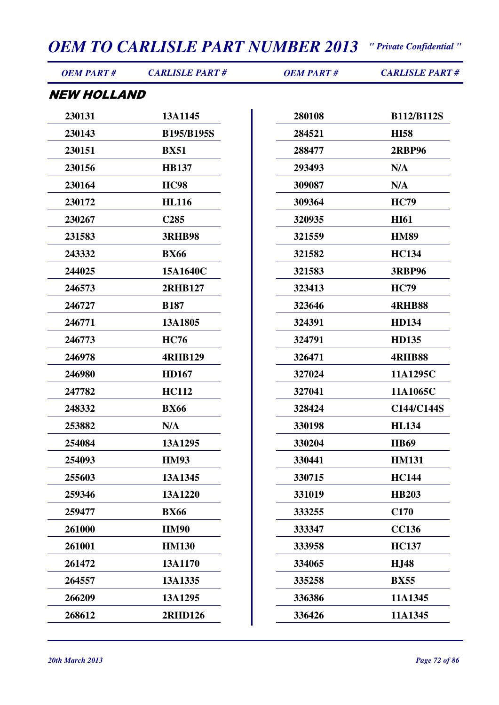| <b>OEM PART#</b>   | <b>CARLISLE PART#</b> | <b>OEM PART#</b> | <b>CARLISLE PART#</b> |
|--------------------|-----------------------|------------------|-----------------------|
| <b>NEW HOLLAND</b> |                       |                  |                       |
| 230131             | 13A1145               | 280108           | <b>B112/B112S</b>     |
| 230143             | <b>B195/B195S</b>     | 284521           | <b>HI58</b>           |
| 230151             | <b>BX51</b>           | 288477           | <b>2RBP96</b>         |
| 230156             | <b>HB137</b>          | 293493           | N/A                   |
| 230164             | <b>HC98</b>           | 309087           | N/A                   |
| 230172             | <b>HL116</b>          | 309364           | <b>HC79</b>           |
| 230267             | C <sub>285</sub>      | 320935           | <b>HI61</b>           |
| 231583             | <b>3RHB98</b>         | 321559           | <b>HM89</b>           |
| 243332             | <b>BX66</b>           | 321582           | <b>HC134</b>          |
| 244025             | 15A1640C              | 321583           | <b>3RBP96</b>         |
| 246573             | <b>2RHB127</b>        | 323413           | <b>HC79</b>           |
| 246727             | <b>B187</b>           | 323646           | <b>4RHB88</b>         |
| 246771             | 13A1805               | 324391           | <b>HD134</b>          |
| 246773             | <b>HC76</b>           | 324791           | <b>HD135</b>          |
| 246978             | <b>4RHB129</b>        | 326471           | <b>4RHB88</b>         |
| 246980             | <b>HD167</b>          | 327024           | 11A1295C              |
| 247782             | <b>HC112</b>          | 327041           | 11A1065C              |
| 248332             | <b>BX66</b>           | 328424           | C144/C144S            |
| 253882             | N/A                   | 330198           | <b>HL134</b>          |
| 254084             | 13A1295               | 330204           | <b>HB69</b>           |
| 254093             | <b>HM93</b>           | 330441           | <b>HM131</b>          |
| 255603             | 13A1345               | 330715           | <b>HC144</b>          |
| 259346             | 13A1220               | 331019           | <b>HB203</b>          |
| 259477             | <b>BX66</b>           | 333255           | C170                  |
| 261000             | <b>HM90</b>           | 333347           | <b>CC136</b>          |
| 261001             | <b>HM130</b>          | 333958           | <b>HC137</b>          |
| 261472             | 13A1170               | 334065           | <b>HJ48</b>           |
| 264557             | 13A1335               | 335258           | <b>BX55</b>           |
| 266209             | 13A1295               | 336386           | 11A1345               |
| 268612             | 2RHD126               | 336426           | 11A1345               |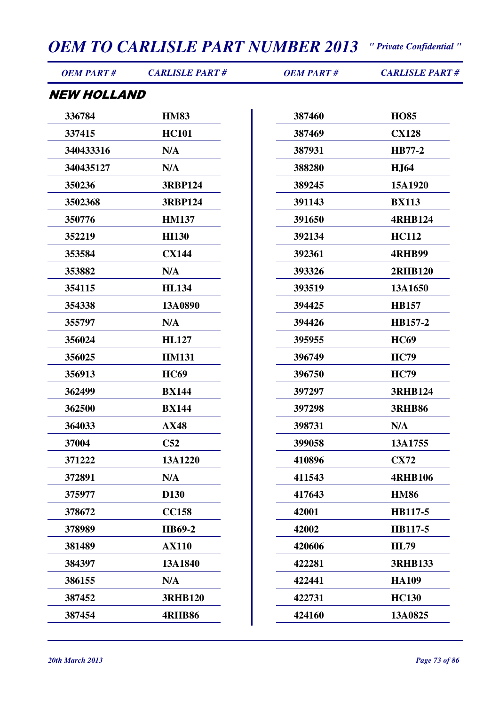| <b>OEM PART#</b>   | <b>CARLISLE PART#</b> | <b>OEM PART#</b> | <b>CARLISLE PART#</b> |
|--------------------|-----------------------|------------------|-----------------------|
| <b>NEW HOLLAND</b> |                       |                  |                       |
| 336784             | <b>HM83</b>           | 387460           | <b>HO85</b>           |
| 337415             | <b>HC101</b>          | 387469           | <b>CX128</b>          |
| 340433316          | N/A                   | 387931           | <b>HB77-2</b>         |
| 340435127          | N/A                   | 388280           | <b>HJ64</b>           |
| 350236             | <b>3RBP124</b>        | 389245           | 15A1920               |
| 3502368            | <b>3RBP124</b>        | 391143           | <b>BX113</b>          |
| 350776             | <b>HM137</b>          | 391650           | <b>4RHB124</b>        |
| 352219             | <b>HI130</b>          | 392134           | <b>HC112</b>          |
| 353584             | <b>CX144</b>          | 392361           | <b>4RHB99</b>         |
| 353882             | N/A                   | 393326           | <b>2RHB120</b>        |
| 354115             | <b>HL134</b>          | 393519           | 13A1650               |
| 354338             | 13A0890               | 394425           | <b>HB157</b>          |
| 355797             | N/A                   | 394426           | HB157-2               |
| 356024             | <b>HL127</b>          | 395955           | <b>HC69</b>           |
| 356025             | <b>HM131</b>          | 396749           | <b>HC79</b>           |
| 356913             | <b>HC69</b>           | 396750           | <b>HC79</b>           |
| 362499             | <b>BX144</b>          | 397297           | <b>3RHB124</b>        |
| 362500             | <b>BX144</b>          | 397298           | <b>3RHB86</b>         |
| 364033             | <b>AX48</b>           | 398731           | N/A                   |
| 37004              | C52                   | 399058           | 13A1755               |
| 371222             | 13A1220               | 410896           | <b>CX72</b>           |
| 372891             | N/A                   | 411543           | <b>4RHB106</b>        |
| 375977             | D <sub>130</sub>      | 417643           | <b>HM86</b>           |
| 378672             | <b>CC158</b>          | 42001            | HB117-5               |
| 378989             | <b>HB69-2</b>         | 42002            | HB117-5               |
| 381489             | <b>AX110</b>          | 420606           | <b>HL79</b>           |
| 384397             | 13A1840               | 422281           | <b>3RHB133</b>        |
| 386155             | N/A                   | 422441           | <b>HA109</b>          |
| 387452             | <b>3RHB120</b>        | 422731           | <b>HC130</b>          |
| 387454             | <b>4RHB86</b>         | 424160           | 13A0825               |
|                    |                       |                  |                       |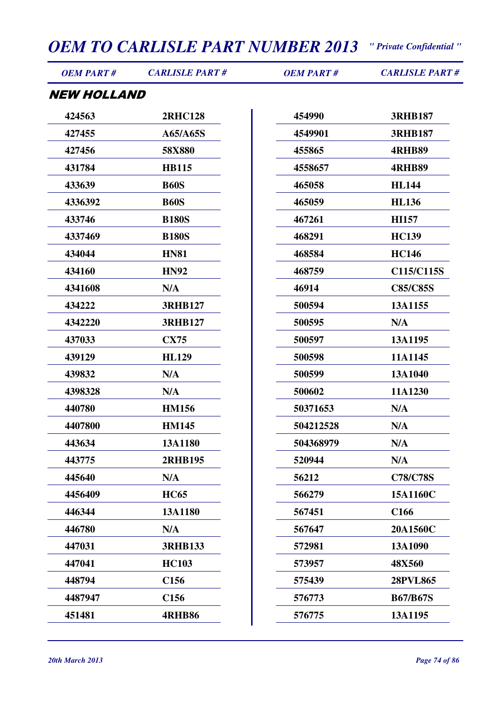*OEM PART # CARLISLE PART # OEM PART # CARLISLE PART #*

#### NEW HOLLAND

| 424563  | <b>2RHC128</b>   |
|---------|------------------|
| 427455  | A65/A65S         |
| 427456  | 58X880           |
| 431784  | <b>HB115</b>     |
| 433639  | <b>B60S</b>      |
| 4336392 | <b>B60S</b>      |
| 433746  | <b>B180S</b>     |
| 4337469 | <b>B180S</b>     |
| 434044  | <b>HN81</b>      |
| 434160  | <b>HN92</b>      |
| 4341608 | N/A              |
| 434222  | <b>3RHB127</b>   |
| 4342220 | <b>3RHB127</b>   |
| 437033  | <b>CX75</b>      |
| 439129  | <b>HL129</b>     |
| 439832  | N/A              |
| 4398328 | N/A              |
| 440780  | <b>HM156</b>     |
| 4407800 | <b>HM145</b>     |
| 443634  | 13A1180          |
| 443775  | <b>2RHB195</b>   |
| 445640  | N/A              |
| 4456409 | <b>HC65</b>      |
| 446344  | 13A1180          |
| 446780  | N/A              |
| 447031  | <b>3RHB133</b>   |
|         |                  |
| 447041  | <b>HC103</b>     |
| 448794  | C156             |
| 4487947 | C <sub>156</sub> |
| 451481  | <b>4RHB86</b>    |

| 454990    | <b>3RHB187</b>   |
|-----------|------------------|
| 4549901   | <b>3RHB187</b>   |
| 455865    | <b>4RHB89</b>    |
| 4558657   | <b>4RHB89</b>    |
| 465058    | <b>HL144</b>     |
| 465059    | <b>HL136</b>     |
| 467261    | <b>HI157</b>     |
| 468291    | <b>HC139</b>     |
| 468584    | <b>HC146</b>     |
| 468759    | C115/C115S       |
| 46914     | <b>C85/C85S</b>  |
| 500594    | 13A1155          |
| 500595    | N/A              |
| 500597    | 13A1195          |
| 500598    | 11A1145          |
| 500599    | 13A1040          |
| 500602    | 11A1230          |
| 50371653  | N/A              |
| 504212528 | N/A              |
| 504368979 | N/A              |
| 520944    | N/A              |
| 56212     | <b>C78/C78S</b>  |
| 566279    | 15A1160C         |
| 567451    | C <sub>166</sub> |
| 567647    | 20A1560C         |
| 572981    | 13A1090          |
| 573957    | 48X560           |
| 575439    | <b>28PVL865</b>  |
| 576773    | <b>B67/B67S</b>  |
| 576775    | 13A1195          |
|           |                  |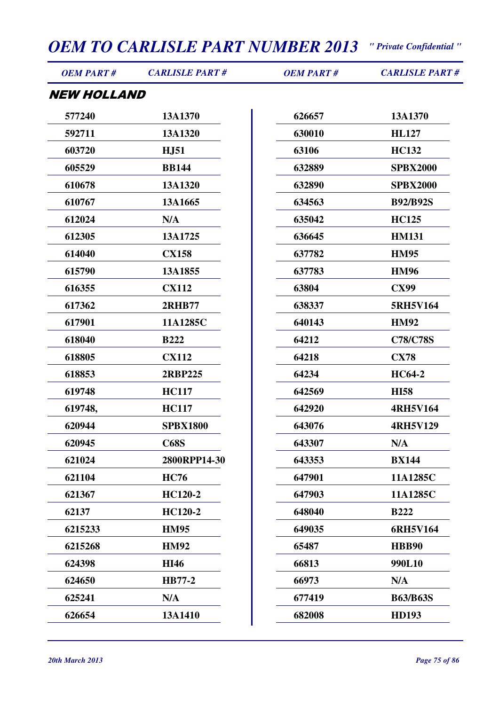| <b>OEM PART#</b>   | <b>CARLISLE PART#</b> | <b>OEM PART#</b> | <b>CARLISLE PART#</b> |
|--------------------|-----------------------|------------------|-----------------------|
| <b>NEW HOLLAND</b> |                       |                  |                       |
| 577240             | 13A1370               | 626657           | 13A1370               |
| 592711             | 13A1320               | 630010           | <b>HL127</b>          |
| 603720             | <b>HJ51</b>           | 63106            | <b>HC132</b>          |
| 605529             | <b>BB144</b>          | 632889           | <b>SPBX2000</b>       |
| 610678             | 13A1320               | 632890           | <b>SPBX2000</b>       |
| 610767             | 13A1665               | 634563           | <b>B92/B92S</b>       |
| 612024             | N/A                   | 635042           | <b>HC125</b>          |
| 612305             | 13A1725               | 636645           | <b>HM131</b>          |
| 614040             | <b>CX158</b>          | 637782           | <b>HM95</b>           |
| 615790             | 13A1855               | 637783           | <b>HM96</b>           |
| 616355             | <b>CX112</b>          | 63804            | <b>CX99</b>           |
| 617362             | <b>2RHB77</b>         | 638337           | 5RH5V164              |
| 617901             | 11A1285C              | 640143           | <b>HM92</b>           |
| 618040             | <b>B222</b>           | 64212            | <b>C78/C78S</b>       |
| 618805             | <b>CX112</b>          | 64218            | <b>CX78</b>           |
| 618853             | 2RBP225               | 64234            | <b>HC64-2</b>         |
| 619748             | <b>HC117</b>          | 642569           | <b>HI58</b>           |
| 619748,            | <b>HC117</b>          | 642920           | <b>4RH5V164</b>       |
| 620944             | <b>SPBX1800</b>       | 643076           | <b>4RH5V129</b>       |
| 620945             | <b>C68S</b>           | 643307           | N/A                   |
| 621024             | 2800RPP14-30          | 643353           | <b>BX144</b>          |
| 621104             | <b>HC76</b>           | 647901           | 11A1285C              |
| 621367             | <b>HC120-2</b>        | 647903           | 11A1285C              |
| 62137              | <b>HC120-2</b>        | 648040           | <b>B222</b>           |
| 6215233            | <b>HM95</b>           | 649035           | 6RH5V164              |
| 6215268            | <b>HM92</b>           | 65487            | <b>HBB90</b>          |
| 624398             | <b>HI46</b>           | 66813            | 990L10                |
| 624650             | <b>HB77-2</b>         | 66973            | N/A                   |
| 625241             | N/A                   | 677419           | <b>B63/B63S</b>       |
| 626654             | 13A1410               | 682008           | <b>HD193</b>          |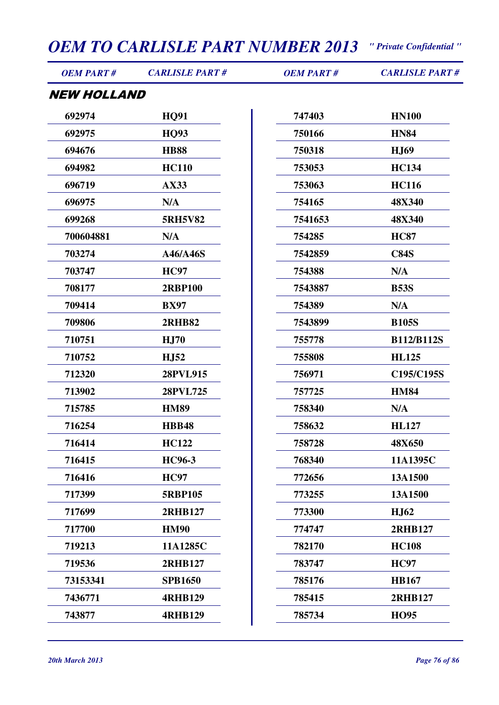| <b>OEM PART#</b>          | <b>CARLISLE PART#</b> | <b>OEM PART#</b> | <b>CARLISLE PART#</b> |
|---------------------------|-----------------------|------------------|-----------------------|
| <i><b>NEW HOLLAND</b></i> |                       |                  |                       |
| 692974                    | <b>HQ91</b>           | 747403           | <b>HN100</b>          |
| 692975                    | <b>HO93</b>           | 750166           | <b>HN84</b>           |
| 694676                    | <b>HB88</b>           | 750318           | <b>HJ69</b>           |
| 694982                    | <b>HC110</b>          | 753053           | <b>HC134</b>          |
| 696719                    | AX33                  | 753063           | <b>HC116</b>          |
| 696975                    | N/A                   | 754165           | 48X340                |
| 699268                    | <b>5RH5V82</b>        | 7541653          | 48X340                |
| 700604881                 | N/A                   | 754285           | <b>HC87</b>           |
| 703274                    | A46/A46S              | 7542859          | <b>C84S</b>           |
| 703747                    | <b>HC97</b>           | 754388           | N/A                   |
| 708177                    | <b>2RBP100</b>        | 7543887          | <b>B53S</b>           |
| 709414                    | <b>BX97</b>           | 754389           | N/A                   |
| 709806                    | <b>2RHB82</b>         | 7543899          | <b>B105S</b>          |
| 710751                    | <b>HJ70</b>           | 755778           | <b>B112/B112S</b>     |
| 710752                    | <b>HJ52</b>           | 755808           | <b>HL125</b>          |
| 712320                    | 28PVL915              | 756971           | C195/C195S            |
| 713902                    | 28PVL725              | 757725           | <b>HM84</b>           |
| 715785                    | <b>HM89</b>           | 758340           | N/A                   |
| 716254                    | <b>HBB48</b>          | 758632           | <b>HL127</b>          |
| 716414                    | <b>HC122</b>          | 758728           | 48X650                |
| 716415                    | <b>HC96-3</b>         | 768340           | 11A1395C              |
| 716416                    | <b>HC97</b>           | 772656           | 13A1500               |
| 717399                    | <b>5RBP105</b>        | 773255           | 13A1500               |
| 717699                    | 2RHB127               | 773300           | <b>HJ62</b>           |
| 717700                    | <b>HM90</b>           | 774747           | 2RHB127               |
| 719213                    | 11A1285C              | 782170           | <b>HC108</b>          |
| 719536                    | 2RHB127               | 783747           | <b>HC97</b>           |
| 73153341                  | <b>SPB1650</b>        | 785176           | <b>HB167</b>          |
| 7436771                   | <b>4RHB129</b>        | 785415           | 2RHB127               |
| 743877                    | <b>4RHB129</b>        | 785734           | <b>HO95</b>           |
|                           |                       |                  |                       |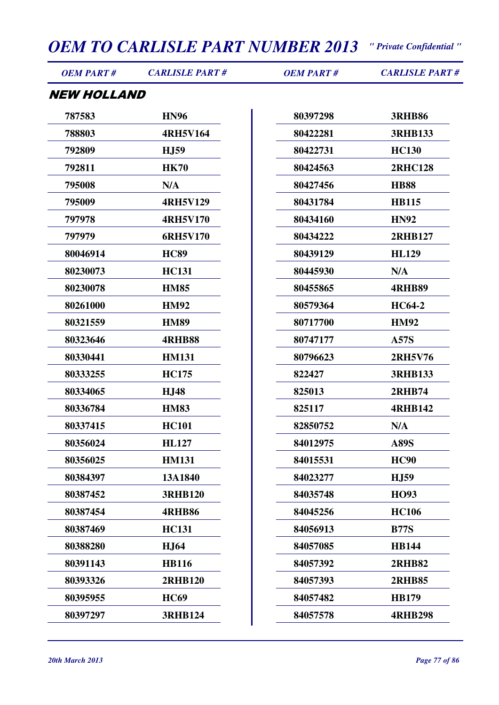| <b>OEM PART#</b>   | <b>CARLISLE PART#</b> | <b>OEM PART#</b> | <b>CARLISLE PART#</b> |
|--------------------|-----------------------|------------------|-----------------------|
| <b>NEW HOLLAND</b> |                       |                  |                       |
| 787583             | <b>HN96</b>           | 80397298         | <b>3RHB86</b>         |
| 788803             | <b>4RH5V164</b>       | 80422281         | <b>3RHB133</b>        |
| 792809             | <b>HJ59</b>           | 80422731         | <b>HC130</b>          |
| 792811             | <b>HK70</b>           | 80424563         | <b>2RHC128</b>        |
| 795008             | N/A                   | 80427456         | <b>HB88</b>           |
| 795009             | <b>4RH5V129</b>       | 80431784         | <b>HB115</b>          |
| 797978             | <b>4RH5V170</b>       | 80434160         | <b>HN92</b>           |
| 797979             | 6RH5V170              | 80434222         | <b>2RHB127</b>        |
| 80046914           | <b>HC89</b>           | 80439129         | <b>HL129</b>          |
| 80230073           | <b>HC131</b>          | 80445930         | N/A                   |
| 80230078           | <b>HM85</b>           | 80455865         | <b>4RHB89</b>         |
| 80261000           | <b>HM92</b>           | 80579364         | <b>HC64-2</b>         |
| 80321559           | <b>HM89</b>           | 80717700         | <b>HM92</b>           |
| 80323646           | <b>4RHB88</b>         | 80747177         | <b>A57S</b>           |
| 80330441           | <b>HM131</b>          | 80796623         | 2RH5V76               |
| 80333255           | <b>HC175</b>          | 822427           | <b>3RHB133</b>        |
| 80334065           | <b>HJ48</b>           | 825013           | <b>2RHB74</b>         |
| 80336784           | <b>HM83</b>           | 825117           | <b>4RHB142</b>        |
| 80337415           | <b>HC101</b>          | 82850752         | N/A                   |
| 80356024           | <b>HL127</b>          | 84012975         | <b>A89S</b>           |
| 80356025           | <b>HM131</b>          | 84015531         | <b>HC90</b>           |
| 80384397           | 13A1840               | 84023277         | <b>HJ59</b>           |
| 80387452           | <b>3RHB120</b>        | 84035748         | <b>HO93</b>           |
| 80387454           | <b>4RHB86</b>         | 84045256         | <b>HC106</b>          |
| 80387469           | <b>HC131</b>          | 84056913         | <b>B77S</b>           |
| 80388280           | <b>HJ64</b>           | 84057085         | <b>HB144</b>          |
| 80391143           | <b>HB116</b>          | 84057392         | <b>2RHB82</b>         |
| 80393326           | <b>2RHB120</b>        | 84057393         | <b>2RHB85</b>         |
| 80395955           | <b>HC69</b>           | 84057482         | <b>HB179</b>          |

**3RHB124**

**4RHB298**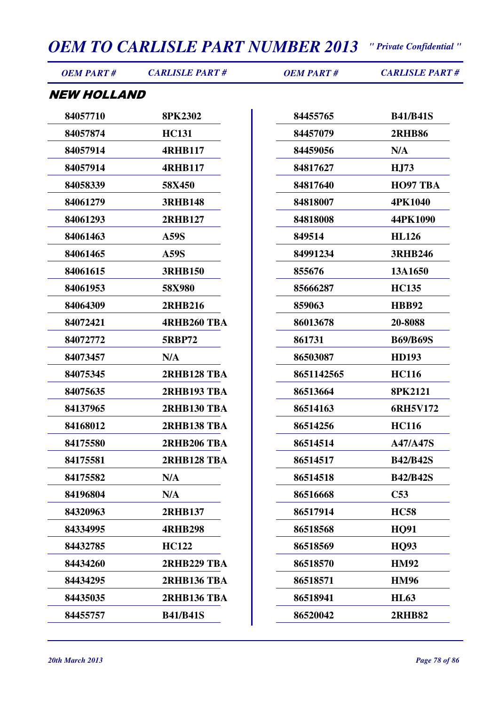| <i><b>OEM PART #</b></i> | <b>CARLISLE PART#</b> | <b>OEM PART#</b> | <b>CARLISLE PART#</b> |
|--------------------------|-----------------------|------------------|-----------------------|
| NEW HOLLAND              |                       |                  |                       |
| 84057710                 | <b>8PK2302</b>        | 84455765         | <b>B41/B41S</b>       |
| 84057874                 | <b>HC131</b>          | 84457079         | <b>2RHB86</b>         |
| 84057914                 | <b>4RHB117</b>        | 84459056         | N/A                   |
| 84057914                 | <b>4RHB117</b>        | 84817627         | <b>HJ73</b>           |
| 84058339                 | 58X450                | 84817640         | HO97 TBA              |
| 84061279                 | <b>3RHB148</b>        | 84818007         | 4PK1040               |
| 84061293                 | <b>2RHB127</b>        | 84818008         | 44PK1090              |
| 84061463                 | <b>A59S</b>           | 849514           | <b>HL126</b>          |
| 84061465                 | <b>A59S</b>           | 84991234         | <b>3RHB246</b>        |
| 84061615                 | <b>3RHB150</b>        | 855676           | 13A1650               |
| 84061953                 | 58X980                | 85666287         | <b>HC135</b>          |
| 84064309                 | <b>2RHB216</b>        | 859063           | <b>HBB92</b>          |
| 84072421                 | <b>4RHB260 TBA</b>    | 86013678         | 20-8088               |
| 84072772                 | <b>5RBP72</b>         | 861731           | <b>B69/B69S</b>       |
| 84073457                 | N/A                   | 86503087         | <b>HD193</b>          |
| 84075345                 | 2RHB128 TBA           | 8651142565       | <b>HC116</b>          |
| 84075635                 | 2RHB193 TBA           | 86513664         | 8PK2121               |
| 84137965                 | 2RHB130 TBA           | 86514163         | 6RH5V172              |
| 84168012                 | <b>2RHB138 TBA</b>    | 86514256         | <b>HC116</b>          |
| 84175580                 | <b>2RHB206 TBA</b>    | 86514514         | <b>A47/A47S</b>       |
| 84175581                 | <b>2RHB128 TBA</b>    | 86514517         | <b>B42/B42S</b>       |
| 84175582                 | N/A                   | 86514518         | <b>B42/B42S</b>       |
| 84196804                 | N/A                   | 86516668         | C53                   |
| 84320963                 | <b>2RHB137</b>        | 86517914         | <b>HC58</b>           |
| 84334995                 | <b>4RHB298</b>        | 86518568         | <b>HQ91</b>           |
| 84432785                 | <b>HC122</b>          | 86518569         | <b>HO93</b>           |
| 84434260                 | 2RHB229 TBA           | 86518570         | <b>HM92</b>           |
| 84434295                 | <b>2RHB136 TBA</b>    | 86518571         | <b>HM96</b>           |
| 84435035                 | <b>2RHB136 TBA</b>    | 86518941         | <b>HL63</b>           |
| 84455757                 | <b>B41/B41S</b>       | 86520042         | <b>2RHB82</b>         |
|                          |                       |                  |                       |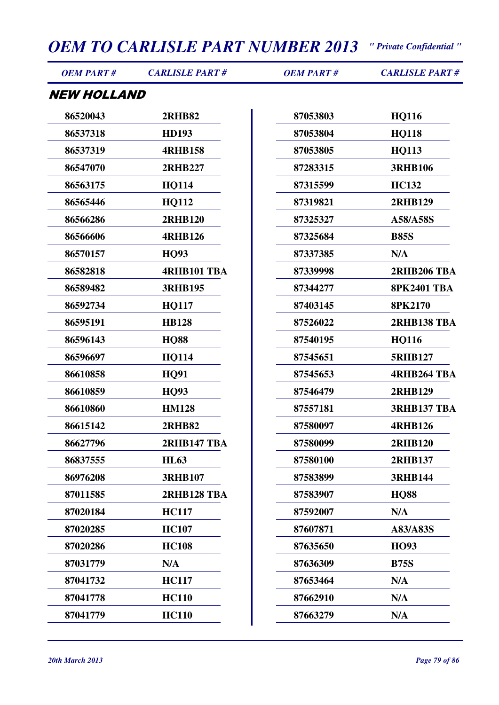| <b>OEM PART#</b>   | <b>CARLISLE PART#</b> | <b>OEM PART#</b> | <b>CARLISLE PART#</b> |
|--------------------|-----------------------|------------------|-----------------------|
| <b>NEW HOLLAND</b> |                       |                  |                       |
| 86520043           | <b>2RHB82</b>         | 87053803         | <b>HQ116</b>          |
| 86537318           | <b>HD193</b>          | 87053804         | <b>HQ118</b>          |
| 86537319           | <b>4RHB158</b>        | 87053805         | <b>HQ113</b>          |
| 86547070           | <b>2RHB227</b>        | 87283315         | <b>3RHB106</b>        |
| 86563175           | <b>HQ114</b>          | 87315599         | <b>HC132</b>          |
| 86565446           | <b>HQ112</b>          | 87319821         | <b>2RHB129</b>        |
| 86566286           | <b>2RHB120</b>        | 87325327         | A58/A58S              |
| 86566606           | <b>4RHB126</b>        | 87325684         | <b>B85S</b>           |
| 86570157           | <b>HO93</b>           | 87337385         | N/A                   |
| 86582818           | <b>4RHB101 TBA</b>    | 87339998         | 2RHB206 TBA           |
| 86589482           | <b>3RHB195</b>        | 87344277         | <b>8PK2401 TBA</b>    |
| 86592734           | <b>HQ117</b>          | 87403145         | <b>8PK2170</b>        |
| 86595191           | <b>HB128</b>          | 87526022         | 2RHB138 TBA           |
| 86596143           | <b>HQ88</b>           | 87540195         | <b>HQ116</b>          |
| 86596697           | <b>HQ114</b>          | 87545651         | <b>5RHB127</b>        |
| 86610858           | <b>HQ91</b>           | 87545653         | <b>4RHB264 TBA</b>    |
| 86610859           | <b>HQ93</b>           | 87546479         | 2RHB129               |
| 86610860           | <b>HM128</b>          | 87557181         | <b>3RHB137 TBA</b>    |
| 86615142           | <b>2RHB82</b>         | 87580097         | <b>4RHB126</b>        |
| 86627796           | <b>2RHB147 TBA</b>    | 87580099         | <b>2RHB120</b>        |
| 86837555           | <b>HL63</b>           | 87580100         | <b>2RHB137</b>        |
| 86976208           | <b>3RHB107</b>        | 87583899         | <b>3RHB144</b>        |
| 87011585           | 2RHB128 TBA           | 87583907         | <b>HO88</b>           |
| 87020184           | <b>HC117</b>          | 87592007         | N/A                   |
| 87020285           | <b>HC107</b>          | 87607871         | A83/A83S              |
| 87020286           | <b>HC108</b>          | 87635650         | HO93                  |
| 87031779           | N/A                   | 87636309         | <b>B75S</b>           |
| 87041732           | <b>HC117</b>          | 87653464         | N/A                   |
| 87041778           | <b>HC110</b>          | 87662910         | N/A                   |
| 87041779           | <b>HC110</b>          | 87663279         | N/A                   |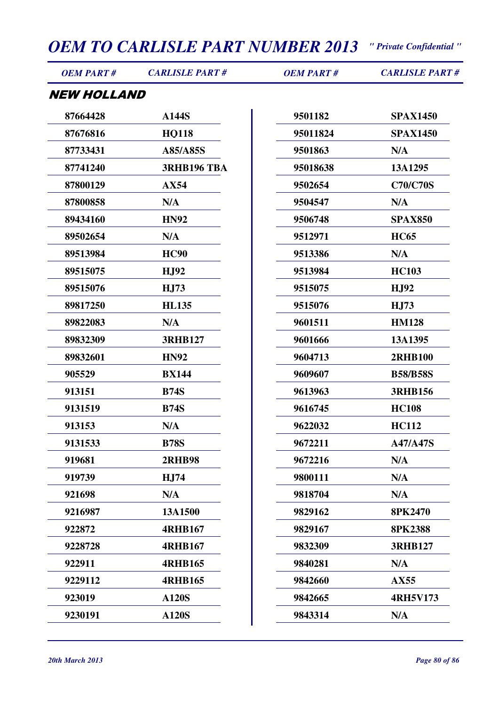| <b>OEM PART#</b>   | <b>CARLISLE PART#</b> | <b>OEM PART#</b> | <b>CARLISLE PART#</b> |
|--------------------|-----------------------|------------------|-----------------------|
| <b>NEW HOLLAND</b> |                       |                  |                       |
| 87664428           | A144S                 | 9501182          | <b>SPAX1450</b>       |
| 87676816           | <b>HQ118</b>          | 95011824         | <b>SPAX1450</b>       |
| 87733431           | A85/A85S              | 9501863          | N/A                   |
| 87741240           | <b>3RHB196 TBA</b>    | 95018638         | 13A1295               |
| 87800129           | AX54                  | 9502654          | <b>C70/C70S</b>       |
| 87800858           | N/A                   | 9504547          | N/A                   |
| 89434160           | <b>HN92</b>           | 9506748          | <b>SPAX850</b>        |
| 89502654           | N/A                   | 9512971          | <b>HC65</b>           |
| 89513984           | <b>HC90</b>           | 9513386          | N/A                   |
| 89515075           | <b>HJ92</b>           | 9513984          | <b>HC103</b>          |
| 89515076           | <b>HJ73</b>           | 9515075          | <b>HJ92</b>           |
| 89817250           | <b>HL135</b>          | 9515076          | <b>HJ73</b>           |
| 89822083           | N/A                   | 9601511          | <b>HM128</b>          |
| 89832309           | <b>3RHB127</b>        | 9601666          | 13A1395               |
| 89832601           | <b>HN92</b>           | 9604713          | <b>2RHB100</b>        |
| 905529             | <b>BX144</b>          | 9609607          | <b>B58/B58S</b>       |
| 913151             | <b>B74S</b>           | 9613963          | <b>3RHB156</b>        |
| 9131519            | <b>B74S</b>           | 9616745          | <b>HC108</b>          |
| 913153             | N/A                   | 9622032          | <b>HC112</b>          |
| 9131533            | <b>B78S</b>           | 9672211          | <b>A47/A47S</b>       |
| 919681             | <b>2RHB98</b>         | 9672216          | N/A                   |
| 919739             | H <sub>J</sub> 74     | 9800111          | N/A                   |
| 921698             | N/A                   | 9818704          | N/A                   |
| 9216987            | 13A1500               | 9829162          | 8PK2470               |
| 922872             | <b>4RHB167</b>        | 9829167          | <b>8PK2388</b>        |
| 9228728            | <b>4RHB167</b>        | 9832309          | <b>3RHB127</b>        |
| 922911             | <b>4RHB165</b>        | 9840281          | N/A                   |
| 9229112            | <b>4RHB165</b>        | 9842660          | AX55                  |
| 923019             | <b>A120S</b>          | 9842665          | <b>4RH5V173</b>       |
| 9230191            | <b>A120S</b>          | 9843314          | N/A                   |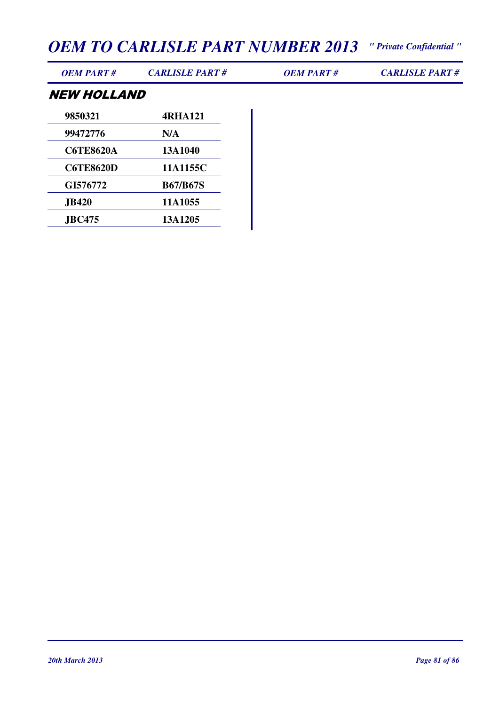*OEM PART # CARLISLE PART # OEM PART # CARLISLE PART #*

#### NEW HOLLAND

| 9850321          | 4RHA121         |
|------------------|-----------------|
| 99472776         | N/A             |
| <b>C6TE8620A</b> | 13A1040         |
| <b>C6TE8620D</b> | 11A1155C        |
| GI576772         | <b>B67/B67S</b> |
| <b>JB420</b>     | 11A1055         |
| <b>JBC475</b>    | 13A1205         |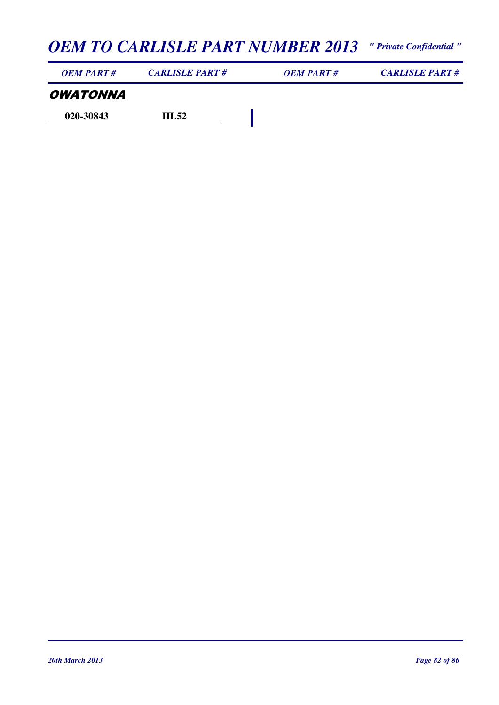| OEM PART#              | <b>CARLISLE PART#</b> | OEM PART# | <b>CARLISLE PART#</b> |
|------------------------|-----------------------|-----------|-----------------------|
| <i><b>OWATONNA</b></i> |                       |           |                       |
| 020-30843              | HI 52                 |           |                       |

*20th March 2013 Page 82 of 86*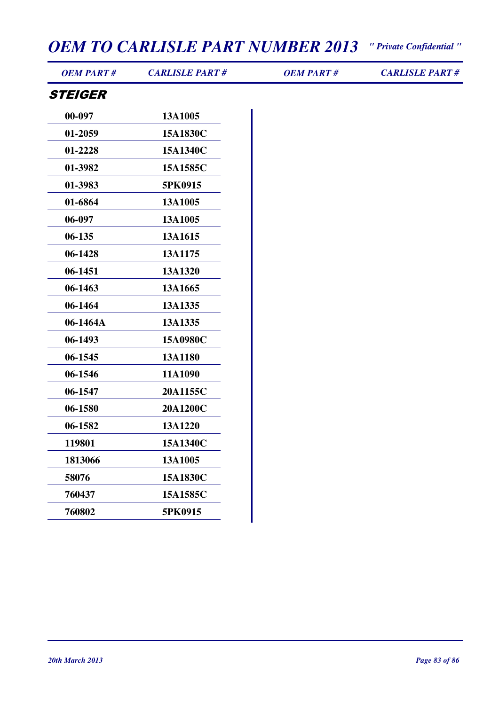| <b>OEM PART#</b> | <b>CARLISLE PART#</b> | <b>OEM PART#</b> | <b>CARLISLE PART#</b> |
|------------------|-----------------------|------------------|-----------------------|
| <b>STEIGER</b>   |                       |                  |                       |
| 00-097           | 13A1005               |                  |                       |
| 01-2059          | 15A1830C              |                  |                       |
| 01-2228          | 15A1340C              |                  |                       |
| 01-3982          | 15A1585C              |                  |                       |
| 01-3983          | 5PK0915               |                  |                       |
| 01-6864          | 13A1005               |                  |                       |
| 06-097           | 13A1005               |                  |                       |
| $06 - 135$       | 13A1615               |                  |                       |
| 06-1428          | 13A1175               |                  |                       |
| 06-1451          | 13A1320               |                  |                       |
| 06-1463          | 13A1665               |                  |                       |
| 06-1464          | 13A1335               |                  |                       |
| 06-1464A         | 13A1335               |                  |                       |
| 06-1493          | 15A0980C              |                  |                       |
| 06-1545          | 13A1180               |                  |                       |
| 06-1546          | 11A1090               |                  |                       |
| 06-1547          | 20A1155C              |                  |                       |
| 06-1580          | 20A1200C              |                  |                       |
| 06-1582          | 13A1220               |                  |                       |
| 119801           | 15A1340C              |                  |                       |
| 1813066          | 13A1005               |                  |                       |
| 58076            | 15A1830C              |                  |                       |
| 760437           | 15A1585C              |                  |                       |
| 760802           | 5PK0915               |                  |                       |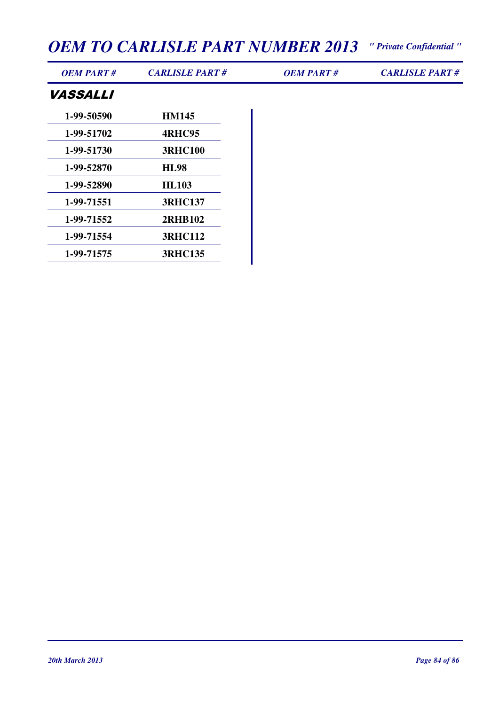| <b>OEM PART#</b> | <b>CARLISLE PART#</b> | <b>OEM PART#</b> | <b>CARLISLE PART#</b> |
|------------------|-----------------------|------------------|-----------------------|
| <b>VASSALLI</b>  |                       |                  |                       |
| 1-99-50590       | <b>HM145</b>          |                  |                       |
| 1-99-51702       | 4RHC95                |                  |                       |
| 1-99-51730       | <b>3RHC100</b>        |                  |                       |
| 1-99-52870       | <b>HL98</b>           |                  |                       |
| 1-99-52890       | <b>HL103</b>          |                  |                       |
| 1-99-71551       | <b>3RHC137</b>        |                  |                       |
| 1-99-71552       | <b>2RHB102</b>        |                  |                       |
| 1-99-71554       | <b>3RHC112</b>        |                  |                       |
| 1-99-71575       | <b>3RHC135</b>        |                  |                       |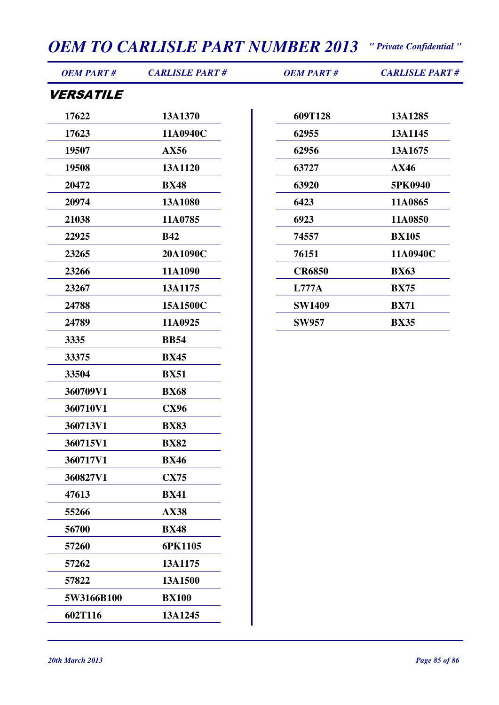| <b>OEM PART#</b>        | <b>CARLISLE PART#</b> | <b>OEM PART#</b> | <b>CARLISLE PART#</b> |
|-------------------------|-----------------------|------------------|-----------------------|
| <i><b>VERSATILE</b></i> |                       |                  |                       |
| 17622                   | 13A1370               | 609T128          | 13A1285               |
| 17623                   | 11A0940C              | 62955            | 13A1145               |
| 19507                   | AX56                  | 62956            | 13A1675               |
| 19508                   | 13A1120               | 63727            | AX46                  |
| 20472                   | <b>BX48</b>           | 63920            | 5PK0940               |
| 20974                   | 13A1080               | 6423             | 11A0865               |
| 21038                   | 11A0785               | 6923             | 11A0850               |
| 22925                   | <b>B42</b>            | 74557            | <b>BX105</b>          |
| 23265                   | 20A1090C              | 76151            | 11A0940C              |
| 23266                   | 11A1090               | <b>CR6850</b>    | <b>BX63</b>           |
| 23267                   | 13A1175               | L777A            | <b>BX75</b>           |
| 24788                   | 15A1500C              | <b>SW1409</b>    | <b>BX71</b>           |
| 24789                   | 11A0925               | <b>SW957</b>     | <b>BX35</b>           |
| 3335                    | <b>BB54</b>           |                  |                       |
| 33375                   | <b>BX45</b>           |                  |                       |
| 33504                   | <b>BX51</b>           |                  |                       |
| 360709V1                | <b>BX68</b>           |                  |                       |
| 360710V1                | <b>CX96</b>           |                  |                       |
| 360713V1                | <b>BX83</b>           |                  |                       |
| 360715V1                | <b>BX82</b>           |                  |                       |
| 360717V1                | <b>BX46</b>           |                  |                       |
| 360827V1                | <b>CX75</b>           |                  |                       |
| 47613                   | <b>BX41</b>           |                  |                       |
| 55266                   | <b>AX38</b>           |                  |                       |
| 56700                   | <b>BX48</b>           |                  |                       |
| 57260                   | 6PK1105               |                  |                       |
| 57262                   | 13A1175               |                  |                       |
| 57822                   | 13A1500               |                  |                       |
| 5W3166B100              | <b>BX100</b>          |                  |                       |
| 602T116                 | 13A1245               |                  |                       |
|                         |                       |                  |                       |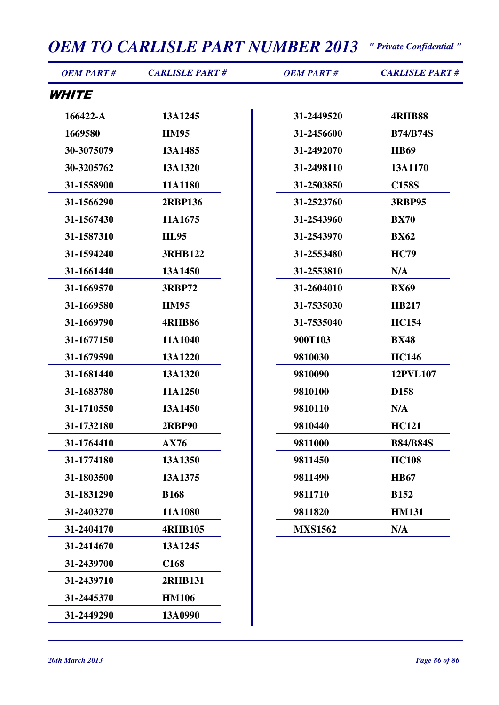| <b>OEM PART#</b>    | <b>CARLISLE PART#</b> | <b>OEM PART#</b> | <b>CARLISLE PART#</b> |
|---------------------|-----------------------|------------------|-----------------------|
| <i><b>WHITE</b></i> |                       |                  |                       |
| 166422-A            | 13A1245               | 31-2449520       | <b>4RHB88</b>         |
| 1669580             | <b>HM95</b>           | 31-2456600       | <b>B74/B74S</b>       |
| 30-3075079          | 13A1485               | 31-2492070       | <b>HB69</b>           |
| 30-3205762          | 13A1320               | 31-2498110       | 13A1170               |
| 31-1558900          | 11A1180               | 31-2503850       | <b>C158S</b>          |
| 31-1566290          | <b>2RBP136</b>        | 31-2523760       | <b>3RBP95</b>         |
| 31-1567430          | 11A1675               | 31-2543960       | <b>BX70</b>           |
| 31-1587310          | <b>HL95</b>           | 31-2543970       | <b>BX62</b>           |
| 31-1594240          | <b>3RHB122</b>        | 31-2553480       | <b>HC79</b>           |
| 31-1661440          | 13A1450               | 31-2553810       | N/A                   |
| 31-1669570          | <b>3RBP72</b>         | 31-2604010       | <b>BX69</b>           |
| 31-1669580          | <b>HM95</b>           | 31-7535030       | <b>HB217</b>          |
| 31-1669790          | <b>4RHB86</b>         | 31-7535040       | <b>HC154</b>          |
| 31-1677150          | 11A1040               | 900T103          | <b>BX48</b>           |
| 31-1679590          | 13A1220               | 9810030          | <b>HC146</b>          |
| 31-1681440          | 13A1320               | 9810090          | 12PVL107              |
| 31-1683780          | 11A1250               | 9810100          | D <sub>158</sub>      |
| 31-1710550          | 13A1450               | 9810110          | N/A                   |
| 31-1732180          | <b>2RBP90</b>         | 9810440          | <b>HC121</b>          |
| 31-1764410          | <b>AX76</b>           | 9811000          | <b>B84/B84S</b>       |
| 31-1774180          | 13A1350               | 9811450          | <b>HC108</b>          |
| 31-1803500          | 13A1375               | 9811490          | <b>HB67</b>           |
| 31-1831290          | <b>B168</b>           | 9811710          | <b>B152</b>           |
| 31-2403270          | 11A1080               | 9811820          | <b>HM131</b>          |
| 31-2404170          | <b>4RHB105</b>        | <b>MXS1562</b>   | N/A                   |
| 31-2414670          | 13A1245               |                  |                       |
| 31-2439700          | C <sub>168</sub>      |                  |                       |
| 31-2439710          | <b>2RHB131</b>        |                  |                       |
| 31-2445370          | <b>HM106</b>          |                  |                       |
| 31-2449290          | 13A0990               |                  |                       |
|                     |                       |                  |                       |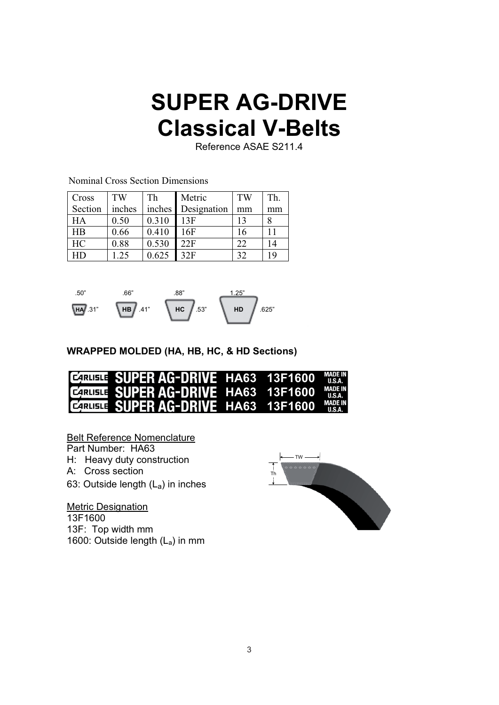## **SUPER AG-DRIVE Classical V-Belts**

Reference ASAE S211.4

Nominal Cross Section Dimensions

| Cross     | TW     | Th     | Metric      | TW | Th. |
|-----------|--------|--------|-------------|----|-----|
| Section   | inches | inches | Designation | mm | mm  |
| HA        | 0.50   | 0.310  | 13F         | 13 |     |
| HB        | 0.66   | 0.410  | 16F         | 16 |     |
| HC        | 0.88   | 0.530  | 22F         | 22 | 14  |
| <b>HD</b> | 1.25   | 0.625  | 32F         | 32 | 19  |



 **WRAPPED MOLDED (HA, HB, HC, & HD Sections)** 

| <b>CARTISTE SUPER AG-DRIVE HA63 13F1600 MADE IN</b>  |  |  |
|------------------------------------------------------|--|--|
| <b>EZRUSTE SUPER AG-DRIVE HA63 13F1600 MADE IN</b>   |  |  |
| <b>CERTIFIE: SUPER AG-DRIVE HA63 13F1600 MADE IN</b> |  |  |

Belt Reference Nomenclature

Part Number: HA63

H: Heavy duty construction

- A: Cross section
- 63: Outside length  $(L_a)$  in inches

**Metric Designation**  13F1600 13F: Top width mm 1600: Outside length  $(L_a)$  in mm

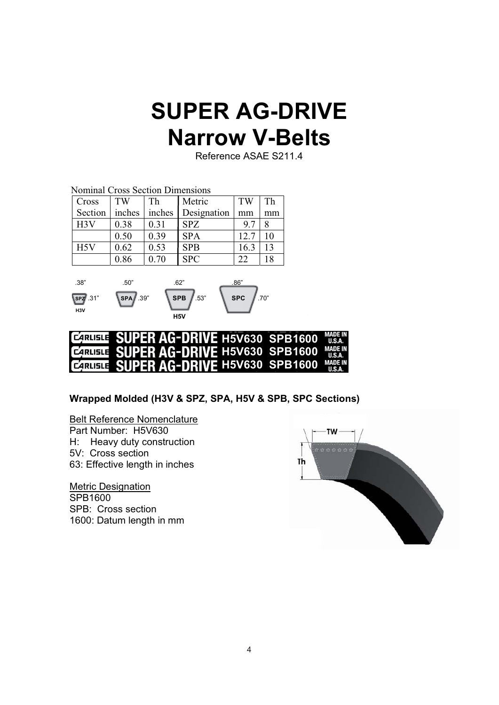## **SUPER AG-DRIVE Narrow V-Belts**

Reference ASAE S211.4

|              |                                  |      | Th                 |
|--------------|----------------------------------|------|--------------------|
|              | Designation                      | mm   | mm                 |
| 0.31         | <b>SPZ</b>                       | 9.7  | 8                  |
| 0.39         | <b>SPA</b>                       | 12.7 | 10                 |
| 0.53         | <b>SPB</b>                       | 16.3 | 13                 |
| 0.70         | <b>SPC</b>                       | 22   | 18                 |
| 0.38<br>0.86 | inches<br>inches<br>0.50<br>0.62 |      | Metric<br>TW<br>Th |





#### **Wrapped Molded (H3V & SPZ, SPA, H5V & SPB, SPC Sections)**

Belt Reference Nomenclature

Part Number: H5V630

H: Heavy duty construction

- 5V: Cross section
- 63: Effective length in inches

 Metric Designation SPB1600 SPB: Cross section 1600: Datum length in mm

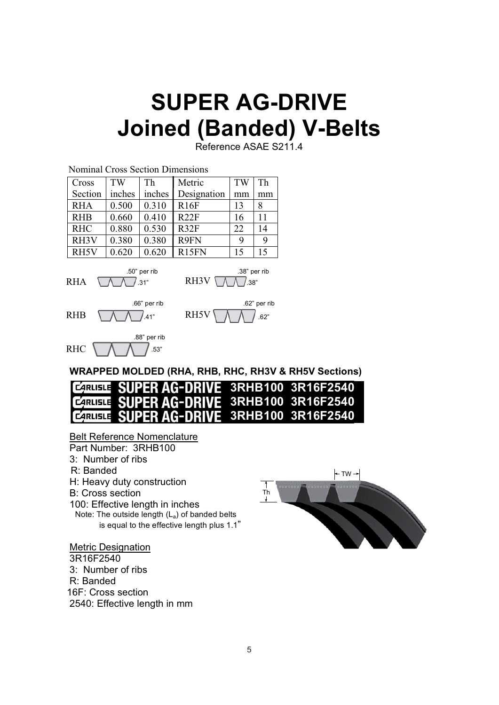# **SUPER AG-DRIVE Joined (Banded) V-Belts**

Reference ASAE S211.4



is equal to the effective length plus 1.1"

#### Metric Designation

 3R16F2540 3: Number of ribs R: Banded 16F: Cross section 2540: Effective length in mm

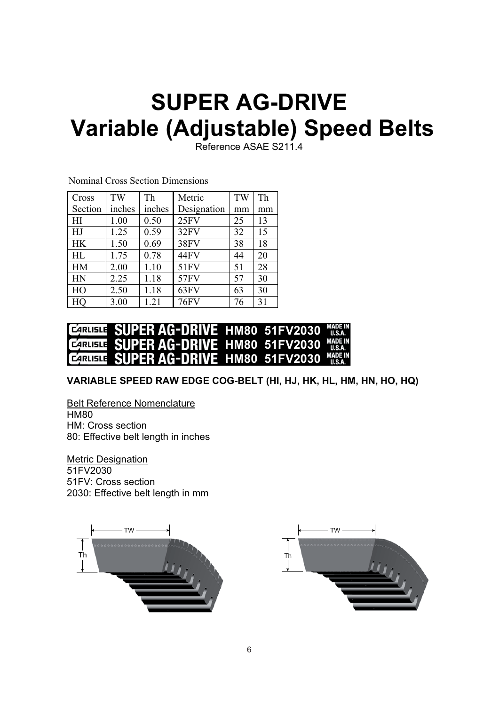# **SUPER AG-DRIVE Variable (Adjustable) Speed Belts**

Reference ASAE S211.4

| Cross     | TW     | Th     | Metric      | TW | Th |
|-----------|--------|--------|-------------|----|----|
| Section   | inches | inches | Designation | mm | mm |
| HI        | 1.00   | 0.50   | 25FV        | 25 | 13 |
| HJ        | 1.25   | 0.59   | 32FV        | 32 | 15 |
| <b>HK</b> | 1.50   | 0.69   | <b>38FV</b> | 38 | 18 |
| HL        | 1.75   | 0.78   | 44FV        | 44 | 20 |
| <b>HM</b> | 2.00   | 1.10   | 51FV        | 51 | 28 |
| HN        | 2.25   | 1.18   | 57FV        | 57 | 30 |
| HO        | 2.50   | 1.18   | 63FV        | 63 | 30 |
| HQ        | 3.00   | 1.21   | <b>76FV</b> | 76 | 31 |

Nominal Cross Section Dimensions

#### **EARLISTE SUPER AG-DRIVE HM80 51FV2030**  $II.S.A.$ **EZIRUSLE SUPER AG-DRIVE HM80 51FV2030 MADE IN HM80 51FV2030 CARLISLE**

 **VARIABLE SPEED RAW EDGE COG-BELT (HI, HJ, HK, HL, HM, HN, HO, HQ)**

 Belt Reference Nomenclature HM80 HM: Cross section 80: Effective belt length in inches

 Metric Designation 51FV2030 51FV: Cross section 2030: Effective belt length in mm



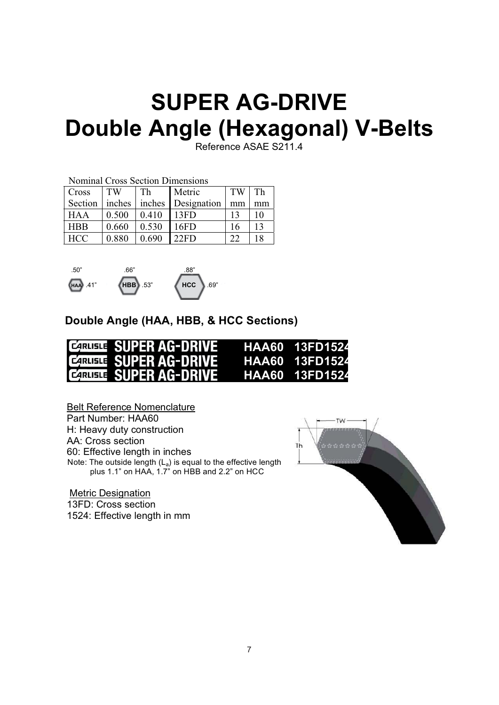# **SUPER AG-DRIVE Double Angle (Hexagonal) V-Belts**

Reference ASAE S211.4

|            | <b>Nominal Cross Section Dimensions</b> |        |             |              |    |  |
|------------|-----------------------------------------|--------|-------------|--------------|----|--|
| Cross      | TW                                      | Th     | Metric      | <b>TW</b>    | Th |  |
| Section    | inches                                  | inches | Designation | mm           | mm |  |
| <b>HAA</b> | 0.500                                   | 0.410  | 13FD        | 13           | 10 |  |
| <b>HBB</b> | 0.660                                   | 0.530  | 16FD        | 16           | 13 |  |
| <b>HCC</b> | 0.880                                   | 0.690  | 22FD        | $22^{\circ}$ | 18 |  |



#### **Double Angle (HAA, HBB, & HCC Sections)**

| <b>CARILLE SUPER AG-DRIVE</b>  | HAA60 13FD1524 |
|--------------------------------|----------------|
| <b>CARLISTE SUPER AG-DRIVE</b> |                |
| <b>CARILIE: SUPER AG-DRIVE</b> |                |

 Belt Reference Nomenclature Part Number: HAA60 H: Heavy duty construction AA: Cross section 60: Effective length in inches Note: The outside length  $(L_a)$  is equal to the effective length plus 1.1" on HAA, 1.7" on HBB and 2.2" on HCC

**Metric Designation**  13FD: Cross section 1524: Effective length in mm

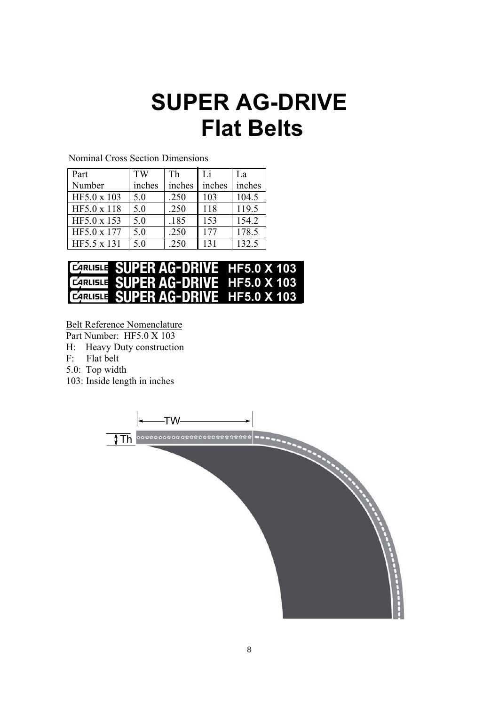# **SUPER AG-DRIVE Flat Belts**

| Part        | TW     | Th     | Li     | La     |
|-------------|--------|--------|--------|--------|
| Number      | inches | inches | inches | inches |
| HF5.0 x 103 | 5.0    | .250   | 103    | 104.5  |
| HF5.0 x 118 | 5.0    | .250   | 118    | 119.5  |
| HF5.0 x 153 | 5.0    | .185   | 153    | 154.2  |
| HF5.0 x 177 | 5.0    | .250   | 177    | 178.5  |
| HF5.5 x 131 | 5.0    | .250   | 131    | 132.5  |

Nominal Cross Section Dimensions

| <b>CARUSTE SUPER AG-DRIVE HF5.0 X 103</b>  |  |
|--------------------------------------------|--|
| <b>CARUGIE: SUPER AG-DRIVE HF5.0 X 103</b> |  |
| <b>CARLISTE SUPER AG-DRIVE HF5.0 X 103</b> |  |

Belt Reference Nomenclature

Part Number: HF5.0 X 103

H: Heavy Duty construction

F: Flat belt

5.0: Top width

103: Inside length in inches

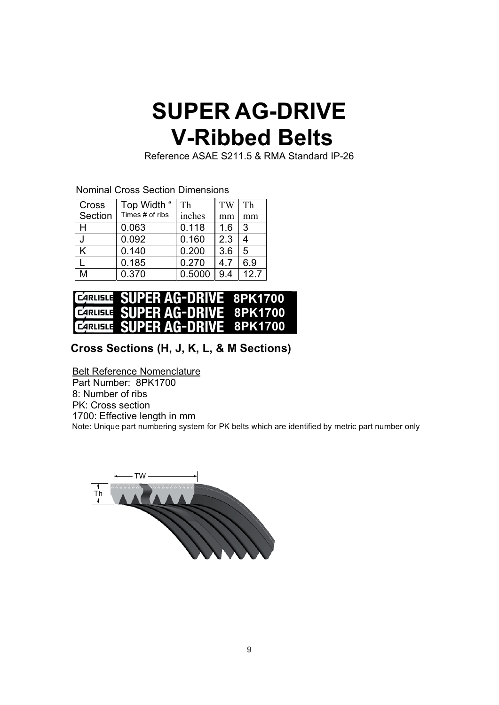# **SUPER AG-DRIVE V-Ribbed Belts**

Reference ASAE S211.5 & RMA Standard IP-26

Nominal Cross Section Dimensions

| Cross   | Top Width "     | Th     | TW  | Th   |
|---------|-----------------|--------|-----|------|
| Section | Times # of ribs | inches | mm  | mm   |
| н       | 0.063           | 0.118  | 1.6 | 3    |
| J       | 0.092           | 0.160  | 2.3 | 4    |
| K       | 0.140           | 0.200  | 3.6 | 5    |
|         | 0.185           | 0.270  | 4.7 | 6.9  |
| M       | 0.370           | 0.5000 | 9.4 | 12.7 |



#### **Cross Sections (H, J, K, L, & M Sections)**

Belt Reference Nomenclature

 Part Number: 8PK1700 8: Number of ribs PK: Cross section 1700: Effective length in mm Note: Unique part numbering system for PK belts which are identified by metric part number only